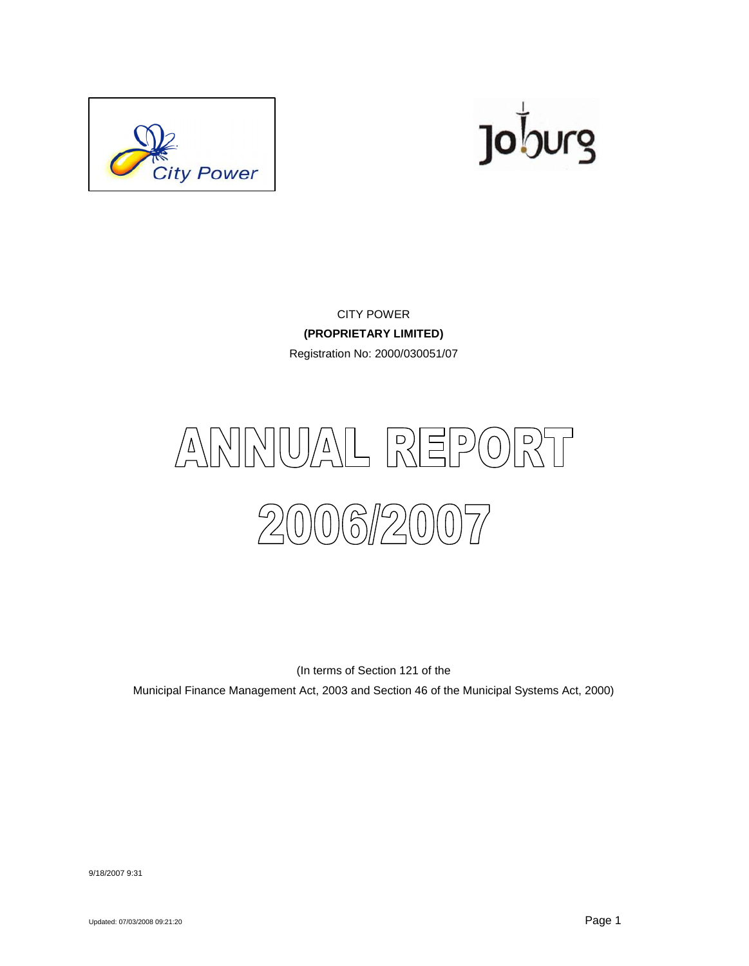



CITY POWER **(PROPRIETARY LIMITED)** Registration No: 2000/030051/07



(In terms of Section 121 of the

Municipal Finance Management Act, 2003 and Section 46 of the Municipal Systems Act, 2000)

9/18/2007 9:31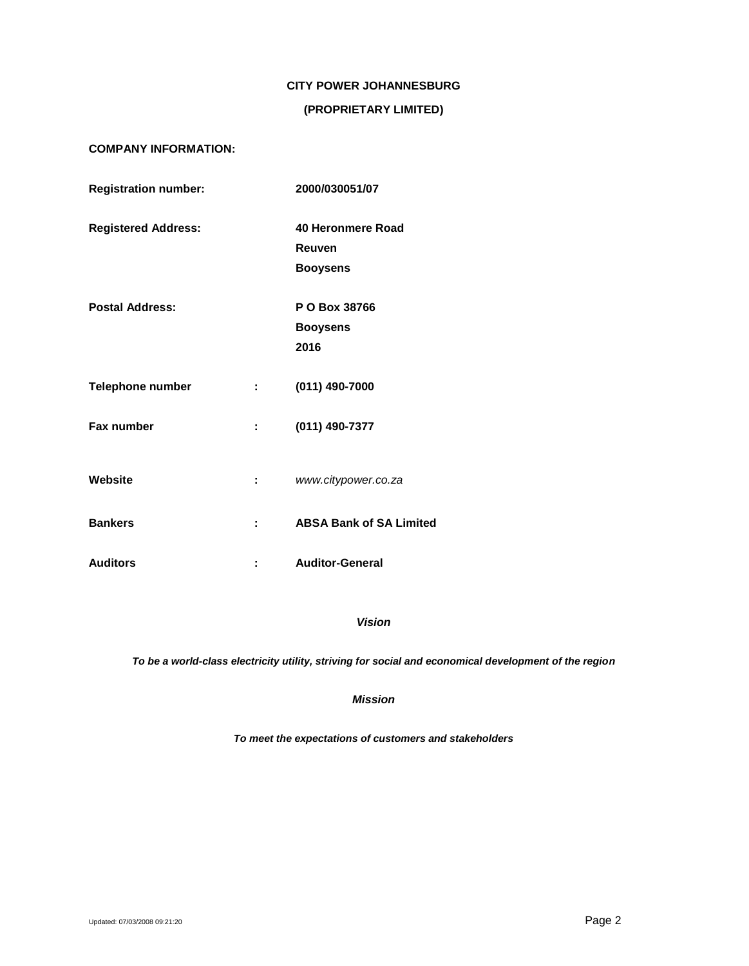# **CITY POWER JOHANNESBURG**

# **(PROPRIETARY LIMITED)**

# **COMPANY INFORMATION:**

| <b>Registration number:</b> |              | 2000/030051/07                 |  |
|-----------------------------|--------------|--------------------------------|--|
| <b>Registered Address:</b>  |              | 40 Heronmere Road              |  |
|                             |              | Reuven                         |  |
|                             |              | <b>Booysens</b>                |  |
| <b>Postal Address:</b>      |              | P O Box 38766                  |  |
|                             |              | <b>Booysens</b>                |  |
|                             |              | 2016                           |  |
| <b>Telephone number</b>     | 2.500        | (011) 490-7000                 |  |
| Fax number                  | 20 O         | (011) 490-7377                 |  |
| Website                     | $\mathbf{1}$ | www.citypower.co.za            |  |
| <b>Bankers</b>              | ÷            | <b>ABSA Bank of SA Limited</b> |  |
| <b>Auditors</b>             |              | <b>Auditor-General</b>         |  |

# *Vision*

*To be a world-class electricity utility, striving for social and economical development of the region*

### *Mission*

*To meet the expectations of customers and stakeholders*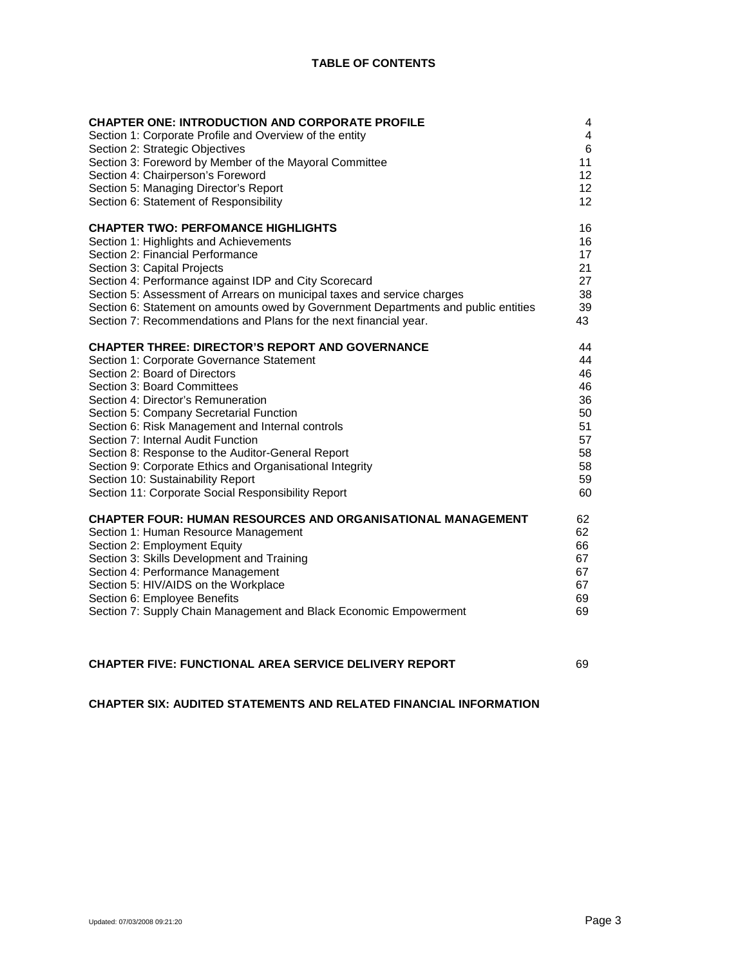| <b>CHAPTER ONE: INTRODUCTION AND CORPORATE PROFILE</b>                             | $\overline{4}$ |
|------------------------------------------------------------------------------------|----------------|
| Section 1: Corporate Profile and Overview of the entity                            | 4              |
| Section 2: Strategic Objectives                                                    | 6              |
| Section 3: Foreword by Member of the Mayoral Committee                             | 11             |
| Section 4: Chairperson's Foreword                                                  | 12             |
| Section 5: Managing Director's Report                                              | 12             |
| Section 6: Statement of Responsibility                                             | 12             |
| <b>CHAPTER TWO: PERFOMANCE HIGHLIGHTS</b>                                          | 16             |
| Section 1: Highlights and Achievements                                             | 16             |
| Section 2: Financial Performance                                                   | 17             |
| Section 3: Capital Projects                                                        | 21             |
| Section 4: Performance against IDP and City Scorecard                              | 27             |
| Section 5: Assessment of Arrears on municipal taxes and service charges            | 38             |
| Section 6: Statement on amounts owed by Government Departments and public entities | 39             |
| Section 7: Recommendations and Plans for the next financial year.                  | 43             |
| <b>CHAPTER THREE: DIRECTOR'S REPORT AND GOVERNANCE</b>                             | 44             |
| Section 1: Corporate Governance Statement                                          | 44             |
| Section 2: Board of Directors                                                      | 46             |
| Section 3: Board Committees                                                        | 46             |
| Section 4: Director's Remuneration                                                 | 36             |
| Section 5: Company Secretarial Function                                            | 50             |
| Section 6: Risk Management and Internal controls                                   | 51             |
| Section 7: Internal Audit Function                                                 | 57             |
| Section 8: Response to the Auditor-General Report                                  | 58             |
| Section 9: Corporate Ethics and Organisational Integrity                           | 58             |
| Section 10: Sustainability Report                                                  | 59             |
| Section 11: Corporate Social Responsibility Report                                 | 60             |
| <b>CHAPTER FOUR: HUMAN RESOURCES AND ORGANISATIONAL MANAGEMENT</b>                 | 62             |
| Section 1: Human Resource Management                                               | 62             |
| Section 2: Employment Equity                                                       | 66             |
| Section 3: Skills Development and Training                                         | 67             |
| Section 4: Performance Management                                                  | 67             |
| Section 5: HIV/AIDS on the Workplace                                               | 67             |
| Section 6: Employee Benefits                                                       | 69             |
| Section 7: Supply Chain Management and Black Economic Empowerment                  | 69             |
|                                                                                    |                |
|                                                                                    |                |

**CHAPTER SIX: AUDITED STATEMENTS AND RELATED FINANCIAL INFORMATION**

**CHAPTER FIVE: FUNCTIONAL AREA SERVICE DELIVERY REPORT** 69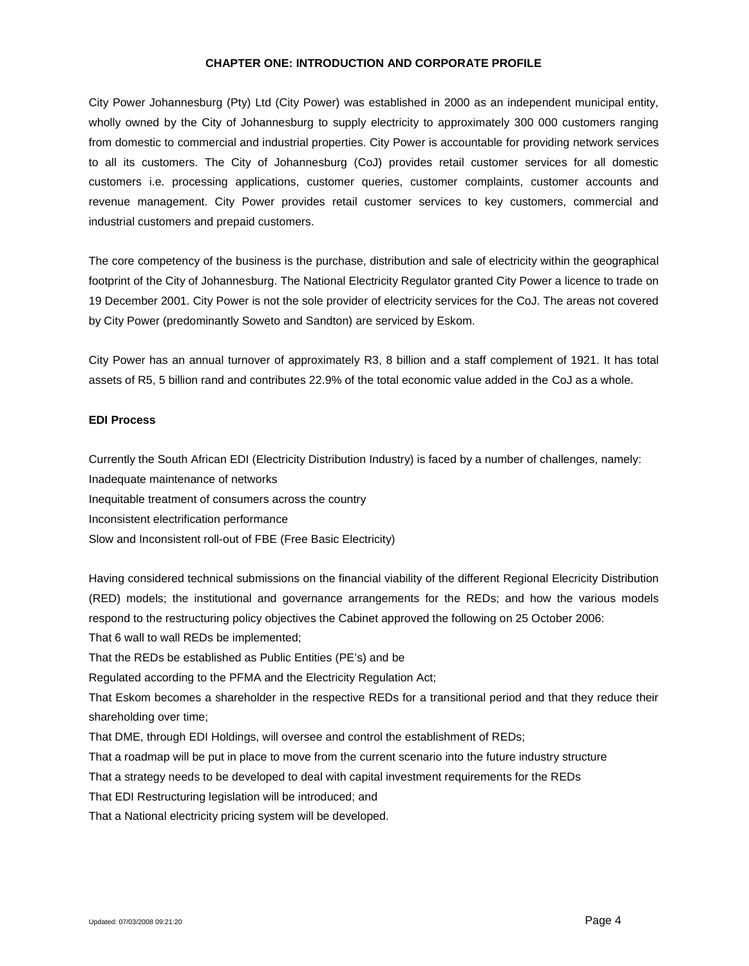### **CHAPTER ONE: INTRODUCTION AND CORPORATE PROFILE**

City Power Johannesburg (Pty) Ltd (City Power) was established in 2000 as an independent municipal entity, wholly owned by the City of Johannesburg to supply electricity to approximately 300 000 customers ranging from domestic to commercial and industrial properties. City Power is accountable for providing network services to all its customers. The City of Johannesburg (CoJ) provides retail customer services for all domestic customers i.e. processing applications, customer queries, customer complaints, customer accounts and revenue management. City Power provides retail customer services to key customers, commercial and industrial customers and prepaid customers.

The core competency of the business is the purchase, distribution and sale of electricity within the geographical footprint of the City of Johannesburg. The National Electricity Regulator granted City Power a licence to trade on 19 December 2001. City Power is not the sole provider of electricity services for the CoJ. The areas not covered by City Power (predominantly Soweto and Sandton) are serviced by Eskom.

City Power has an annual turnover of approximately R3, 8 billion and a staff complement of 1921. It has total assets of R5, 5 billion rand and contributes 22.9% of the total economic value added in the CoJ as a whole.

### **EDI Process**

Currently the South African EDI (Electricity Distribution Industry) is faced by a number of challenges, namely:

Inadequate maintenance of networks

Inequitable treatment of consumers across the country

Inconsistent electrification performance

Slow and Inconsistent roll-out of FBE (Free Basic Electricity)

Having considered technical submissions on the financial viability of the different Regional Elecricity Distribution (RED) models; the institutional and governance arrangements for the REDs; and how the various models respond to the restructuring policy objectives the Cabinet approved the following on 25 October 2006:

That 6 wall to wall REDs be implemented;

That the REDs be established as Public Entities (PE's) and be

Regulated according to the PFMA and the Electricity Regulation Act;

That Eskom becomes a shareholder in the respective REDs for a transitional period and that they reduce their shareholding over time;

That DME, through EDI Holdings, will oversee and control the establishment of REDs;

That a roadmap will be put in place to move from the current scenario into the future industry structure

That a strategy needs to be developed to deal with capital investment requirements for the REDs

That EDI Restructuring legislation will be introduced; and

That a National electricity pricing system will be developed.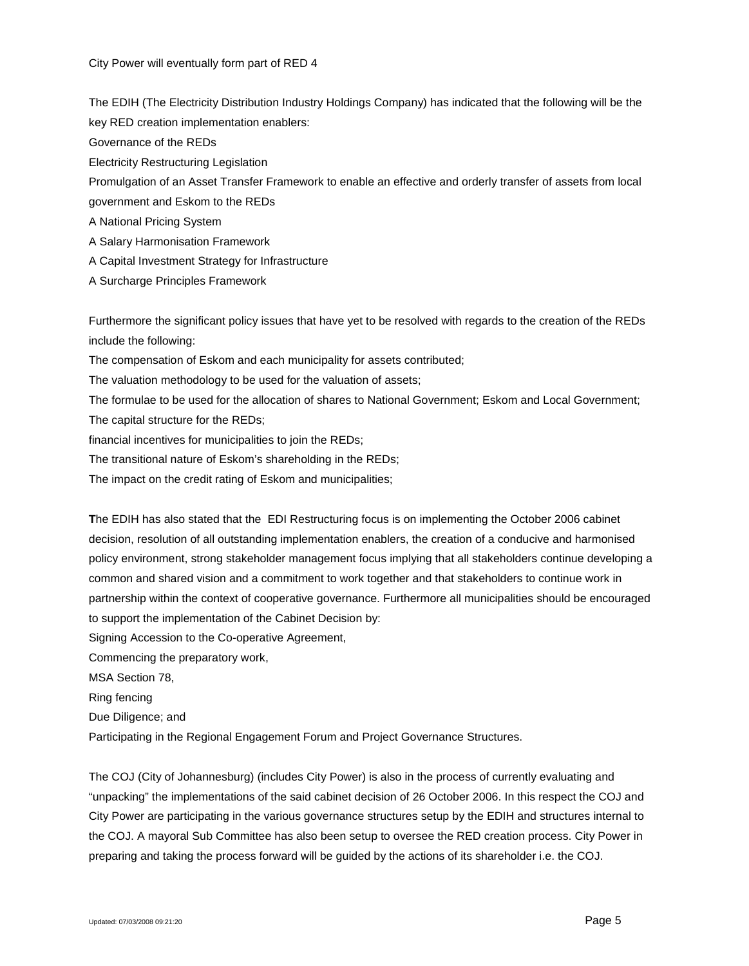The EDIH (The Electricity Distribution Industry Holdings Company) has indicated that the following will be the key RED creation implementation enablers:

Governance of the REDs

Electricity Restructuring Legislation

Promulgation of an Asset Transfer Framework to enable an effective and orderly transfer of assets from local

government and Eskom to the REDs

A National Pricing System

A Salary Harmonisation Framework

A Capital Investment Strategy for Infrastructure

A Surcharge Principles Framework

Furthermore the significant policy issues that have yet to be resolved with regards to the creation of the REDs include the following:

The compensation of Eskom and each municipality for assets contributed;

The valuation methodology to be used for the valuation of assets;

The formulae to be used for the allocation of shares to National Government; Eskom and Local Government; The capital structure for the REDs;

financial incentives for municipalities to join the REDs;

The transitional nature of Eskom's shareholding in the REDs;

The impact on the credit rating of Eskom and municipalities;

**T**he EDIH has also stated that the EDI Restructuring focus is on implementing the October 2006 cabinet decision, resolution of all outstanding implementation enablers, the creation of a conducive and harmonised policy environment, strong stakeholder management focus implying that all stakeholders continue developing a common and shared vision and a commitment to work together and that stakeholders to continue work in partnership within the context of cooperative governance. Furthermore all municipalities should be encouraged to support the implementation of the Cabinet Decision by:

Signing Accession to the Co-operative Agreement,

Commencing the preparatory work,

MSA Section 78,

Ring fencing

Due Diligence; and

Participating in the Regional Engagement Forum and Project Governance Structures.

The COJ (City of Johannesburg) (includes City Power) is also in the process of currently evaluating and "unpacking" the implementations of the said cabinet decision of 26 October 2006. In this respect the COJ and City Power are participating in the various governance structures setup by the EDIH and structures internal to the COJ. A mayoral Sub Committee has also been setup to oversee the RED creation process. City Power in preparing and taking the process forward will be guided by the actions of its shareholder i.e. the COJ.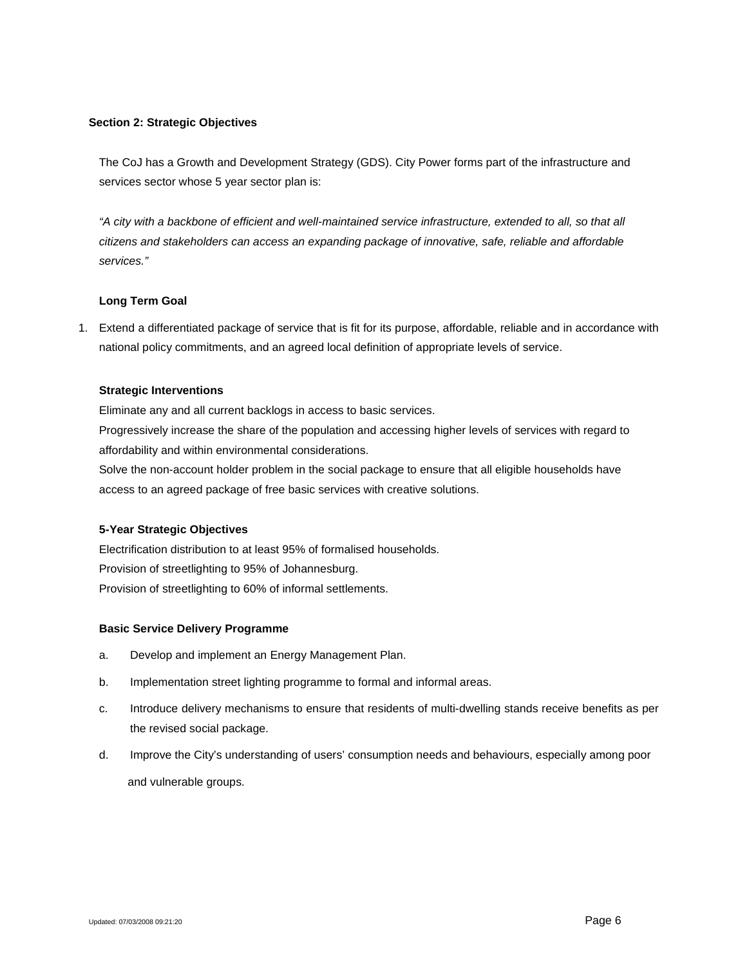### **Section 2: Strategic Objectives**

The CoJ has a Growth and Development Strategy (GDS). City Power forms part of the infrastructure and services sector whose 5 year sector plan is:

*"A city with a backbone of efficient and well-maintained service infrastructure, extended to all, so that all citizens and stakeholders can access an expanding package of innovative, safe, reliable and affordable services."*

### **Long Term Goal**

1. Extend a differentiated package of service that is fit for its purpose, affordable, reliable and in accordance with national policy commitments, and an agreed local definition of appropriate levels of service.

#### **Strategic Interventions**

Eliminate any and all current backlogs in access to basic services.

Progressively increase the share of the population and accessing higher levels of services with regard to affordability and within environmental considerations.

Solve the non-account holder problem in the social package to ensure that all eligible households have access to an agreed package of free basic services with creative solutions.

# **5-Year Strategic Objectives**

Electrification distribution to at least 95% of formalised households. Provision of streetlighting to 95% of Johannesburg. Provision of streetlighting to 60% of informal settlements.

### **Basic Service Delivery Programme**

- a. Develop and implement an Energy Management Plan.
- b. Implementation street lighting programme to formal and informal areas.
- c. Introduce delivery mechanisms to ensure that residents of multi-dwelling stands receive benefits as per the revised social package.
- d. Improve the City's understanding of users' consumption needs and behaviours, especially among poor and vulnerable groups.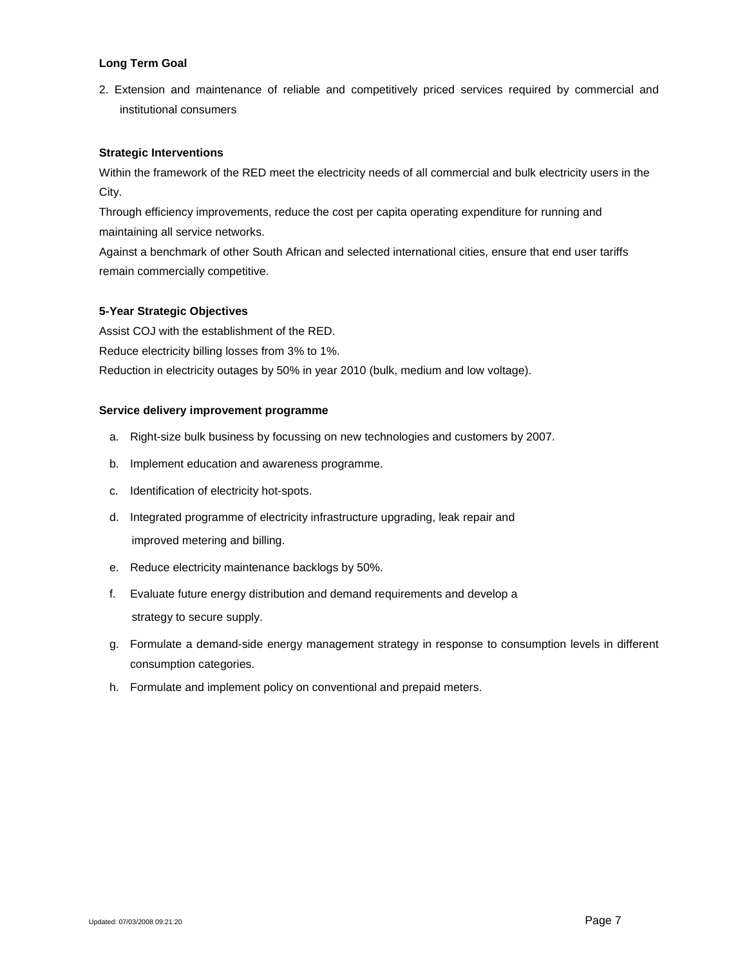2. Extension and maintenance of reliable and competitively priced services required by commercial and institutional consumers

# **Strategic Interventions**

Within the framework of the RED meet the electricity needs of all commercial and bulk electricity users in the City.

Through efficiency improvements, reduce the cost per capita operating expenditure for running and maintaining all service networks.

Against a benchmark of other South African and selected international cities, ensure that end user tariffs remain commercially competitive.

### **5-Year Strategic Objectives**

Assist COJ with the establishment of the RED.

Reduce electricity billing losses from 3% to 1%.

Reduction in electricity outages by 50% in year 2010 (bulk, medium and low voltage).

### **Service delivery improvement programme**

- a. Right-size bulk business by focussing on new technologies and customers by 2007.
- b. Implement education and awareness programme.
- c. Identification of electricity hot-spots.
- d. Integrated programme of electricity infrastructure upgrading, leak repair and improved metering and billing.
- e. Reduce electricity maintenance backlogs by 50%.
- f. Evaluate future energy distribution and demand requirements and develop a strategy to secure supply.
- g. Formulate a demand-side energy management strategy in response to consumption levels in different consumption categories.
- h. Formulate and implement policy on conventional and prepaid meters.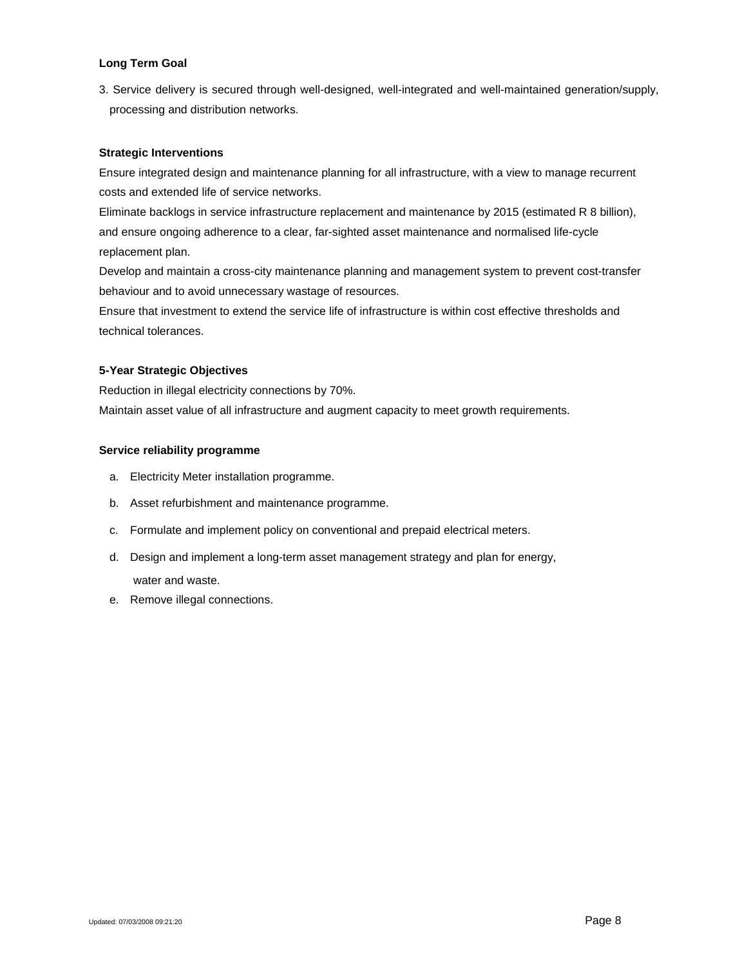3. Service delivery is secured through well-designed, well-integrated and well-maintained generation/supply, processing and distribution networks.

### **Strategic Interventions**

Ensure integrated design and maintenance planning for all infrastructure, with a view to manage recurrent costs and extended life of service networks.

Eliminate backlogs in service infrastructure replacement and maintenance by 2015 (estimated R 8 billion), and ensure ongoing adherence to a clear, far-sighted asset maintenance and normalised life-cycle replacement plan.

Develop and maintain a cross-city maintenance planning and management system to prevent cost-transfer behaviour and to avoid unnecessary wastage of resources.

Ensure that investment to extend the service life of infrastructure is within cost effective thresholds and technical tolerances.

# **5-Year Strategic Objectives**

Reduction in illegal electricity connections by 70%. Maintain asset value of all infrastructure and augment capacity to meet growth requirements.

### **Service reliability programme**

- a. Electricity Meter installation programme.
- b. Asset refurbishment and maintenance programme.
- c. Formulate and implement policy on conventional and prepaid electrical meters.
- d. Design and implement a long-term asset management strategy and plan for energy, water and waste.
- e. Remove illegal connections.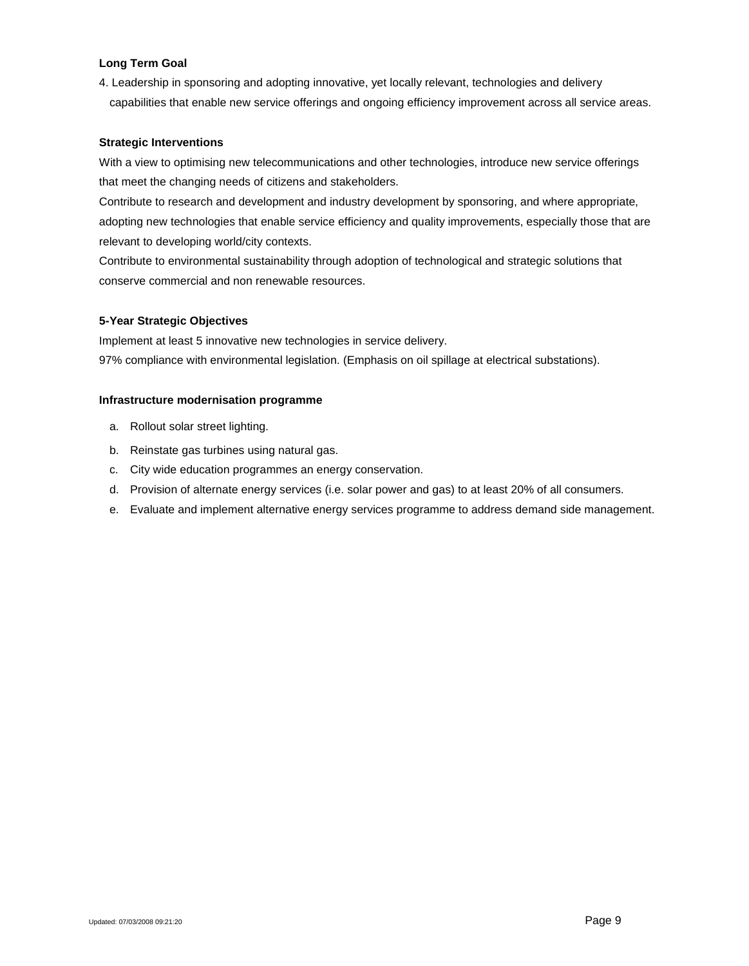4. Leadership in sponsoring and adopting innovative, yet locally relevant, technologies and delivery capabilities that enable new service offerings and ongoing efficiency improvement across all service areas.

### **Strategic Interventions**

With a view to optimising new telecommunications and other technologies, introduce new service offerings that meet the changing needs of citizens and stakeholders.

Contribute to research and development and industry development by sponsoring, and where appropriate, adopting new technologies that enable service efficiency and quality improvements, especially those that are relevant to developing world/city contexts.

Contribute to environmental sustainability through adoption of technological and strategic solutions that conserve commercial and non renewable resources.

# **5-Year Strategic Objectives**

Implement at least 5 innovative new technologies in service delivery. 97% compliance with environmental legislation. (Emphasis on oil spillage at electrical substations).

### **Infrastructure modernisation programme**

- a. Rollout solar street lighting.
- b. Reinstate gas turbines using natural gas.
- c. City wide education programmes an energy conservation.
- d. Provision of alternate energy services (i.e. solar power and gas) to at least 20% of all consumers.
- e. Evaluate and implement alternative energy services programme to address demand side management.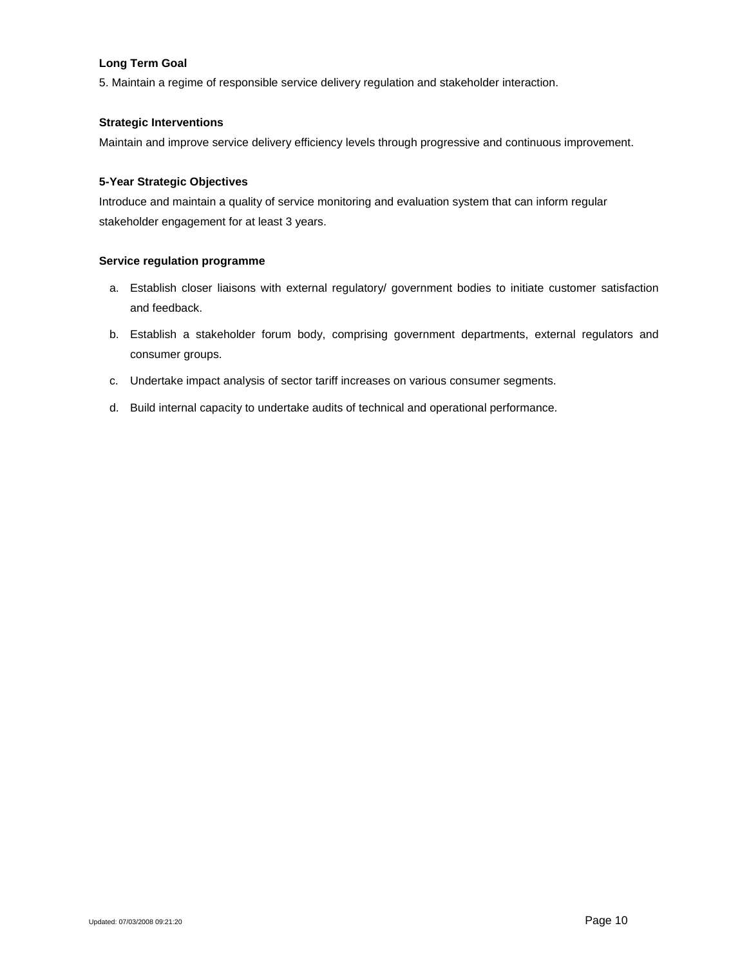5. Maintain a regime of responsible service delivery regulation and stakeholder interaction.

### **Strategic Interventions**

Maintain and improve service delivery efficiency levels through progressive and continuous improvement.

### **5-Year Strategic Objectives**

Introduce and maintain a quality of service monitoring and evaluation system that can inform regular stakeholder engagement for at least 3 years.

### **Service regulation programme**

- a. Establish closer liaisons with external regulatory/ government bodies to initiate customer satisfaction and feedback.
- b. Establish a stakeholder forum body, comprising government departments, external regulators and consumer groups.
- c. Undertake impact analysis of sector tariff increases on various consumer segments.
- d. Build internal capacity to undertake audits of technical and operational performance.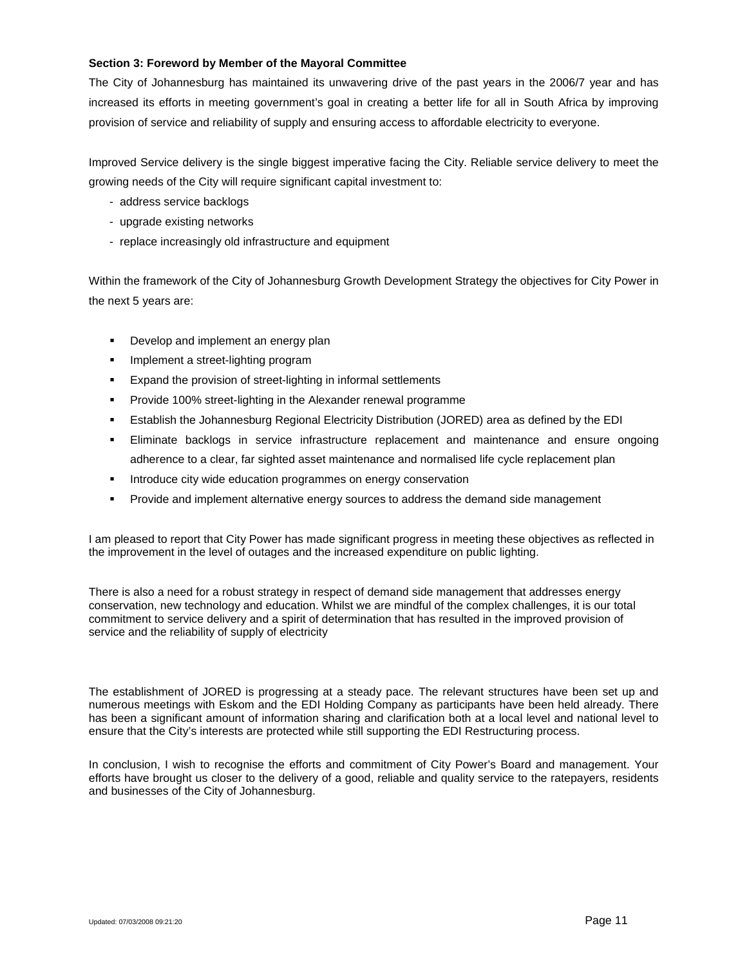### **Section 3: Foreword by Member of the Mayoral Committee**

The City of Johannesburg has maintained its unwavering drive of the past years in the 2006/7 year and has increased its efforts in meeting government's goal in creating a better life for all in South Africa by improving provision of service and reliability of supply and ensuring access to affordable electricity to everyone.

Improved Service delivery is the single biggest imperative facing the City. Reliable service delivery to meet the growing needs of the City will require significant capital investment to:

- address service backlogs
- upgrade existing networks
- replace increasingly old infrastructure and equipment

Within the framework of the City of Johannesburg Growth Development Strategy the objectives for City Power in the next 5 years are:

- **Develop and implement an energy plan**
- Implement a street-lighting program
- Expand the provision of street-lighting in informal settlements
- Provide 100% street-lighting in the Alexander renewal programme
- Establish the Johannesburg Regional Electricity Distribution (JORED) area as defined by the EDI
- Eliminate backlogs in service infrastructure replacement and maintenance and ensure ongoing adherence to a clear, far sighted asset maintenance and normalised life cycle replacement plan
- **Introduce city wide education programmes on energy conservation**
- Provide and implement alternative energy sources to address the demand side management

I am pleased to report that City Power has made significant progress in meeting these objectives as reflected in the improvement in the level of outages and the increased expenditure on public lighting.

There is also a need for a robust strategy in respect of demand side management that addresses energy conservation, new technology and education. Whilst we are mindful of the complex challenges, it is our total commitment to service delivery and a spirit of determination that has resulted in the improved provision of service and the reliability of supply of electricity

The establishment of JORED is progressing at a steady pace. The relevant structures have been set up and numerous meetings with Eskom and the EDI Holding Company as participants have been held already. There has been a significant amount of information sharing and clarification both at a local level and national level to ensure that the City's interests are protected while still supporting the EDI Restructuring process.

In conclusion, I wish to recognise the efforts and commitment of City Power's Board and management. Your efforts have brought us closer to the delivery of a good, reliable and quality service to the ratepayers, residents and businesses of the City of Johannesburg.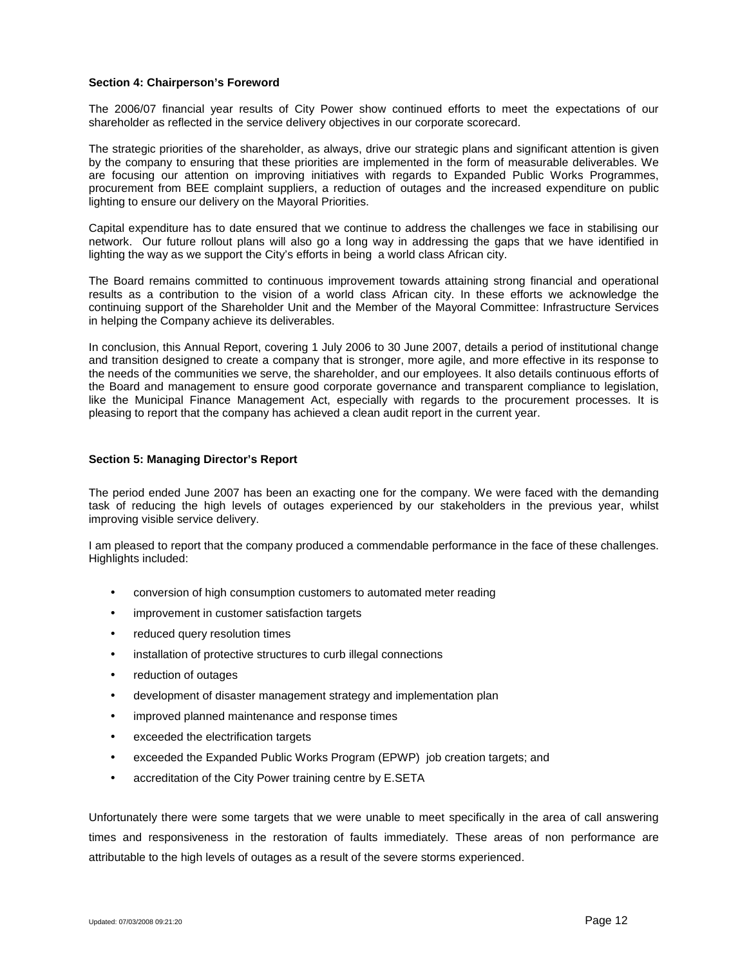#### **Section 4: Chairperson's Foreword**

The 2006/07 financial year results of City Power show continued efforts to meet the expectations of our shareholder as reflected in the service delivery objectives in our corporate scorecard.

The strategic priorities of the shareholder, as always, drive our strategic plans and significant attention is given by the company to ensuring that these priorities are implemented in the form of measurable deliverables. We are focusing our attention on improving initiatives with regards to Expanded Public Works Programmes, procurement from BEE complaint suppliers, a reduction of outages and the increased expenditure on public lighting to ensure our delivery on the Mayoral Priorities.

Capital expenditure has to date ensured that we continue to address the challenges we face in stabilising our network. Our future rollout plans will also go a long way in addressing the gaps that we have identified in lighting the way as we support the City's efforts in being a world class African city.

The Board remains committed to continuous improvement towards attaining strong financial and operational results as a contribution to the vision of a world class African city. In these efforts we acknowledge the continuing support of the Shareholder Unit and the Member of the Mayoral Committee: Infrastructure Services in helping the Company achieve its deliverables.

In conclusion, this Annual Report, covering 1 July 2006 to 30 June 2007, details a period of institutional change and transition designed to create a company that is stronger, more agile, and more effective in its response to the needs of the communities we serve, the shareholder, and our employees. It also details continuous efforts of the Board and management to ensure good corporate governance and transparent compliance to legislation, like the Municipal Finance Management Act, especially with regards to the procurement processes. It is pleasing to report that the company has achieved a clean audit report in the current year.

### **Section 5: Managing Director's Report**

The period ended June 2007 has been an exacting one for the company. We were faced with the demanding task of reducing the high levels of outages experienced by our stakeholders in the previous year, whilst improving visible service delivery.

I am pleased to report that the company produced a commendable performance in the face of these challenges. Highlights included:

- conversion of high consumption customers to automated meter reading
- improvement in customer satisfaction targets
- reduced query resolution times
- installation of protective structures to curb illegal connections
- reduction of outages
- development of disaster management strategy and implementation plan
- improved planned maintenance and response times
- **EXCEED FR** electrification targets
- exceeded the Expanded Public Works Program (EPWP) job creation targets; and
- accreditation of the City Power training centre by E.SETA

Unfortunately there were some targets that we were unable to meet specifically in the area of call answering times and responsiveness in the restoration of faults immediately. These areas of non performance are attributable to the high levels of outages as a result of the severe storms experienced.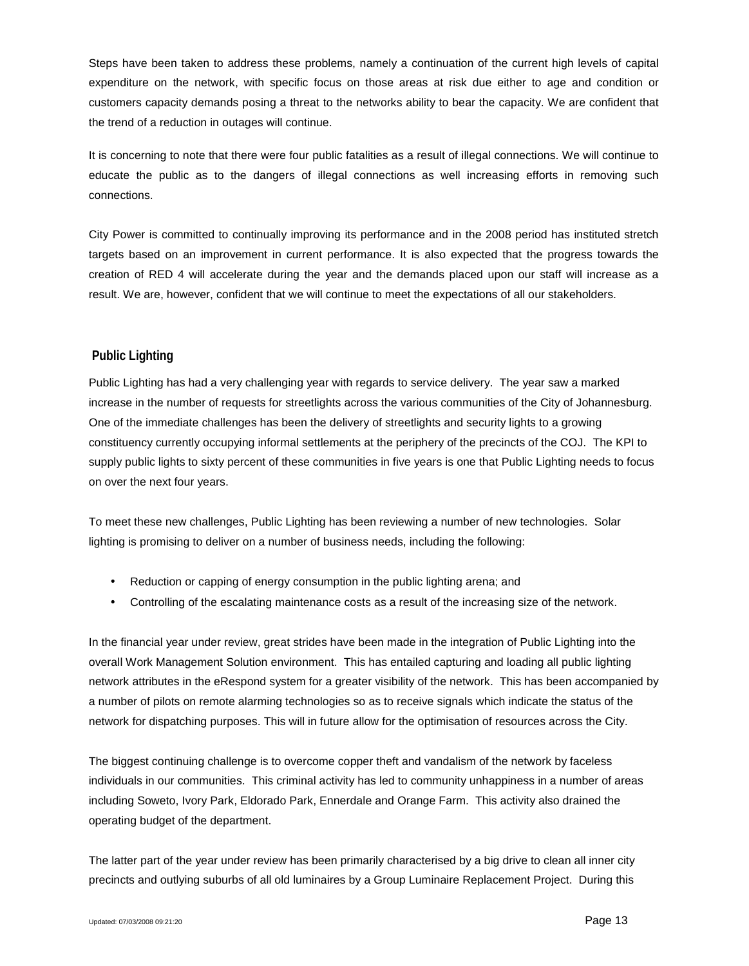Steps have been taken to address these problems, namely a continuation of the current high levels of capital expenditure on the network, with specific focus on those areas at risk due either to age and condition or customers capacity demands posing a threat to the networks ability to bear the capacity. We are confident that the trend of a reduction in outages will continue.

It is concerning to note that there were four public fatalities as a result of illegal connections. We will continue to educate the public as to the dangers of illegal connections as well increasing efforts in removing such connections.

City Power is committed to continually improving its performance and in the 2008 period has instituted stretch targets based on an improvement in current performance. It is also expected that the progress towards the creation of RED 4 will accelerate during the year and the demands placed upon our staff will increase as a result. We are, however, confident that we will continue to meet the expectations of all our stakeholders.

# **Public Lighting**

Public Lighting has had a very challenging year with regards to service delivery. The year saw a marked increase in the number of requests for streetlights across the various communities of the City of Johannesburg. One of the immediate challenges has been the delivery of streetlights and security lights to a growing constituency currently occupying informal settlements at the periphery of the precincts of the COJ. The KPI to supply public lights to sixty percent of these communities in five years is one that Public Lighting needs to focus on over the next four years.

To meet these new challenges, Public Lighting has been reviewing a number of new technologies. Solar lighting is promising to deliver on a number of business needs, including the following:

- Reduction or capping of energy consumption in the public lighting arena; and
- Controlling of the escalating maintenance costs as a result of the increasing size of the network.

In the financial year under review, great strides have been made in the integration of Public Lighting into the overall Work Management Solution environment. This has entailed capturing and loading all public lighting network attributes in the eRespond system for a greater visibility of the network. This has been accompanied by a number of pilots on remote alarming technologies so as to receive signals which indicate the status of the network for dispatching purposes. This will in future allow for the optimisation of resources across the City.

The biggest continuing challenge is to overcome copper theft and vandalism of the network by faceless individuals in our communities. This criminal activity has led to community unhappiness in a number of areas including Soweto, Ivory Park, Eldorado Park, Ennerdale and Orange Farm. This activity also drained the operating budget of the department.

The latter part of the year under review has been primarily characterised by a big drive to clean all inner city precincts and outlying suburbs of all old luminaires by a Group Luminaire Replacement Project. During this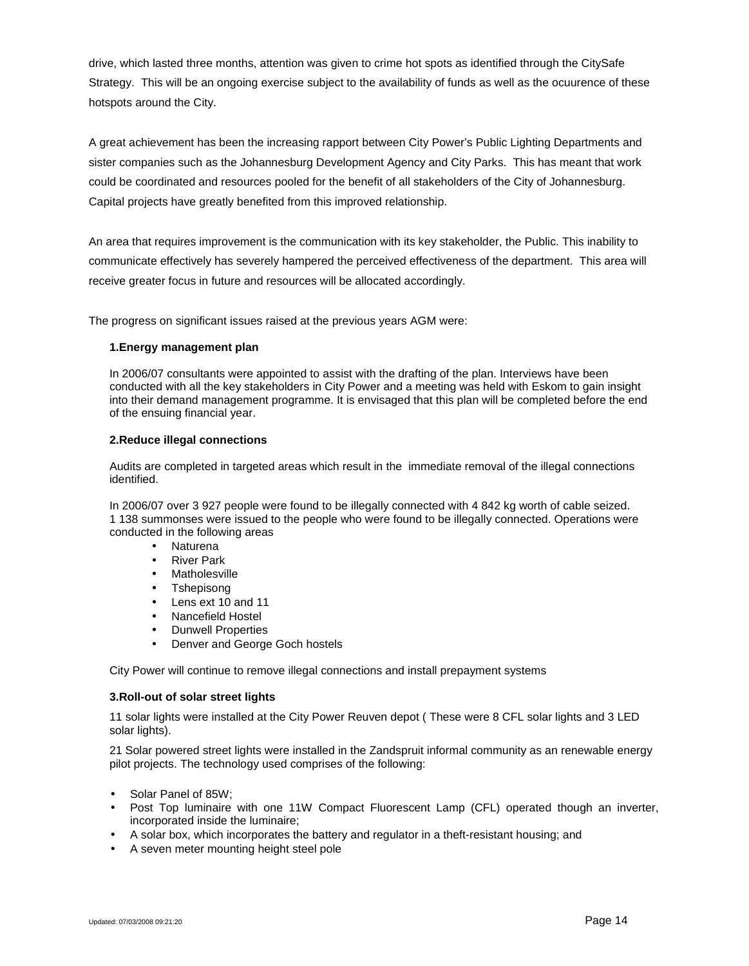drive, which lasted three months, attention was given to crime hot spots as identified through the CitySafe Strategy. This will be an ongoing exercise subject to the availability of funds as well as the ocuurence of these hotspots around the City.

A great achievement has been the increasing rapport between City Power's Public Lighting Departments and sister companies such as the Johannesburg Development Agency and City Parks. This has meant that work could be coordinated and resources pooled for the benefit of all stakeholders of the City of Johannesburg. Capital projects have greatly benefited from this improved relationship.

An area that requires improvement is the communication with its key stakeholder, the Public. This inability to communicate effectively has severely hampered the perceived effectiveness of the department. This area will receive greater focus in future and resources will be allocated accordingly.

The progress on significant issues raised at the previous years AGM were:

### **1.Energy management plan**

In 2006/07 consultants were appointed to assist with the drafting of the plan. Interviews have been conducted with all the key stakeholders in City Power and a meeting was held with Eskom to gain insight into their demand management programme. It is envisaged that this plan will be completed before the end of the ensuing financial year.

### **2.Reduce illegal connections**

Audits are completed in targeted areas which result in the immediate removal of the illegal connections identified.

In 2006/07 over 3 927 people were found to be illegally connected with 4 842 kg worth of cable seized. 1 138 summonses were issued to the people who were found to be illegally connected. Operations were conducted in the following areas

- Naturena
- River Park
- Matholesville
- Tshepisong
- Lens ext 10 and 11
- Nancefield Hostel
- Dunwell Properties
- Denver and George Goch hostels

City Power will continue to remove illegal connections and install prepayment systems

### **3.Roll-out of solar street lights**

11 solar lights were installed at the City Power Reuven depot ( These were 8 CFL solar lights and 3 LED solar lights).

21 Solar powered street lights were installed in the Zandspruit informal community as an renewable energy pilot projects. The technology used comprises of the following:

- Solar Panel of 85W;
- Post Top luminaire with one 11W Compact Fluorescent Lamp (CFL) operated though an inverter, incorporated inside the luminaire;
- A solar box, which incorporates the battery and regulator in a theft-resistant housing; and
- A seven meter mounting height steel pole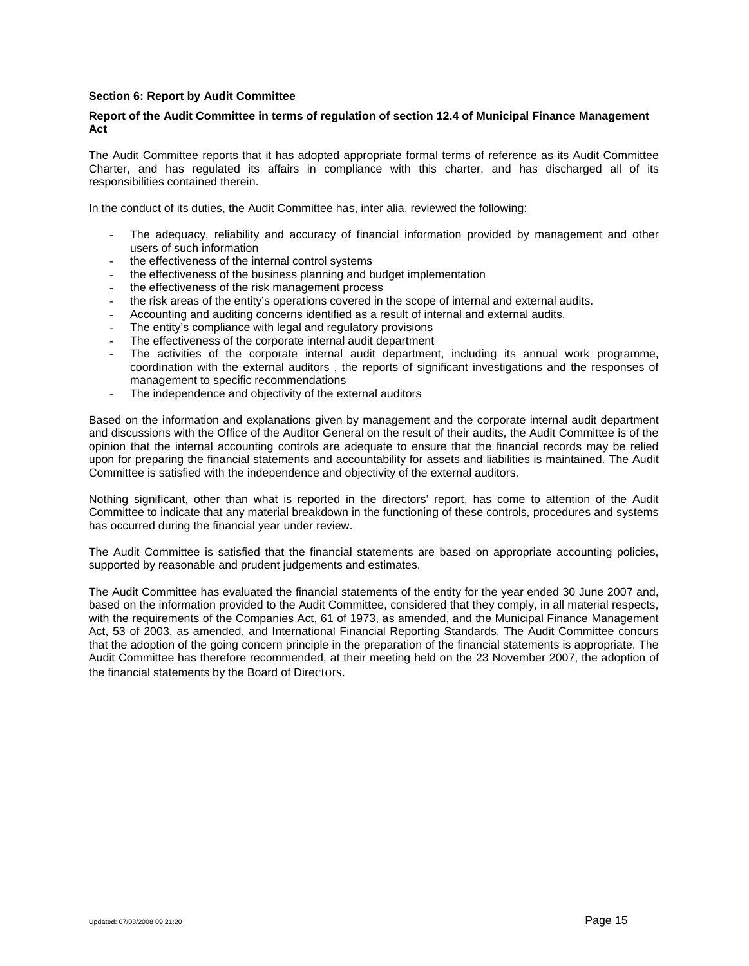### **Section 6: Report by Audit Committee**

### **Report of the Audit Committee in terms of regulation of section 12.4 of Municipal Finance Management Act**

The Audit Committee reports that it has adopted appropriate formal terms of reference as its Audit Committee Charter, and has regulated its affairs in compliance with this charter, and has discharged all of its responsibilities contained therein.

In the conduct of its duties, the Audit Committee has, inter alia, reviewed the following:

- The adequacy, reliability and accuracy of financial information provided by management and other users of such information
- the effectiveness of the internal control systems
- the effectiveness of the business planning and budget implementation
- the effectiveness of the risk management process
- the risk areas of the entity's operations covered in the scope of internal and external audits.
- Accounting and auditing concerns identified as a result of internal and external audits.
- The entity's compliance with legal and regulatory provisions
- The effectiveness of the corporate internal audit department
- The activities of the corporate internal audit department, including its annual work programme, coordination with the external auditors , the reports of significant investigations and the responses of management to specific recommendations
- The independence and objectivity of the external auditors

Based on the information and explanations given by management and the corporate internal audit department and discussions with the Office of the Auditor General on the result of their audits, the Audit Committee is of the opinion that the internal accounting controls are adequate to ensure that the financial records may be relied upon for preparing the financial statements and accountability for assets and liabilities is maintained. The Audit Committee is satisfied with the independence and objectivity of the external auditors.

Nothing significant, other than what is reported in the directors' report, has come to attention of the Audit Committee to indicate that any material breakdown in the functioning of these controls, procedures and systems has occurred during the financial year under review.

The Audit Committee is satisfied that the financial statements are based on appropriate accounting policies, supported by reasonable and prudent judgements and estimates.

The Audit Committee has evaluated the financial statements of the entity for the year ended 30 June 2007 and, based on the information provided to the Audit Committee, considered that they comply, in all material respects, with the requirements of the Companies Act, 61 of 1973, as amended, and the Municipal Finance Management Act, 53 of 2003, as amended, and International Financial Reporting Standards. The Audit Committee concurs that the adoption of the going concern principle in the preparation of the financial statements is appropriate. The Audit Committee has therefore recommended, at their meeting held on the 23 November 2007, the adoption of the financial statements by the Board of Directors.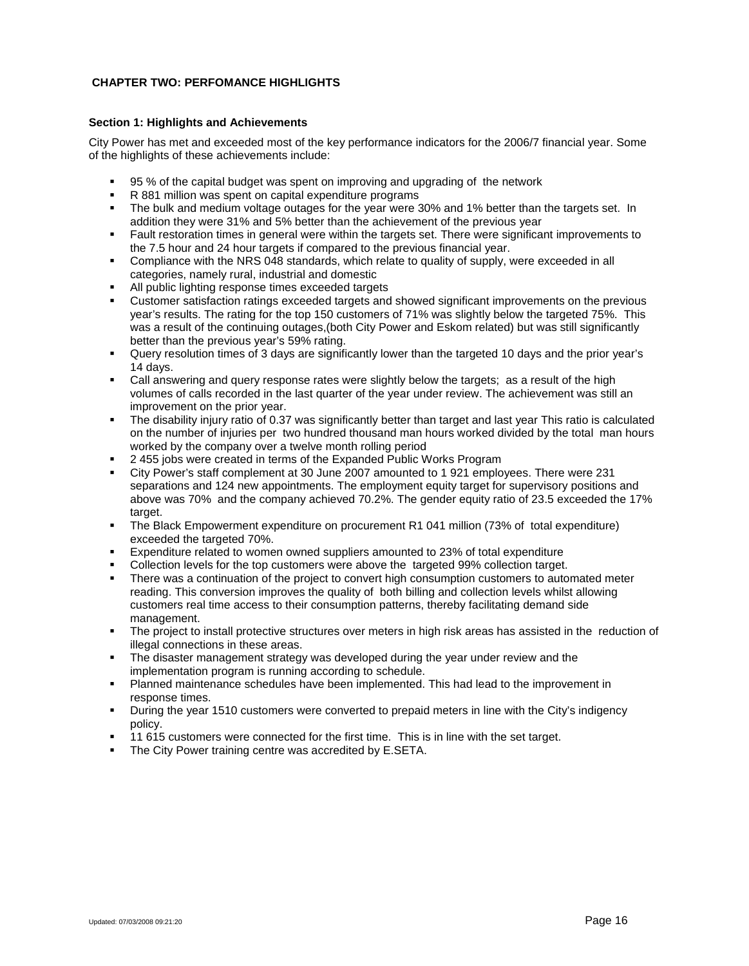# **CHAPTER TWO: PERFOMANCE HIGHLIGHTS**

### **Section 1: Highlights and Achievements**

City Power has met and exceeded most of the key performance indicators for the 2006/7 financial year. Some of the highlights of these achievements include:

- 95 % of the capital budget was spent on improving and upgrading of the network
- R 881 million was spent on capital expenditure programs
- The bulk and medium voltage outages for the year were 30% and 1% better than the targets set. In addition they were 31% and 5% better than the achievement of the previous year
- Fault restoration times in general were within the targets set. There were significant improvements to the 7.5 hour and 24 hour targets if compared to the previous financial year.
- Compliance with the NRS 048 standards, which relate to quality of supply, were exceeded in all categories, namely rural, industrial and domestic
- All public lighting response times exceeded targets
- Customer satisfaction ratings exceeded targets and showed significant improvements on the previous year's results. The rating for the top 150 customers of 71% was slightly below the targeted 75%. This was a result of the continuing outages,(both City Power and Eskom related) but was still significantly better than the previous year's 59% rating.
- Query resolution times of 3 days are significantly lower than the targeted 10 days and the prior year's 14 days.
- Call answering and query response rates were slightly below the targets; as a result of the high volumes of calls recorded in the last quarter of the year under review. The achievement was still an improvement on the prior year.
- The disability injury ratio of 0.37 was significantly better than target and last year This ratio is calculated on the number of injuries per two hundred thousand man hours worked divided by the total man hours worked by the company over a twelve month rolling period
- 2 455 jobs were created in terms of the Expanded Public Works Program
- City Power's staff complement at 30 June 2007 amounted to 1 921 employees. There were 231 separations and 124 new appointments. The employment equity target for supervisory positions and above was 70% and the company achieved 70.2%. The gender equity ratio of 23.5 exceeded the 17% target.
- The Black Empowerment expenditure on procurement R1 041 million (73% of total expenditure) exceeded the targeted 70%.
- Expenditure related to women owned suppliers amounted to 23% of total expenditure
- Collection levels for the top customers were above the targeted 99% collection target.
- There was a continuation of the project to convert high consumption customers to automated meter reading. This conversion improves the quality of both billing and collection levels whilst allowing customers real time access to their consumption patterns, thereby facilitating demand side management.
- The project to install protective structures over meters in high risk areas has assisted in the reduction of illegal connections in these areas.
- The disaster management strategy was developed during the year under review and the implementation program is running according to schedule.
- Planned maintenance schedules have been implemented. This had lead to the improvement in response times.
- During the year 1510 customers were converted to prepaid meters in line with the City's indigency policy.
- 11 615 customers were connected for the first time. This is in line with the set target.
- The City Power training centre was accredited by E.SETA.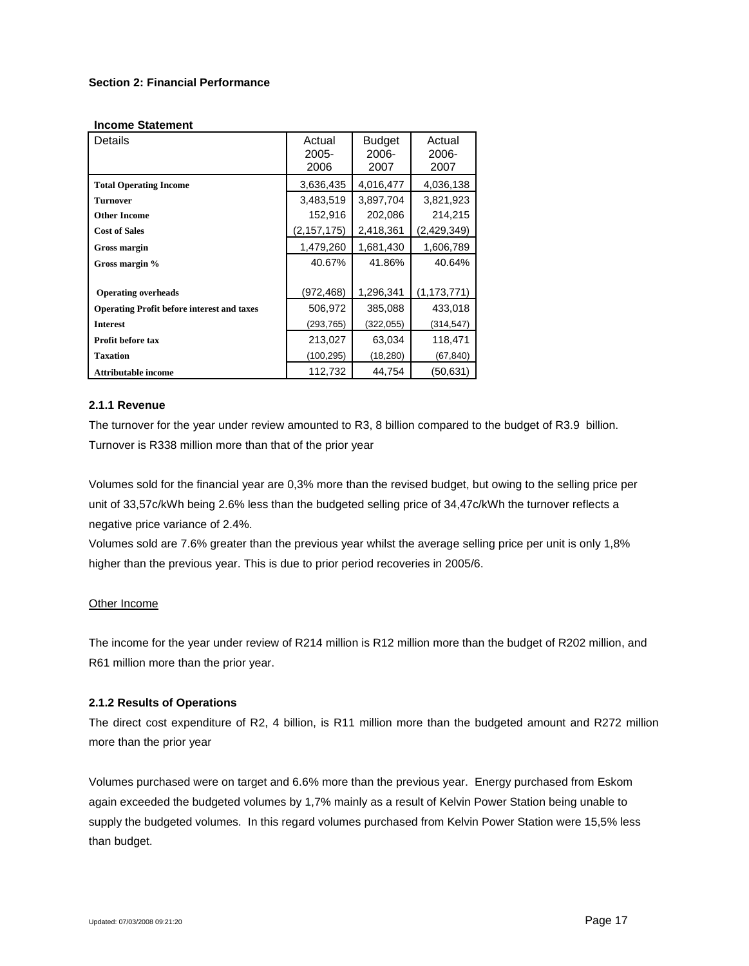### **Section 2: Financial Performance**

#### **Income Statement**

| Details                                           | Actual<br>2005-<br>2006 | <b>Budget</b><br>2006-<br>2007 | Actual<br>2006-<br>2007 |
|---------------------------------------------------|-------------------------|--------------------------------|-------------------------|
| <b>Total Operating Income</b>                     | 3,636,435               | 4,016,477                      | 4,036,138               |
| <b>Turnover</b>                                   | 3,483,519               | 3,897,704                      | 3,821,923               |
| <b>Other Income</b>                               | 152,916                 | 202,086                        | 214,215                 |
| <b>Cost of Sales</b>                              | (2, 157, 175)           | 2,418,361                      | (2,429,349)             |
| Gross margin                                      | 1,479,260               | 1,681,430                      | 1,606,789               |
| Gross margin %                                    | 40.67%                  | 41.86%                         | 40.64%                  |
| <b>Operating overheads</b>                        | (972,468)               | 1,296,341                      | (1, 173, 771)           |
| <b>Operating Profit before interest and taxes</b> | 506,972                 | 385,088                        | 433,018                 |
| <b>Interest</b>                                   | (293,765)               | (322, 055)                     | (314, 547)              |
| <b>Profit before tax</b>                          | 213,027                 | 63,034                         | 118,471                 |
| <b>Taxation</b>                                   | (100,295)               | (18,280)                       | (67,840)                |
| <b>Attributable income</b>                        | 112,732                 | 44,754                         | 50,631                  |

# **2.1.1 Revenue**

The turnover for the year under review amounted to R3, 8 billion compared to the budget of R3.9 billion. Turnover is R338 million more than that of the prior year

Volumes sold for the financial year are 0,3% more than the revised budget, but owing to the selling price per unit of 33,57c/kWh being 2.6% less than the budgeted selling price of 34,47c/kWh the turnover reflects a negative price variance of 2.4%.

Volumes sold are 7.6% greater than the previous year whilst the average selling price per unit is only 1,8% higher than the previous year. This is due to prior period recoveries in 2005/6.

### Other Income

The income for the year under review of R214 million is R12 million more than the budget of R202 million, and R61 million more than the prior year.

# **2.1.2 Results of Operations**

The direct cost expenditure of R2, 4 billion, is R11 million more than the budgeted amount and R272 million more than the prior year

Volumes purchased were on target and 6.6% more than the previous year. Energy purchased from Eskom again exceeded the budgeted volumes by 1,7% mainly as a result of Kelvin Power Station being unable to supply the budgeted volumes. In this regard volumes purchased from Kelvin Power Station were 15,5% less than budget.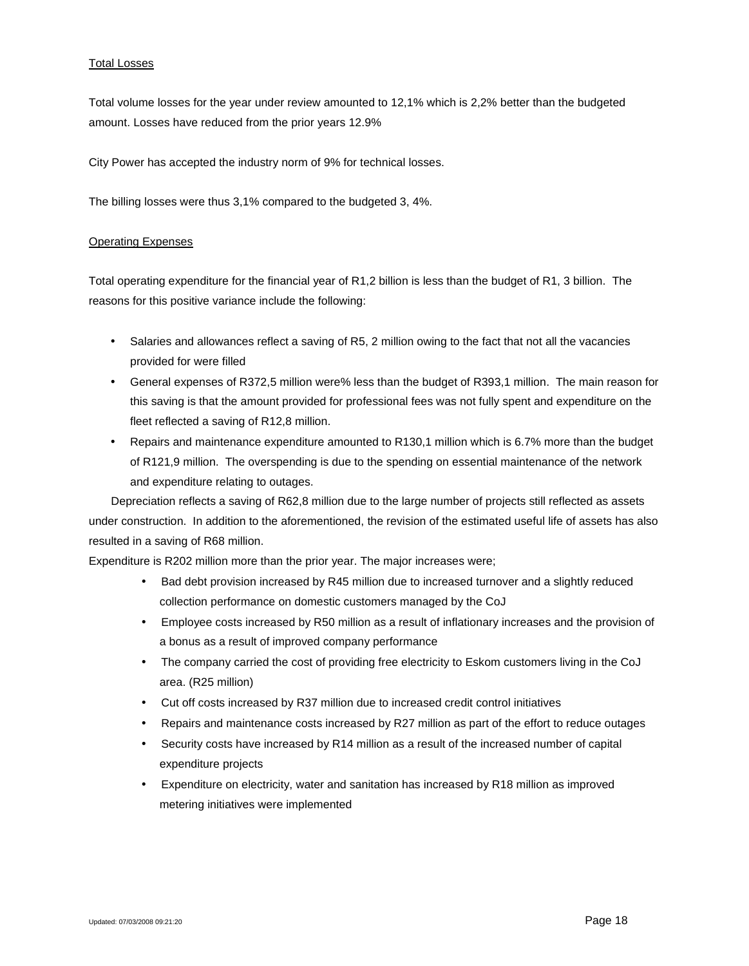### Total Losses

Total volume losses for the year under review amounted to 12,1% which is 2,2% better than the budgeted amount. Losses have reduced from the prior years 12.9%

City Power has accepted the industry norm of 9% for technical losses.

The billing losses were thus 3,1% compared to the budgeted 3, 4%.

### Operating Expenses

Total operating expenditure for the financial year of R1,2 billion is less than the budget of R1, 3 billion. The reasons for this positive variance include the following:

- Salaries and allowances reflect a saving of R5, 2 million owing to the fact that not all the vacancies provided for were filled
- General expenses of R372,5 million were% less than the budget of R393,1 million. The main reason for this saving is that the amount provided for professional fees was not fully spent and expenditure on the fleet reflected a saving of R12,8 million.
- Repairs and maintenance expenditure amounted to R130,1 million which is 6.7% more than the budget of R121,9 million. The overspending is due to the spending on essential maintenance of the network and expenditure relating to outages.

Depreciation reflects a saving of R62,8 million due to the large number of projects still reflected as assets under construction. In addition to the aforementioned, the revision of the estimated useful life of assets has also resulted in a saving of R68 million.

Expenditure is R202 million more than the prior year. The major increases were;

- Bad debt provision increased by R45 million due to increased turnover and a slightly reduced collection performance on domestic customers managed by the CoJ
- Employee costs increased by R50 million as a result of inflationary increases and the provision of a bonus as a result of improved company performance
- The company carried the cost of providing free electricity to Eskom customers living in the CoJ area. (R25 million)
- Cut off costs increased by R37 million due to increased credit control initiatives
- Repairs and maintenance costs increased by R27 million as part of the effort to reduce outages
- Security costs have increased by R14 million as a result of the increased number of capital expenditure projects
- Expenditure on electricity, water and sanitation has increased by R18 million as improved metering initiatives were implemented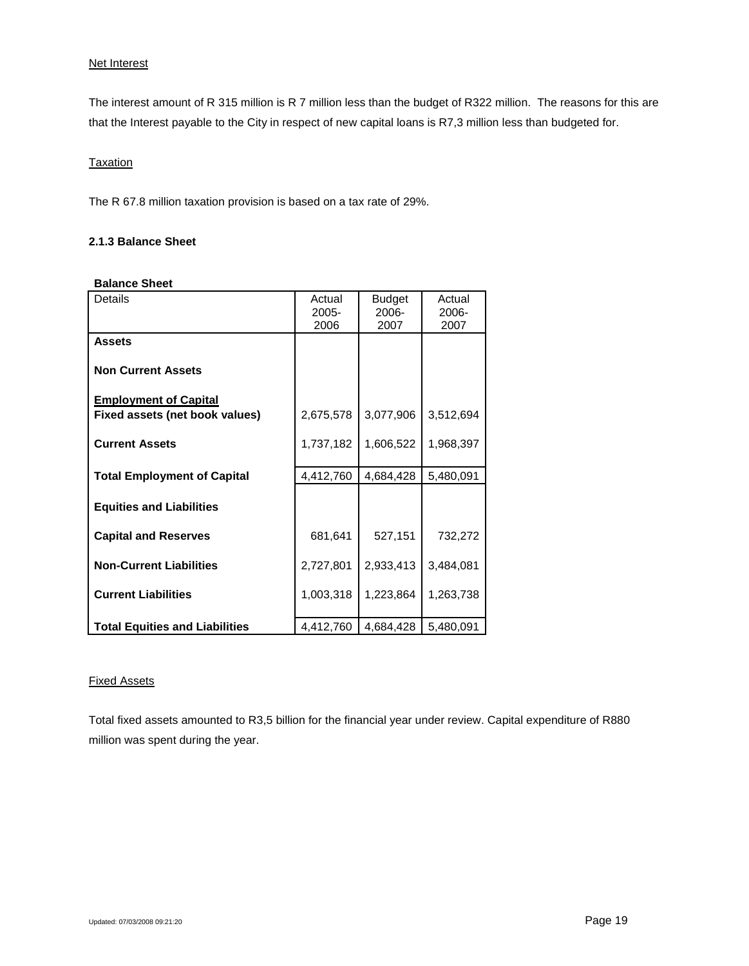### Net Interest

The interest amount of R 315 million is R 7 million less than the budget of R322 million. The reasons for this are that the Interest payable to the City in respect of new capital loans is R7,3 million less than budgeted for.

### Taxation

The R 67.8 million taxation provision is based on a tax rate of 29%.

# **2.1.3 Balance Sheet**

| <b>Balance Sheet</b>                                           |                            |                                |                         |
|----------------------------------------------------------------|----------------------------|--------------------------------|-------------------------|
| <b>Details</b>                                                 | Actual<br>$2005 -$<br>2006 | <b>Budget</b><br>2006-<br>2007 | Actual<br>2006-<br>2007 |
| <b>Assets</b>                                                  |                            |                                |                         |
| <b>Non Current Assets</b>                                      |                            |                                |                         |
| <b>Employment of Capital</b><br>Fixed assets (net book values) | 2,675,578                  | 3,077,906                      | 3,512,694               |
| <b>Current Assets</b>                                          | 1,737,182                  | 1,606,522                      | 1,968,397               |
| <b>Total Employment of Capital</b>                             | 4,412,760                  | 4,684,428                      | 5,480,091               |
| <b>Equities and Liabilities</b>                                |                            |                                |                         |
| <b>Capital and Reserves</b>                                    | 681,641                    | 527,151                        | 732,272                 |
| <b>Non-Current Liabilities</b>                                 | 2,727,801                  | 2,933,413                      | 3,484,081               |
| <b>Current Liabilities</b>                                     | 1,003,318                  | 1,223,864                      | 1,263,738               |
| <b>Total Equities and Liabilities</b>                          | 4,412,760                  | 4,684,428                      | 5,480,091               |

### **Balance Sheet**

### Fixed Assets

Total fixed assets amounted to R3,5 billion for the financial year under review. Capital expenditure of R880 million was spent during the year.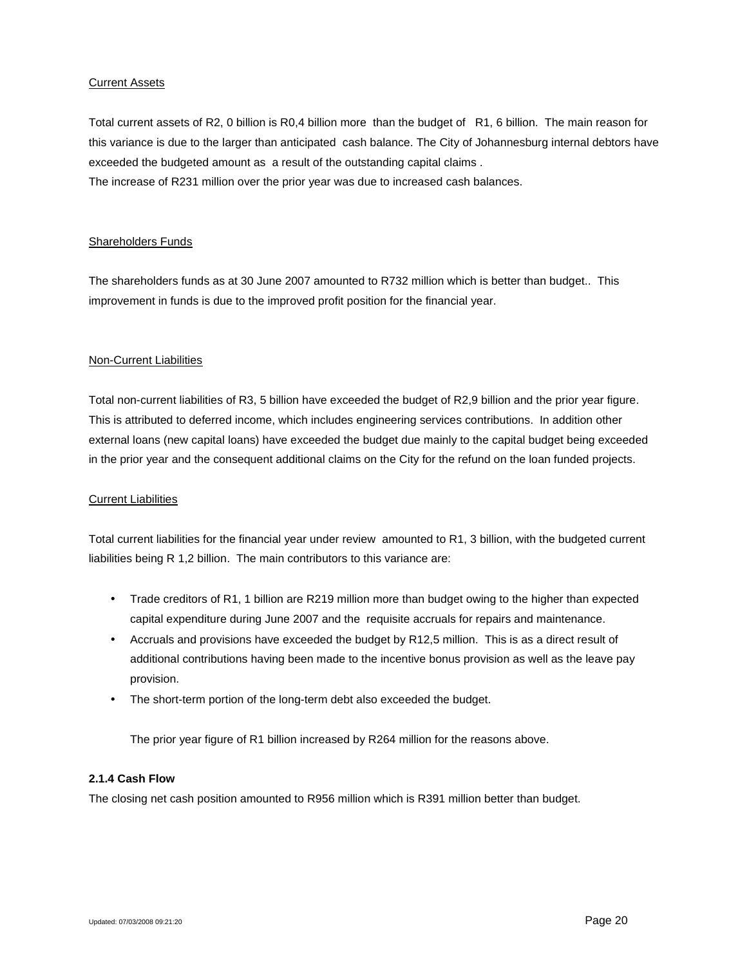### Current Assets

Total current assets of R2, 0 billion is R0,4 billion more than the budget of R1, 6 billion. The main reason for this variance is due to the larger than anticipated cash balance. The City of Johannesburg internal debtors have exceeded the budgeted amount as a result of the outstanding capital claims .

The increase of R231 million over the prior year was due to increased cash balances.

### Shareholders Funds

The shareholders funds as at 30 June 2007 amounted to R732 million which is better than budget.. This improvement in funds is due to the improved profit position for the financial year.

### Non-Current Liabilities

Total non-current liabilities of R3, 5 billion have exceeded the budget of R2,9 billion and the prior year figure. This is attributed to deferred income, which includes engineering services contributions. In addition other external loans (new capital loans) have exceeded the budget due mainly to the capital budget being exceeded in the prior year and the consequent additional claims on the City for the refund on the loan funded projects.

### Current Liabilities

Total current liabilities for the financial year under review amounted to R1, 3 billion, with the budgeted current liabilities being R 1,2 billion. The main contributors to this variance are:

- Trade creditors of R1, 1 billion are R219 million more than budget owing to the higher than expected capital expenditure during June 2007 and the requisite accruals for repairs and maintenance.
- Accruals and provisions have exceeded the budget by R12,5 million. This is as a direct result of additional contributions having been made to the incentive bonus provision as well as the leave pay provision.
- The short-term portion of the long-term debt also exceeded the budget.

The prior year figure of R1 billion increased by R264 million for the reasons above.

### **2.1.4 Cash Flow**

The closing net cash position amounted to R956 million which is R391 million better than budget.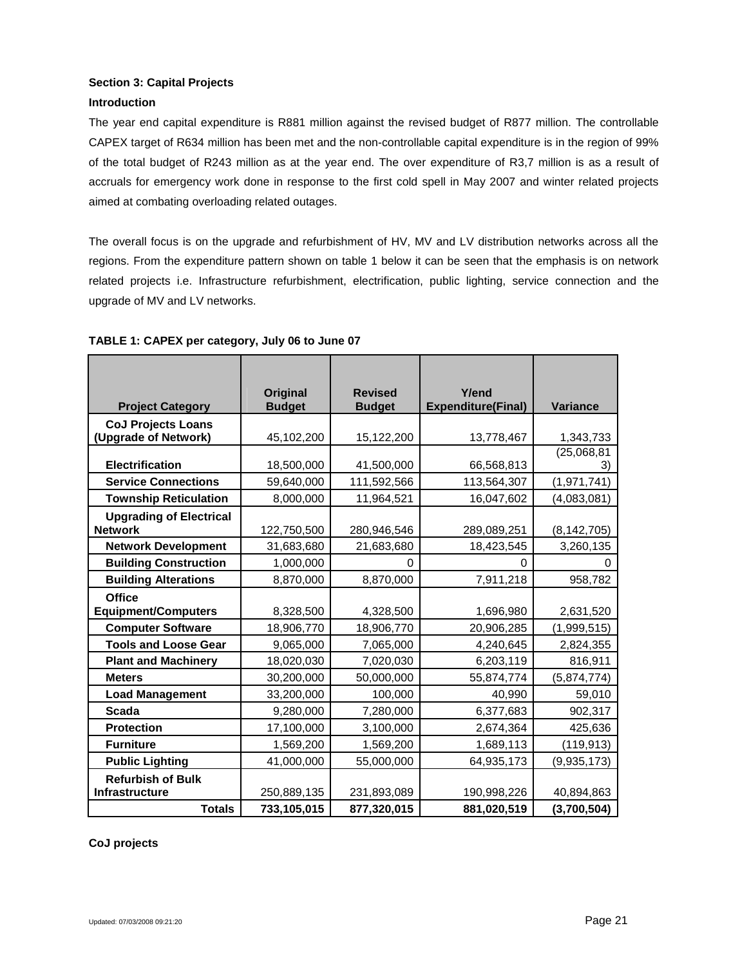# **Section 3: Capital Projects**

# **Introduction**

The year end capital expenditure is R881 million against the revised budget of R877 million. The controllable CAPEX target of R634 million has been met and the non-controllable capital expenditure is in the region of 99% of the total budget of R243 million as at the year end. The over expenditure of R3,7 million is as a result of accruals for emergency work done in response to the first cold spell in May 2007 and winter related projects aimed at combating overloading related outages.

The overall focus is on the upgrade and refurbishment of HV, MV and LV distribution networks across all the regions. From the expenditure pattern shown on table 1 below it can be seen that the emphasis is on network related projects i.e. Infrastructure refurbishment, electrification, public lighting, service connection and the upgrade of MV and LV networks.

|                                | <b>Original</b> | <b>Revised</b> | Y/end                     |                   |
|--------------------------------|-----------------|----------------|---------------------------|-------------------|
| <b>Project Category</b>        | <b>Budget</b>   | <b>Budget</b>  | <b>Expenditure(Final)</b> | <b>Variance</b>   |
| <b>CoJ Projects Loans</b>      |                 |                |                           |                   |
| (Upgrade of Network)           | 45,102,200      | 15,122,200     | 13,778,467                | 1,343,733         |
| <b>Electrification</b>         | 18,500,000      | 41,500,000     | 66,568,813                | (25,068,81)<br>3) |
| <b>Service Connections</b>     | 59,640,000      | 111,592,566    | 113,564,307               | (1,971,741)       |
| <b>Township Reticulation</b>   | 8,000,000       | 11,964,521     | 16,047,602                | (4,083,081)       |
| <b>Upgrading of Electrical</b> |                 |                |                           |                   |
| <b>Network</b>                 | 122,750,500     | 280,946,546    | 289,089,251               | (8, 142, 705)     |
| <b>Network Development</b>     | 31,683,680      | 21,683,680     | 18,423,545                | 3,260,135         |
| <b>Building Construction</b>   | 1,000,000       | $\Omega$       | 0                         | 0                 |
| <b>Building Alterations</b>    | 8,870,000       | 8,870,000      | 7,911,218                 | 958,782           |
| <b>Office</b>                  |                 |                |                           |                   |
| <b>Equipment/Computers</b>     | 8,328,500       | 4,328,500      | 1,696,980                 | 2,631,520         |
| <b>Computer Software</b>       | 18,906,770      | 18,906,770     | 20,906,285                | (1,999,515)       |
| <b>Tools and Loose Gear</b>    | 9,065,000       | 7,065,000      | 4,240,645                 | 2,824,355         |
| <b>Plant and Machinery</b>     | 18,020,030      | 7,020,030      | 6,203,119                 | 816,911           |
| <b>Meters</b>                  | 30,200,000      | 50,000,000     | 55,874,774                | (5,874,774)       |
| <b>Load Management</b>         | 33,200,000      | 100,000        | 40,990                    | 59,010            |
| Scada                          | 9,280,000       | 7,280,000      | 6,377,683                 | 902,317           |
| <b>Protection</b>              | 17,100,000      | 3,100,000      | 2,674,364                 | 425,636           |
| <b>Furniture</b>               | 1,569,200       | 1,569,200      | 1,689,113                 | (119, 913)        |
| <b>Public Lighting</b>         | 41,000,000      | 55,000,000     | 64,935,173                | (9,935,173)       |
| <b>Refurbish of Bulk</b>       |                 |                |                           |                   |
| Infrastructure                 | 250,889,135     | 231,893,089    | 190,998,226               | 40,894,863        |
| <b>Totals</b>                  | 733,105,015     | 877,320,015    | 881,020,519               | (3,700,504)       |

# **TABLE 1: CAPEX per category, July 06 to June 07**

**CoJ projects**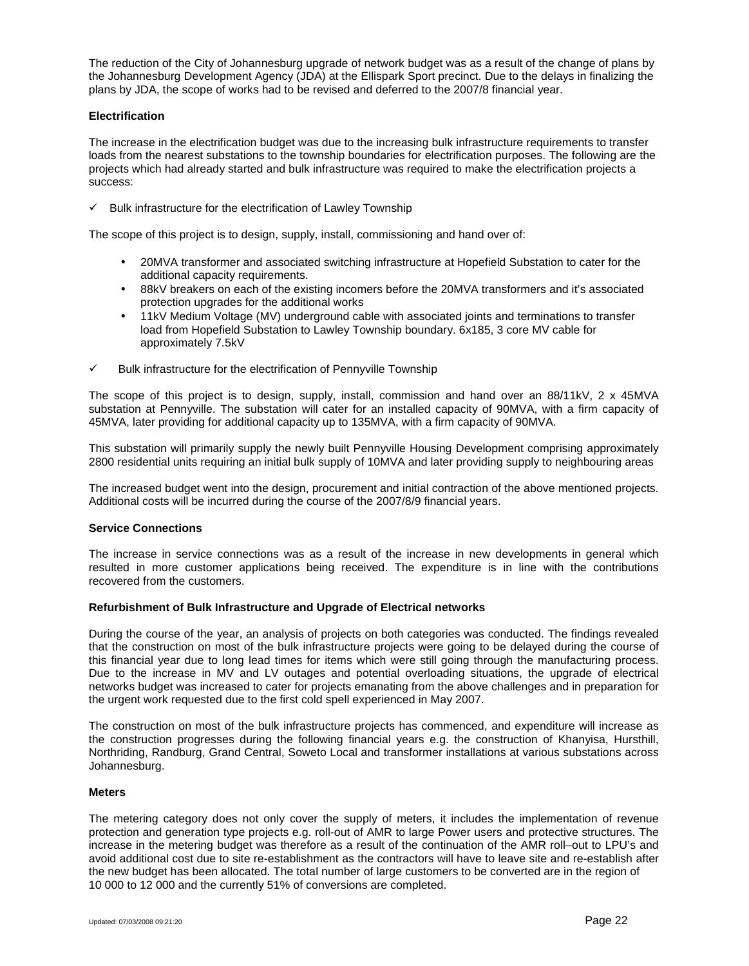The reduction of the City of Johannesburg upgrade of network budget was as a result of the change of plans by the Johannesburg Development Agency (JDA) at the Ellispark Sport precinct. Due to the delays in finalizing the plans by JDA, the scope of works had to be revised and deferred to the 2007/8 financial year.

### **Electrification**

The increase in the electrification budget was due to the increasing bulk infrastructure requirements to transfer loads from the nearest substations to the township boundaries for electrification purposes. The following are the projects which had already started and bulk infrastructure was required to make the electrification projects a success:

 $\checkmark$  Bulk infrastructure for the electrification of Lawley Township

The scope of this project is to design, supply, install, commissioning and hand over of:

- 20MVA transformer and associated switching infrastructure at Hopefield Substation to cater for the additional capacity requirements.
- 88kV breakers on each of the existing incomers before the 20MVA transformers and it's associated protection upgrades for the additional works
- 11kV Medium Voltage (MV) underground cable with associated joints and terminations to transfer load from Hopefield Substation to Lawley Township boundary. 6x185, 3 core MV cable for approximately 7.5kV
- $\checkmark$  Bulk infrastructure for the electrification of Pennyville Township

The scope of this project is to design, supply, install, commission and hand over an 88/11kV, 2 x 45MVA substation at Pennyville. The substation will cater for an installed capacity of 90MVA, with a firm capacity of 45MVA, later providing for additional capacity up to 135MVA, with a firm capacity of 90MVA.

This substation will primarily supply the newly built Pennyville Housing Development comprising approximately 2800 residential units requiring an initial bulk supply of 10MVA and later providing supply to neighbouring areas

The increased budget went into the design, procurement and initial contraction of the above mentioned projects. Additional costs will be incurred during the course of the 2007/8/9 financial years.

### **Service Connections**

The increase in service connections was as a result of the increase in new developments in general which resulted in more customer applications being received. The expenditure is in line with the contributions recovered from the customers.

# **Refurbishment of Bulk Infrastructure and Upgrade of Electrical networks**

During the course of the year, an analysis of projects on both categories was conducted. The findings revealed that the construction on most of the bulk infrastructure projects were going to be delayed during the course of this financial year due to long lead times for items which were still going through the manufacturing process. Due to the increase in MV and LV outages and potential overloading situations, the upgrade of electrical networks budget was increased to cater for projects emanating from the above challenges and in preparation for the urgent work requested due to the first cold spell experienced in May 2007.

The construction on most of the bulk infrastructure projects has commenced, and expenditure will increase as the construction progresses during the following financial years e.g. the construction of Khanyisa, Hursthill, Northriding, Randburg, Grand Central, Soweto Local and transformer installations at various substations across Johannesburg.

### **Meters**

The metering category does not only cover the supply of meters, it includes the implementation of revenue protection and generation type projects e.g. roll-out of AMR to large Power users and protective structures. The increase in the metering budget was therefore as a result of the continuation of the AMR roll–out to LPU's and avoid additional cost due to site re-establishment as the contractors will have to leave site and re-establish after the new budget has been allocated. The total number of large customers to be converted are in the region of 10 000 to 12 000 and the currently 51% of conversions are completed.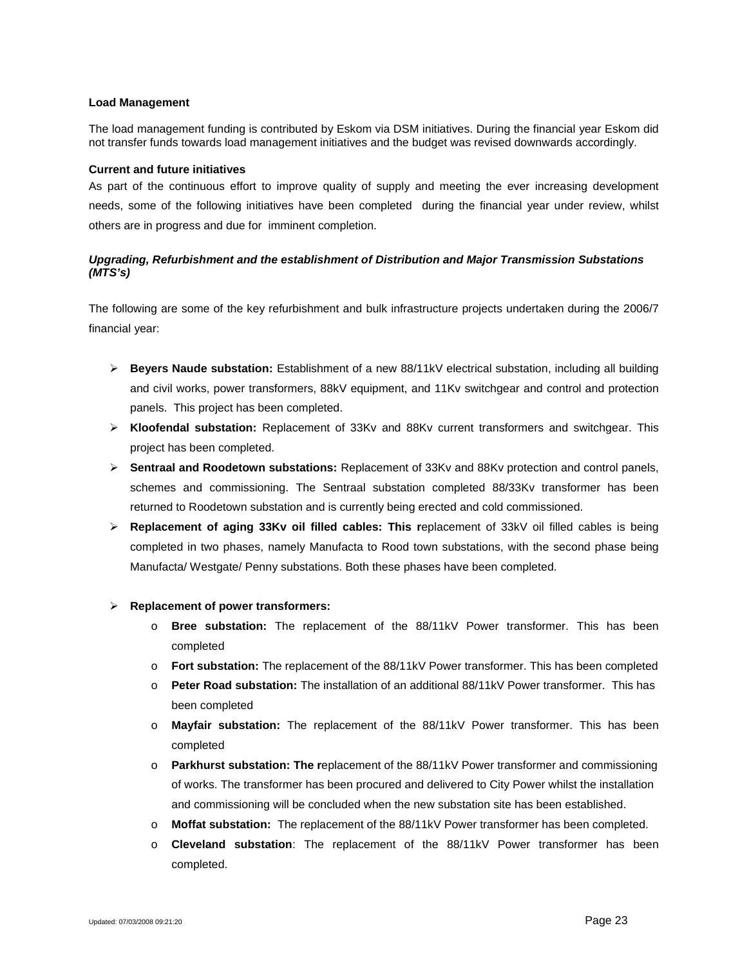#### **Load Management**

The load management funding is contributed by Eskom via DSM initiatives. During the financial year Eskom did not transfer funds towards load management initiatives and the budget was revised downwards accordingly.

#### **Current and future initiatives**

As part of the continuous effort to improve quality of supply and meeting the ever increasing development needs, some of the following initiatives have been completed during the financial year under review, whilst others are in progress and due for imminent completion.

# *Upgrading, Refurbishment and the establishment of Distribution and Major Transmission Substations (MTS's)*

The following are some of the key refurbishment and bulk infrastructure projects undertaken during the 2006/7 financial year:

- **Beyers Naude substation:** Establishment of a new 88/11kV electrical substation, including all building and civil works, power transformers, 88kV equipment, and 11Kv switchgear and control and protection panels. This project has been completed.
- **Kloofendal substation:** Replacement of 33Kv and 88Kv current transformers and switchgear. This project has been completed.
- **Sentraal and Roodetown substations:** Replacement of 33Kv and 88Kv protection and control panels, schemes and commissioning. The Sentraal substation completed 88/33Kv transformer has been returned to Roodetown substation and is currently being erected and cold commissioned.
- **Replacement of aging 33Kv oil filled cables: This r**eplacement of 33kV oil filled cables is being completed in two phases, namely Manufacta to Rood town substations, with the second phase being Manufacta/ Westgate/ Penny substations. Both these phases have been completed.

### **Replacement of power transformers:**

- o **Bree substation:** The replacement of the 88/11kV Power transformer. This has been completed
- o **Fort substation:** The replacement of the 88/11kV Power transformer. This has been completed
- o **Peter Road substation:** The installation of an additional 88/11kV Power transformer. This has been completed
- o **Mayfair substation:** The replacement of the 88/11kV Power transformer. This has been completed
- o **Parkhurst substation: The r**eplacement of the 88/11kV Power transformer and commissioning of works. The transformer has been procured and delivered to City Power whilst the installation and commissioning will be concluded when the new substation site has been established.
- o **Moffat substation:** The replacement of the 88/11kV Power transformer has been completed.
- o **Cleveland substation**: The replacement of the 88/11kV Power transformer has been completed.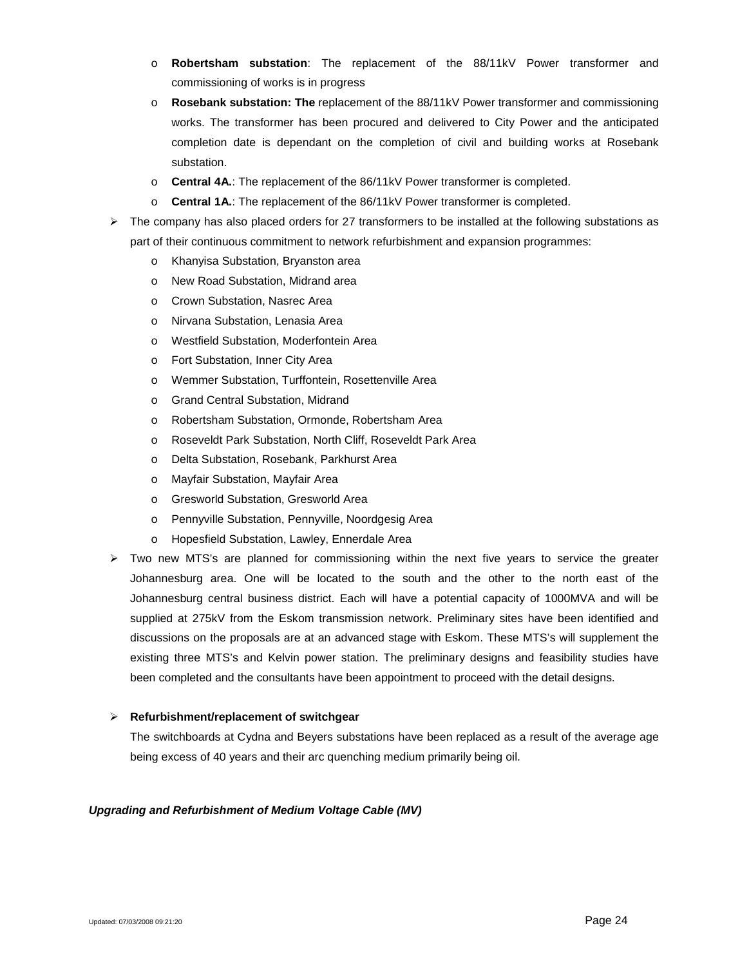- o **Robertsham substation**: The replacement of the 88/11kV Power transformer and commissioning of works is in progress
- o **Rosebank substation: The** replacement of the 88/11kV Power transformer and commissioning works. The transformer has been procured and delivered to City Power and the anticipated completion date is dependant on the completion of civil and building works at Rosebank substation.
- o **Central 4A.**: The replacement of the 86/11kV Power transformer is completed.
- o **Central 1A.**: The replacement of the 86/11kV Power transformer is completed.
- $\triangleright$  The company has also placed orders for 27 transformers to be installed at the following substations as part of their continuous commitment to network refurbishment and expansion programmes:
	- o Khanyisa Substation, Bryanston area
	- o New Road Substation, Midrand area
	- o Crown Substation, Nasrec Area
	- o Nirvana Substation, Lenasia Area
	- o Westfield Substation, Moderfontein Area
	- o Fort Substation, Inner City Area
	- o Wemmer Substation, Turffontein, Rosettenville Area
	- o Grand Central Substation, Midrand
	- o Robertsham Substation, Ormonde, Robertsham Area
	- o Roseveldt Park Substation, North Cliff, Roseveldt Park Area
	- o Delta Substation, Rosebank, Parkhurst Area
	- o Mayfair Substation, Mayfair Area
	- o Gresworld Substation, Gresworld Area
	- o Pennyville Substation, Pennyville, Noordgesig Area
	- o Hopesfield Substation, Lawley, Ennerdale Area
- $\triangleright$  Two new MTS's are planned for commissioning within the next five years to service the greater Johannesburg area. One will be located to the south and the other to the north east of the Johannesburg central business district. Each will have a potential capacity of 1000MVA and will be supplied at 275kV from the Eskom transmission network. Preliminary sites have been identified and discussions on the proposals are at an advanced stage with Eskom. These MTS's will supplement the existing three MTS's and Kelvin power station. The preliminary designs and feasibility studies have been completed and the consultants have been appointment to proceed with the detail designs.

### **Refurbishment/replacement of switchgear**

The switchboards at Cydna and Beyers substations have been replaced as a result of the average age being excess of 40 years and their arc quenching medium primarily being oil.

### *Upgrading and Refurbishment of Medium Voltage Cable (MV)*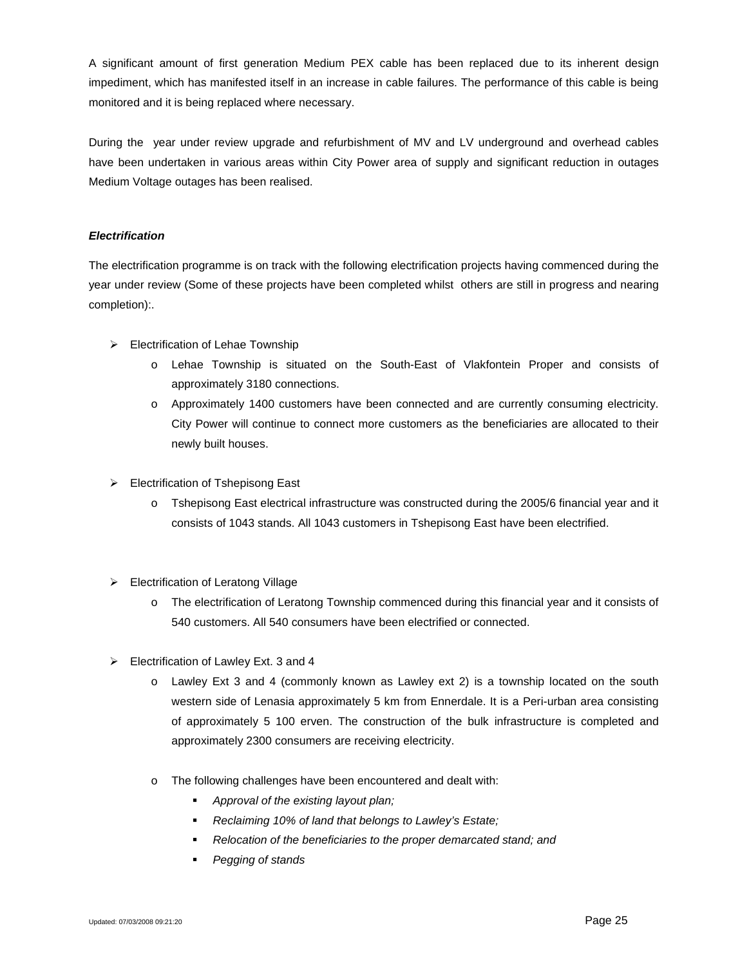A significant amount of first generation Medium PEX cable has been replaced due to its inherent design impediment, which has manifested itself in an increase in cable failures. The performance of this cable is being monitored and it is being replaced where necessary.

During the year under review upgrade and refurbishment of MV and LV underground and overhead cables have been undertaken in various areas within City Power area of supply and significant reduction in outages Medium Voltage outages has been realised.

# *Electrification*

The electrification programme is on track with the following electrification projects having commenced during the year under review (Some of these projects have been completed whilst others are still in progress and nearing completion):.

- $\triangleright$  Electrification of Lehae Township
	- o Lehae Township is situated on the South-East of Vlakfontein Proper and consists of approximately 3180 connections.
	- o Approximately 1400 customers have been connected and are currently consuming electricity. City Power will continue to connect more customers as the beneficiaries are allocated to their newly built houses.
- Electrification of Tshepisong East
	- o Tshepisong East electrical infrastructure was constructed during the 2005/6 financial year and it consists of 1043 stands. All 1043 customers in Tshepisong East have been electrified.
- Electrification of Leratong Village
	- o The electrification of Leratong Township commenced during this financial year and it consists of 540 customers. All 540 consumers have been electrified or connected.
- $\triangleright$  Electrification of Lawley Ext. 3 and 4
	- o Lawley Ext 3 and 4 (commonly known as Lawley ext 2) is a township located on the south western side of Lenasia approximately 5 km from Ennerdale. It is a Peri-urban area consisting of approximately 5 100 erven. The construction of the bulk infrastructure is completed and approximately 2300 consumers are receiving electricity.
	- o The following challenges have been encountered and dealt with:
		- *Approval of the existing layout plan;*
		- *Reclaiming 10% of land that belongs to Lawley's Estate;*
		- *Relocation of the beneficiaries to the proper demarcated stand; and*
		- *Pegging of stands*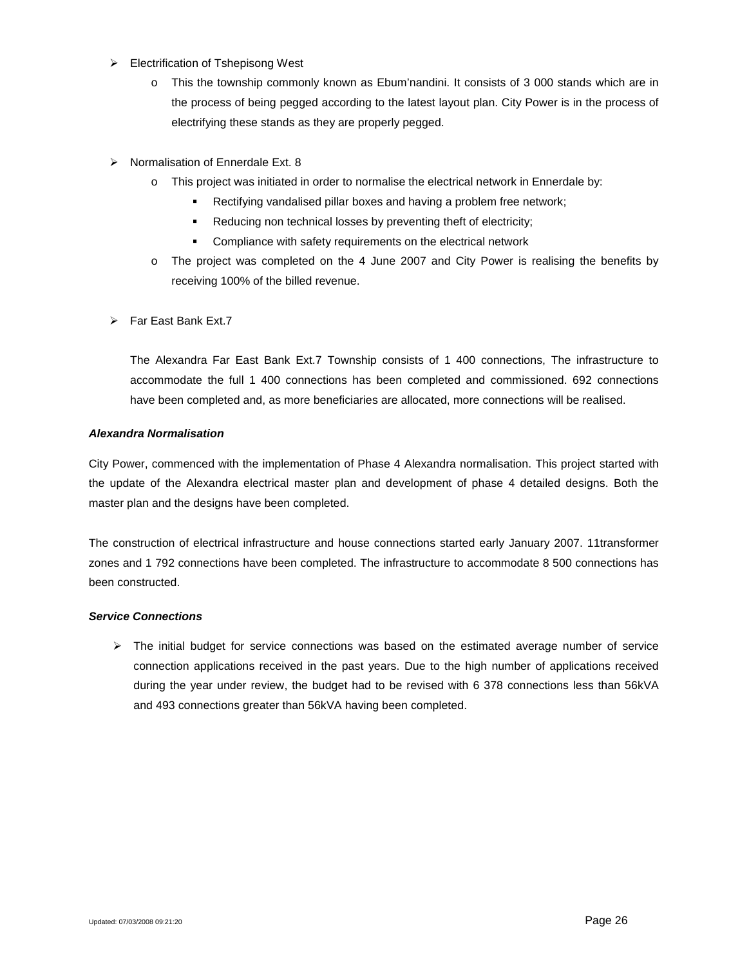- $\triangleright$  Electrification of Tshepisong West
	- o This the township commonly known as Ebum'nandini. It consists of 3 000 stands which are in the process of being pegged according to the latest layout plan. City Power is in the process of electrifying these stands as they are properly pegged.
- $\triangleright$  Normalisation of Ennerdale Ext. 8
	- o This project was initiated in order to normalise the electrical network in Ennerdale by:
		- **Rectifying vandalised pillar boxes and having a problem free network;**
		- Reducing non technical losses by preventing theft of electricity;
		- **EXECOMPLE COMPLIANCE WAS SET UP TO EXECUTE THE COMPLIANCE TE COMPLEMENT COMPLEMENT COMPLEMENT COMPLEMENT COMPLEMENT COMPLEMENT COMPLEMENT COMPLEMENT COMPLEMENT COMPLEMENT COMPLEMENT COMPLEMENT COMPLEMENT COMPLEMENT COMPLE**
	- o The project was completed on the 4 June 2007 and City Power is realising the benefits by receiving 100% of the billed revenue.
- $\triangleright$  Far East Bank Ext.7

The Alexandra Far East Bank Ext.7 Township consists of 1 400 connections, The infrastructure to accommodate the full 1 400 connections has been completed and commissioned. 692 connections have been completed and, as more beneficiaries are allocated, more connections will be realised.

### *Alexandra Normalisation*

City Power, commenced with the implementation of Phase 4 Alexandra normalisation. This project started with the update of the Alexandra electrical master plan and development of phase 4 detailed designs. Both the master plan and the designs have been completed.

The construction of electrical infrastructure and house connections started early January 2007. 11transformer zones and 1 792 connections have been completed. The infrastructure to accommodate 8 500 connections has been constructed.

### *Service Connections*

 $\triangleright$  The initial budget for service connections was based on the estimated average number of service connection applications received in the past years. Due to the high number of applications received during the year under review, the budget had to be revised with 6 378 connections less than 56kVA and 493 connections greater than 56kVA having been completed.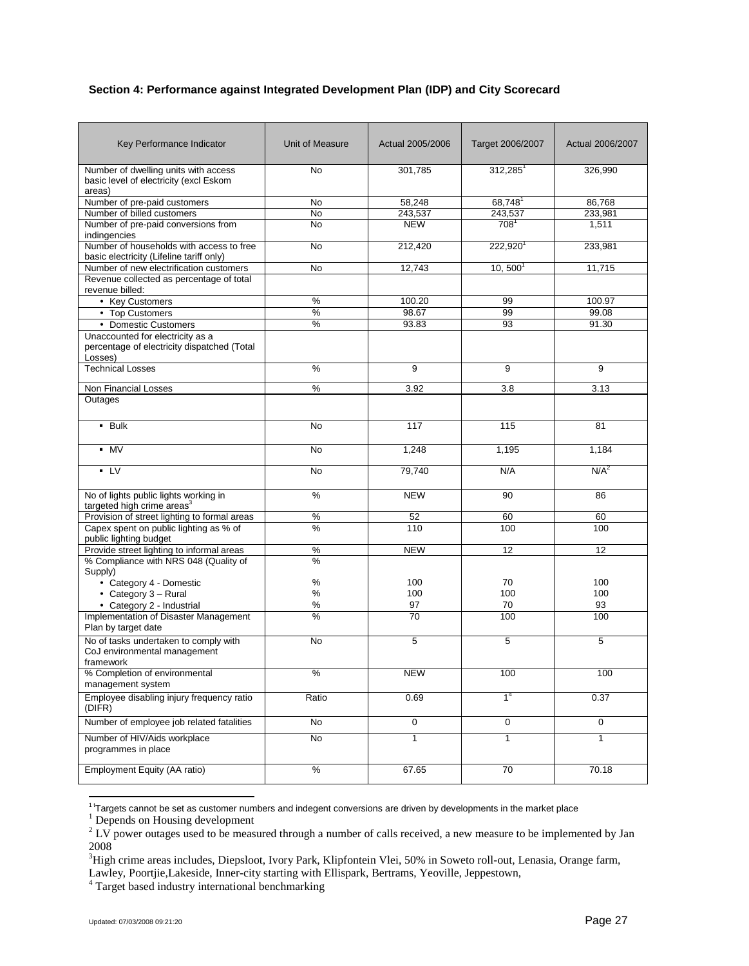# **Section 4: Performance against Integrated Development Plan (IDP) and City Scorecard**

| Key Performance Indicator                                                                  | Unit of Measure | Actual 2005/2006 | Target 2006/2007    | Actual 2006/2007 |
|--------------------------------------------------------------------------------------------|-----------------|------------------|---------------------|------------------|
| Number of dwelling units with access<br>basic level of electricity (excl Eskom<br>areas)   | <b>No</b>       | 301,785          | $312,285^1$         | 326,990          |
| Number of pre-paid customers                                                               | No              | 58,248           | 68,748 <sup>1</sup> | 86,768           |
| Number of billed customers                                                                 | <b>No</b>       | 243,537          | 243,537             | 233,981          |
| Number of pre-paid conversions from<br>indingencies                                        | <b>No</b>       | <b>NEW</b>       | $708^1$             | 1,511            |
| Number of households with access to free<br>basic electricity (Lifeline tariff only)       | No              | 212,420          | $222,920^1$         | 233,981          |
| Number of new electrification customers                                                    | No              | 12,743           | $10, 500^1$         | 11,715           |
| Revenue collected as percentage of total<br>revenue billed:                                |                 |                  |                     |                  |
| • Key Customers                                                                            | %               | 100.20           | 99                  | 100.97           |
| • Top Customers                                                                            | %               | 98.67            | 99                  | 99.08            |
| • Domestic Customers                                                                       | %               | 93.83            | 93                  | 91.30            |
| Unaccounted for electricity as a<br>percentage of electricity dispatched (Total<br>Losses) |                 |                  |                     |                  |
| <b>Technical Losses</b>                                                                    | %               | 9                | 9                   | 9                |
| Non Financial Losses                                                                       | %               | 3.92             | 3.8                 | 3.13             |
| Outages                                                                                    |                 |                  |                     |                  |
| $-$ Bulk                                                                                   | No              | 117              | 115                 | 81               |
| $-MV$                                                                                      | No              | 1,248            | 1,195               | 1,184            |
| $-LV$                                                                                      | No              | 79,740           | N/A                 | $N/A^2$          |
| No of lights public lights working in<br>targeted high crime areas <sup>3</sup>            | %               | <b>NEW</b>       | 90                  | 86               |
| Provision of street lighting to formal areas                                               | $\%$            | 52               | 60                  | 60               |
| Capex spent on public lighting as % of<br>public lighting budget                           | %               | 110              | 100                 | 100              |
| Provide street lighting to informal areas                                                  | $\%$            | <b>NEW</b>       | 12                  | 12               |
| % Compliance with NRS 048 (Quality of<br>Supply)                                           | %               |                  |                     |                  |
| • Category 4 - Domestic                                                                    | %               | 100              | 70                  | 100              |
| $\cdot$ Category 3 - Rural                                                                 | %               | 100              | 100                 | 100              |
| • Category 2 - Industrial                                                                  | $\%$            | 97               | 70                  | 93               |
| Implementation of Disaster Management<br>Plan by target date                               | $\%$            | 70               | 100                 | 100              |
| No of tasks undertaken to comply with<br>CoJ environmental management<br>framework         | No              | 5                | 5                   | 5                |
| % Completion of environmental<br>management system                                         | %               | <b>NEW</b>       | 100                 | 100              |
| Employee disabling injury frequency ratio<br>(DIFR)                                        | Ratio           | 0.69             | 1 <sup>4</sup>      | 0.37             |
| Number of employee job related fatalities                                                  | No              | $\mathsf 0$      | 0                   | 0                |
| Number of HIV/Aids workplace<br>programmes in place                                        | No              | $\mathbf{1}$     | $\mathbf{1}$        | $\mathbf{1}$     |
| Employment Equity (AA ratio)                                                               | $\%$            | 67.65            | 70                  | 70.18            |

<sup>&</sup>lt;sup>1</sup>'Targets cannot be set as customer numbers and indegent conversions are driven by developments in the market place

<sup>4</sup> Target based industry international benchmarking

<sup>&</sup>lt;sup>1</sup> Depends on Housing development

<sup>&</sup>lt;sup>2</sup> LV power outages used to be measured through a number of calls received, a new measure to be implemented by Jan 2008

<sup>&</sup>lt;sup>3</sup>High crime areas includes, Diepsloot, Ivory Park, Klipfontein Vlei, 50% in Soweto roll-out, Lenasia, Orange farm, Lawley, Poortjie,Lakeside, Inner-city starting with Ellispark, Bertrams, Yeoville, Jeppestown,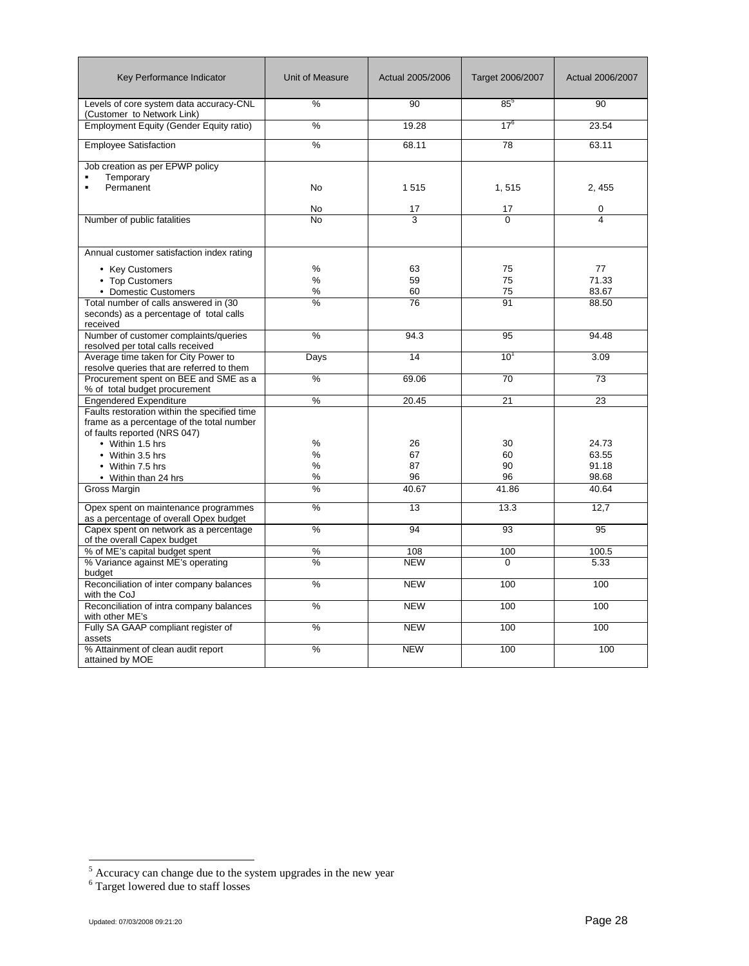| Key Performance Indicator                                                                                                 | Unit of Measure  | Actual 2005/2006     | Target 2006/2007     | Actual 2006/2007              |
|---------------------------------------------------------------------------------------------------------------------------|------------------|----------------------|----------------------|-------------------------------|
| Levels of core system data accuracy-CNL<br>(Customer to Network Link)                                                     | %                | 90                   | $85^5$               | 90                            |
| Employment Equity (Gender Equity ratio)                                                                                   | %                | 19.28                | $17^{6}$             | 23.54                         |
| <b>Employee Satisfaction</b>                                                                                              | %                | 68.11                | 78                   | 63.11                         |
| Job creation as per EPWP policy<br>Temporary<br>Permanent                                                                 | <b>No</b>        | 1515                 | 1,515                | 2, 455                        |
|                                                                                                                           | No               | 17                   | 17                   | 0                             |
| Number of public fatalities                                                                                               | N <sub>o</sub>   | 3                    | $\overline{0}$       | 4                             |
| Annual customer satisfaction index rating                                                                                 |                  |                      |                      |                               |
| • Key Customers<br>• Top Customers<br>• Domestic Customers<br>Total number of calls answered in (30                       | %<br>%<br>%<br>% | 63<br>59<br>60<br>76 | 75<br>75<br>75<br>91 | 77<br>71.33<br>83.67<br>88.50 |
| seconds) as a percentage of total calls<br>received                                                                       |                  |                      |                      |                               |
| Number of customer complaints/queries<br>resolved per total calls received                                                | %                | 94.3                 | 95                   | 94.48                         |
| Average time taken for City Power to<br>resolve queries that are referred to them                                         | Days             | 14                   | 10 <sup>1</sup>      | 3.09                          |
| Procurement spent on BEE and SME as a<br>% of total budget procurement                                                    | %                | 69.06                | 70                   | 73                            |
| Engendered Expenditure                                                                                                    | %                | 20.45                | 21                   | 23                            |
| Faults restoration within the specified time<br>frame as a percentage of the total number<br>of faults reported (NRS 047) |                  |                      |                      |                               |
| • Within 1.5 hrs                                                                                                          | %<br>%           | 26<br>67             | 30<br>60             | 24.73<br>63.55                |
| • Within 3.5 hrs<br>• Within 7.5 hrs                                                                                      | %                | 87                   | 90                   | 91.18                         |
| • Within than 24 hrs                                                                                                      | %                | 96                   | 96                   | 98.68                         |
| <b>Gross Margin</b>                                                                                                       | %                | 40.67                | 41.86                | 40.64                         |
| Opex spent on maintenance programmes<br>as a percentage of overall Opex budget                                            | %                | 13                   | 13.3                 | 12,7                          |
| Capex spent on network as a percentage<br>of the overall Capex budget                                                     | %                | 94                   | 93                   | 95                            |
| % of ME's capital budget spent                                                                                            | %                | 108                  | 100                  | 100.5                         |
| % Variance against ME's operating<br>budget                                                                               | %                | <b>NEW</b>           | $\Omega$             | 5.33                          |
| Reconciliation of inter company balances<br>with the CoJ                                                                  | %                | <b>NEW</b>           | 100                  | 100                           |
| Reconciliation of intra company balances<br>with other ME's                                                               | %                | <b>NEW</b>           | 100                  | 100                           |
| Fully SA GAAP compliant register of<br>assets                                                                             | %                | <b>NEW</b>           | 100                  | 100                           |
| % Attainment of clean audit report<br>attained by MOE                                                                     | %                | <b>NEW</b>           | 100                  | 100                           |

 $<sup>5</sup>$  Accuracy can change due to the system upgrades in the new year</sup>

<sup>6</sup> Target lowered due to staff losses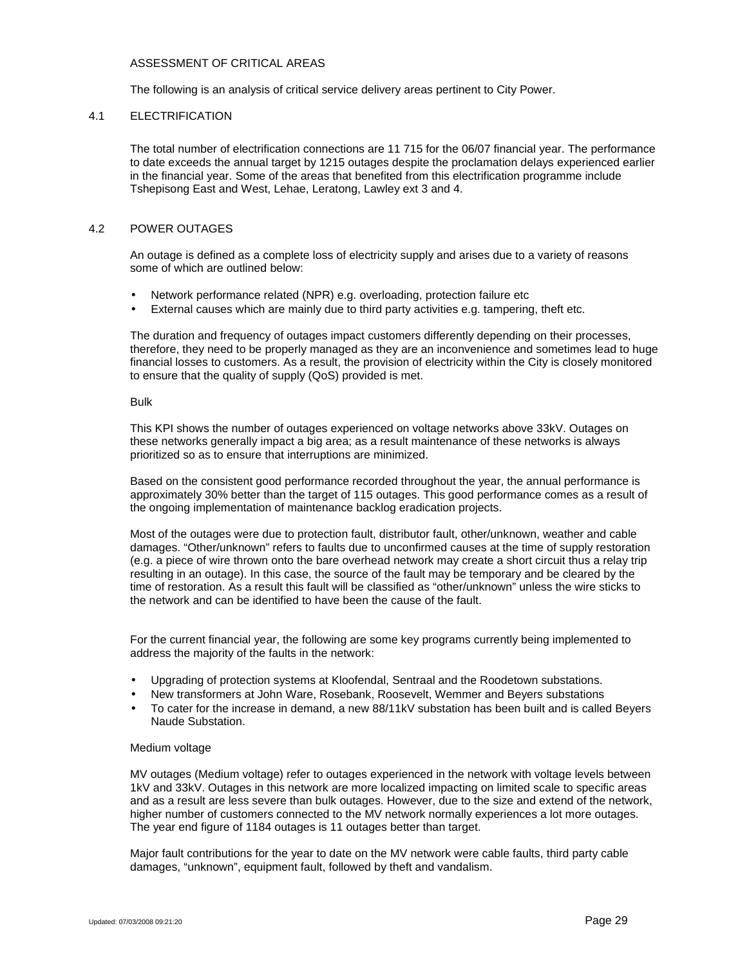### ASSESSMENT OF CRITICAL AREAS

The following is an analysis of critical service delivery areas pertinent to City Power.

### 4.1 ELECTRIFICATION

The total number of electrification connections are 11 715 for the 06/07 financial year. The performance to date exceeds the annual target by 1215 outages despite the proclamation delays experienced earlier in the financial year. Some of the areas that benefited from this electrification programme include Tshepisong East and West, Lehae, Leratong, Lawley ext 3 and 4.

# 4.2 POWER OUTAGES

An outage is defined as a complete loss of electricity supply and arises due to a variety of reasons some of which are outlined below:

- Network performance related (NPR) e.g. overloading, protection failure etc
- External causes which are mainly due to third party activities e.g. tampering, theft etc.

The duration and frequency of outages impact customers differently depending on their processes, therefore, they need to be properly managed as they are an inconvenience and sometimes lead to huge financial losses to customers. As a result, the provision of electricity within the City is closely monitored to ensure that the quality of supply (QoS) provided is met.

#### Bulk

This KPI shows the number of outages experienced on voltage networks above 33kV. Outages on these networks generally impact a big area; as a result maintenance of these networks is always prioritized so as to ensure that interruptions are minimized.

Based on the consistent good performance recorded throughout the year, the annual performance is approximately 30% better than the target of 115 outages. This good performance comes as a result of the ongoing implementation of maintenance backlog eradication projects.

Most of the outages were due to protection fault, distributor fault, other/unknown, weather and cable damages. "Other/unknown" refers to faults due to unconfirmed causes at the time of supply restoration (e.g. a piece of wire thrown onto the bare overhead network may create a short circuit thus a relay trip resulting in an outage). In this case, the source of the fault may be temporary and be cleared by the time of restoration. As a result this fault will be classified as "other/unknown" unless the wire sticks to the network and can be identified to have been the cause of the fault.

For the current financial year, the following are some key programs currently being implemented to address the majority of the faults in the network:

- Upgrading of protection systems at Kloofendal, Sentraal and the Roodetown substations.
- New transformers at John Ware, Rosebank, Roosevelt, Wemmer and Beyers substations
- To cater for the increase in demand, a new 88/11kV substation has been built and is called Beyers Naude Substation.

# Medium voltage

MV outages (Medium voltage) refer to outages experienced in the network with voltage levels between 1kV and 33kV. Outages in this network are more localized impacting on limited scale to specific areas and as a result are less severe than bulk outages. However, due to the size and extend of the network, higher number of customers connected to the MV network normally experiences a lot more outages. The year end figure of 1184 outages is 11 outages better than target.

Major fault contributions for the year to date on the MV network were cable faults, third party cable damages, "unknown", equipment fault, followed by theft and vandalism.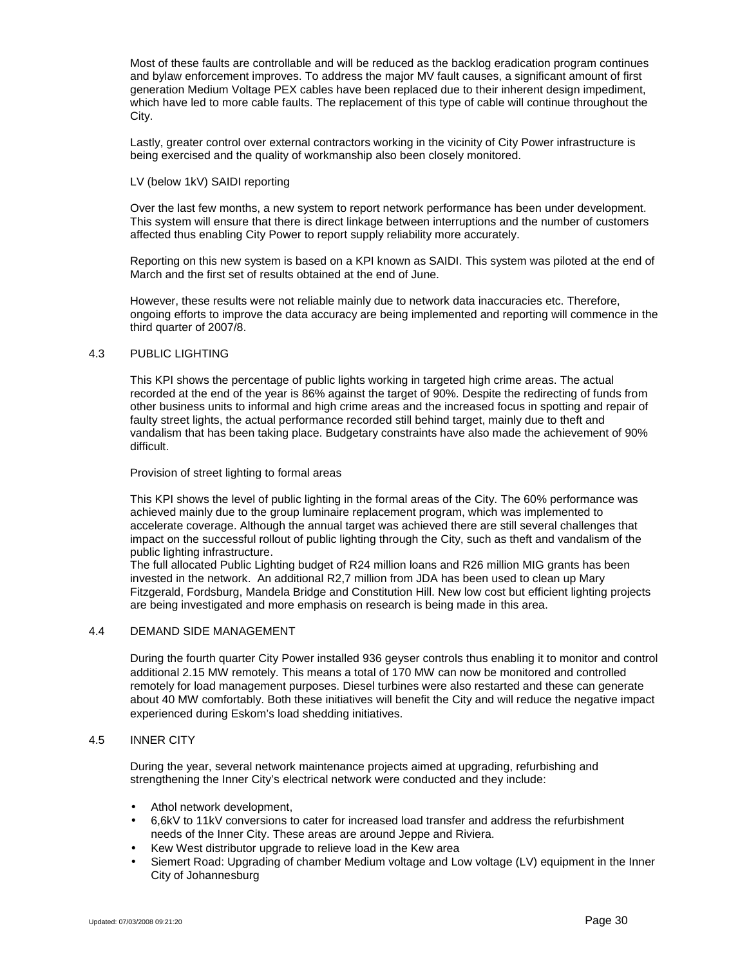Most of these faults are controllable and will be reduced as the backlog eradication program continues and bylaw enforcement improves. To address the major MV fault causes, a significant amount of first generation Medium Voltage PEX cables have been replaced due to their inherent design impediment, which have led to more cable faults. The replacement of this type of cable will continue throughout the City.

Lastly, greater control over external contractors working in the vicinity of City Power infrastructure is being exercised and the quality of workmanship also been closely monitored.

#### LV (below 1kV) SAIDI reporting

Over the last few months, a new system to report network performance has been under development. This system will ensure that there is direct linkage between interruptions and the number of customers affected thus enabling City Power to report supply reliability more accurately.

Reporting on this new system is based on a KPI known as SAIDI. This system was piloted at the end of March and the first set of results obtained at the end of June.

However, these results were not reliable mainly due to network data inaccuracies etc. Therefore, ongoing efforts to improve the data accuracy are being implemented and reporting will commence in the third quarter of 2007/8.

### 4.3 PUBLIC LIGHTING

This KPI shows the percentage of public lights working in targeted high crime areas. The actual recorded at the end of the year is 86% against the target of 90%. Despite the redirecting of funds from other business units to informal and high crime areas and the increased focus in spotting and repair of faulty street lights, the actual performance recorded still behind target, mainly due to theft and vandalism that has been taking place. Budgetary constraints have also made the achievement of 90% difficult.

Provision of street lighting to formal areas

This KPI shows the level of public lighting in the formal areas of the City. The 60% performance was achieved mainly due to the group luminaire replacement program, which was implemented to accelerate coverage. Although the annual target was achieved there are still several challenges that impact on the successful rollout of public lighting through the City, such as theft and vandalism of the public lighting infrastructure.

The full allocated Public Lighting budget of R24 million loans and R26 million MIG grants has been invested in the network. An additional R2,7 million from JDA has been used to clean up Mary Fitzgerald, Fordsburg, Mandela Bridge and Constitution Hill. New low cost but efficient lighting projects are being investigated and more emphasis on research is being made in this area.

### 4.4 DEMAND SIDE MANAGEMENT

During the fourth quarter City Power installed 936 geyser controls thus enabling it to monitor and control additional 2.15 MW remotely. This means a total of 170 MW can now be monitored and controlled remotely for load management purposes. Diesel turbines were also restarted and these can generate about 40 MW comfortably. Both these initiatives will benefit the City and will reduce the negative impact experienced during Eskom's load shedding initiatives.

### 4.5 INNER CITY

During the year, several network maintenance projects aimed at upgrading, refurbishing and strengthening the Inner City's electrical network were conducted and they include:

- Athol network development,
- 6,6kV to 11kV conversions to cater for increased load transfer and address the refurbishment needs of the Inner City. These areas are around Jeppe and Riviera.
- Kew West distributor upgrade to relieve load in the Kew area
- Siemert Road: Upgrading of chamber Medium voltage and Low voltage (LV) equipment in the Inner City of Johannesburg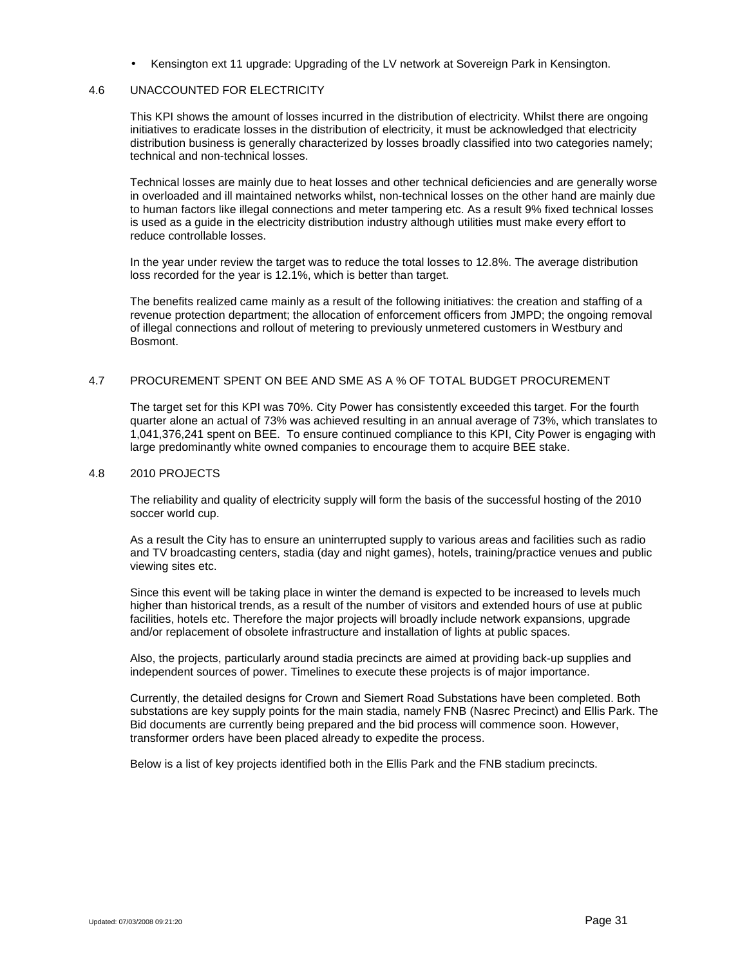Kensington ext 11 upgrade: Upgrading of the LV network at Sovereign Park in Kensington.

#### 4.6 UNACCOUNTED FOR ELECTRICITY

This KPI shows the amount of losses incurred in the distribution of electricity. Whilst there are ongoing initiatives to eradicate losses in the distribution of electricity, it must be acknowledged that electricity distribution business is generally characterized by losses broadly classified into two categories namely; technical and non-technical losses.

Technical losses are mainly due to heat losses and other technical deficiencies and are generally worse in overloaded and ill maintained networks whilst, non-technical losses on the other hand are mainly due to human factors like illegal connections and meter tampering etc. As a result 9% fixed technical losses is used as a guide in the electricity distribution industry although utilities must make every effort to reduce controllable losses.

In the year under review the target was to reduce the total losses to 12.8%. The average distribution loss recorded for the year is 12.1%, which is better than target.

The benefits realized came mainly as a result of the following initiatives: the creation and staffing of a revenue protection department; the allocation of enforcement officers from JMPD; the ongoing removal of illegal connections and rollout of metering to previously unmetered customers in Westbury and Bosmont.

### 4.7 PROCUREMENT SPENT ON BEE AND SME AS A % OF TOTAL BUDGET PROCUREMENT

The target set for this KPI was 70%. City Power has consistently exceeded this target. For the fourth quarter alone an actual of 73% was achieved resulting in an annual average of 73%, which translates to 1,041,376,241 spent on BEE. To ensure continued compliance to this KPI, City Power is engaging with large predominantly white owned companies to encourage them to acquire BEE stake.

#### 4.8 2010 PROJECTS

The reliability and quality of electricity supply will form the basis of the successful hosting of the 2010 soccer world cup.

As a result the City has to ensure an uninterrupted supply to various areas and facilities such as radio and TV broadcasting centers, stadia (day and night games), hotels, training/practice venues and public viewing sites etc.

Since this event will be taking place in winter the demand is expected to be increased to levels much higher than historical trends, as a result of the number of visitors and extended hours of use at public facilities, hotels etc. Therefore the major projects will broadly include network expansions, upgrade and/or replacement of obsolete infrastructure and installation of lights at public spaces.

Also, the projects, particularly around stadia precincts are aimed at providing back-up supplies and independent sources of power. Timelines to execute these projects is of major importance.

Currently, the detailed designs for Crown and Siemert Road Substations have been completed. Both substations are key supply points for the main stadia, namely FNB (Nasrec Precinct) and Ellis Park. The Bid documents are currently being prepared and the bid process will commence soon. However, transformer orders have been placed already to expedite the process.

Below is a list of key projects identified both in the Ellis Park and the FNB stadium precincts.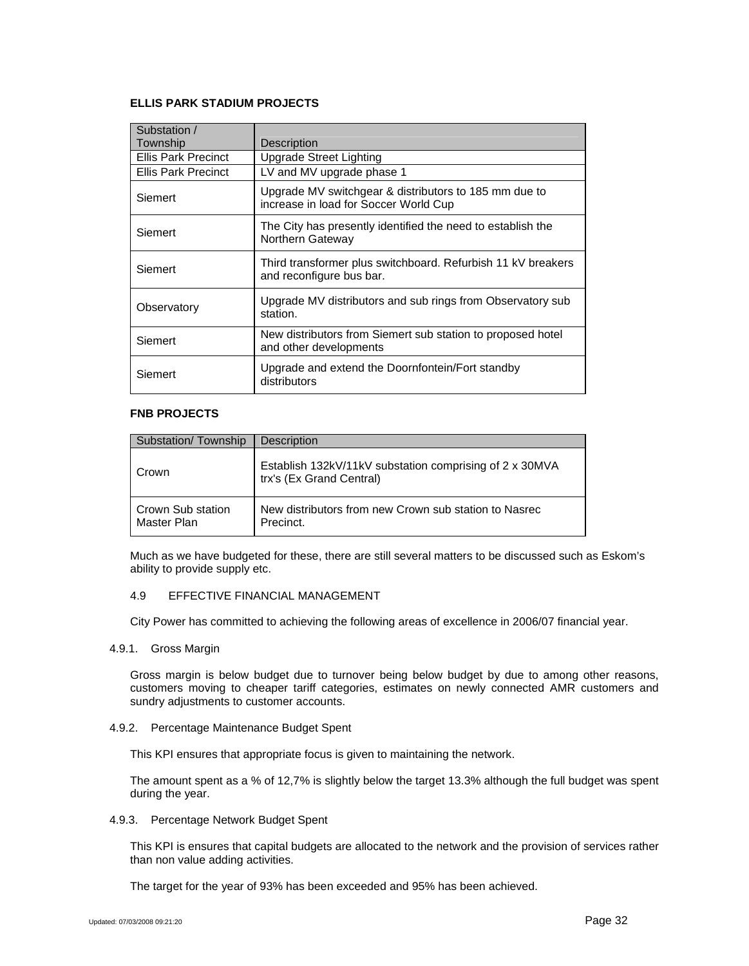### **ELLIS PARK STADIUM PROJECTS**

| Substation /<br>Township   | Description                                                                                    |
|----------------------------|------------------------------------------------------------------------------------------------|
| <b>Ellis Park Precinct</b> | Upgrade Street Lighting                                                                        |
| <b>Ellis Park Precinct</b> | LV and MV upgrade phase 1                                                                      |
| Siemert                    | Upgrade MV switchgear & distributors to 185 mm due to<br>increase in load for Soccer World Cup |
| Siemert                    | The City has presently identified the need to establish the<br>Northern Gateway                |
| Siemert                    | Third transformer plus switchboard. Refurbish 11 kV breakers<br>and reconfigure bus bar.       |
| Observatory                | Upgrade MV distributors and sub rings from Observatory sub<br>station.                         |
| Siemert                    | New distributors from Siemert sub station to proposed hotel<br>and other developments          |
| Siemert                    | Upgrade and extend the Doornfontein/Fort standby<br>distributors                               |

### **FNB PROJECTS**

| Substation/Township              | Description                                                                         |
|----------------------------------|-------------------------------------------------------------------------------------|
| Crown                            | Establish 132kV/11kV substation comprising of 2 x 30MVA<br>trx's (Ex Grand Central) |
| Crown Sub station<br>Master Plan | New distributors from new Crown sub station to Nasrec<br>Precinct.                  |

Much as we have budgeted for these, there are still several matters to be discussed such as Eskom's ability to provide supply etc.

#### 4.9 EFFECTIVE FINANCIAL MANAGEMENT

City Power has committed to achieving the following areas of excellence in 2006/07 financial year.

4.9.1. Gross Margin

Gross margin is below budget due to turnover being below budget by due to among other reasons, customers moving to cheaper tariff categories, estimates on newly connected AMR customers and sundry adjustments to customer accounts.

4.9.2. Percentage Maintenance Budget Spent

This KPI ensures that appropriate focus is given to maintaining the network.

The amount spent as a % of 12,7% is slightly below the target 13.3% although the full budget was spent during the year.

4.9.3. Percentage Network Budget Spent

This KPI is ensures that capital budgets are allocated to the network and the provision of services rather than non value adding activities.

The target for the year of 93% has been exceeded and 95% has been achieved.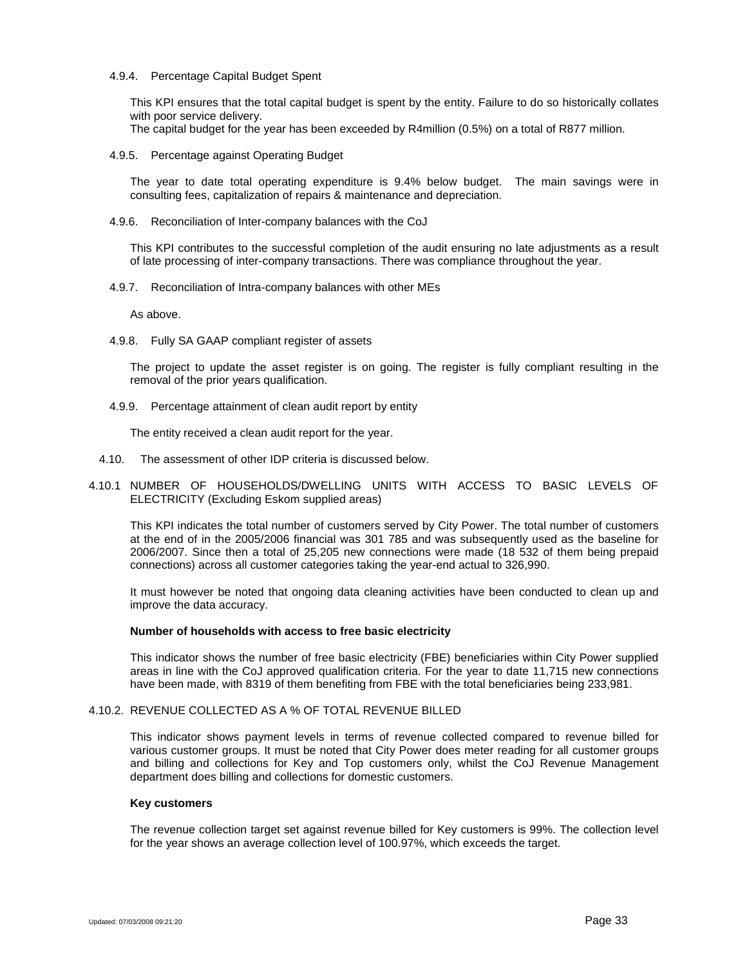#### 4.9.4. Percentage Capital Budget Spent

This KPI ensures that the total capital budget is spent by the entity. Failure to do so historically collates with poor service delivery.

The capital budget for the year has been exceeded by R4million (0.5%) on a total of R877 million.

#### 4.9.5. Percentage against Operating Budget

The year to date total operating expenditure is 9.4% below budget. The main savings were in consulting fees, capitalization of repairs & maintenance and depreciation.

4.9.6. Reconciliation of Inter-company balances with the CoJ

This KPI contributes to the successful completion of the audit ensuring no late adjustments as a result of late processing of inter-company transactions. There was compliance throughout the year.

4.9.7. Reconciliation of Intra-company balances with other MEs

As above.

4.9.8. Fully SA GAAP compliant register of assets

The project to update the asset register is on going. The register is fully compliant resulting in the removal of the prior years qualification.

4.9.9. Percentage attainment of clean audit report by entity

The entity received a clean audit report for the year.

4.10. The assessment of other IDP criteria is discussed below.

### 4.10.1 NUMBER OF HOUSEHOLDS/DWELLING UNITS WITH ACCESS TO BASIC LEVELS OF ELECTRICITY (Excluding Eskom supplied areas)

This KPI indicates the total number of customers served by City Power. The total number of customers at the end of in the 2005/2006 financial was 301 785 and was subsequently used as the baseline for 2006/2007. Since then a total of 25,205 new connections were made (18 532 of them being prepaid connections) across all customer categories taking the year-end actual to 326,990.

It must however be noted that ongoing data cleaning activities have been conducted to clean up and improve the data accuracy.

### **Number of households with access to free basic electricity**

This indicator shows the number of free basic electricity (FBE) beneficiaries within City Power supplied areas in line with the CoJ approved qualification criteria. For the year to date 11,715 new connections have been made, with 8319 of them benefiting from FBE with the total beneficiaries being 233,981.

### 4.10.2. REVENUE COLLECTED AS A % OF TOTAL REVENUE BILLED

This indicator shows payment levels in terms of revenue collected compared to revenue billed for various customer groups. It must be noted that City Power does meter reading for all customer groups and billing and collections for Key and Top customers only, whilst the CoJ Revenue Management department does billing and collections for domestic customers.

### **Key customers**

The revenue collection target set against revenue billed for Key customers is 99%. The collection level for the year shows an average collection level of 100.97%, which exceeds the target.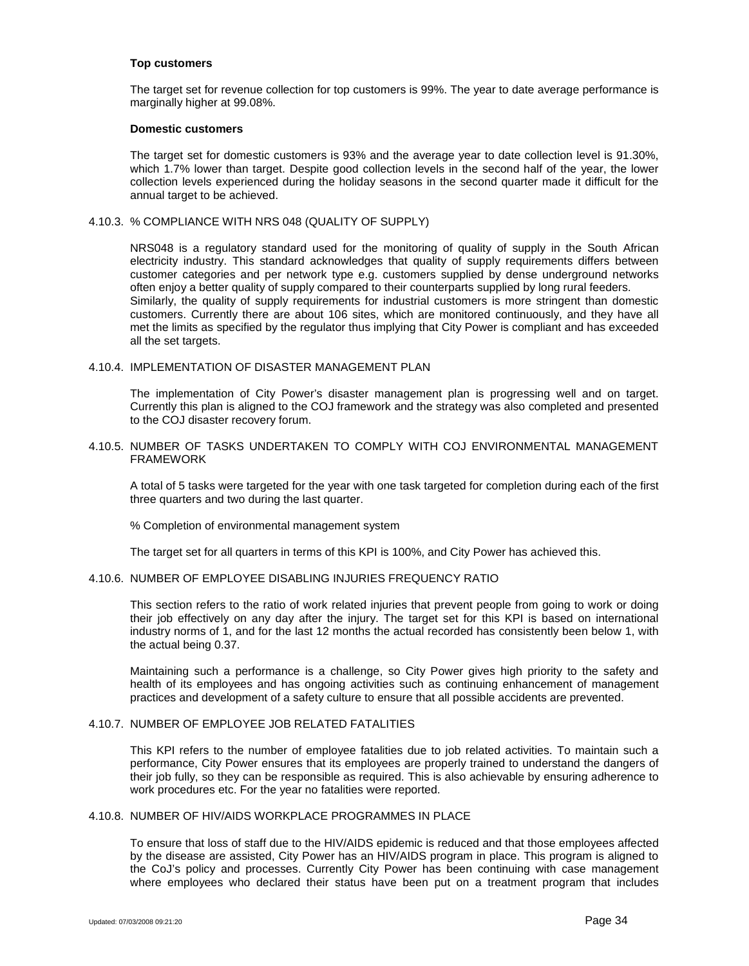#### **Top customers**

The target set for revenue collection for top customers is 99%. The year to date average performance is marginally higher at 99.08%.

#### **Domestic customers**

The target set for domestic customers is 93% and the average year to date collection level is 91.30%, which 1.7% lower than target. Despite good collection levels in the second half of the year, the lower collection levels experienced during the holiday seasons in the second quarter made it difficult for the annual target to be achieved.

#### 4.10.3. % COMPLIANCE WITH NRS 048 (QUALITY OF SUPPLY)

NRS048 is a regulatory standard used for the monitoring of quality of supply in the South African electricity industry. This standard acknowledges that quality of supply requirements differs between customer categories and per network type e.g. customers supplied by dense underground networks often enjoy a better quality of supply compared to their counterparts supplied by long rural feeders. Similarly, the quality of supply requirements for industrial customers is more stringent than domestic customers. Currently there are about 106 sites, which are monitored continuously, and they have all met the limits as specified by the regulator thus implying that City Power is compliant and has exceeded all the set targets.

#### 4.10.4. IMPLEMENTATION OF DISASTER MANAGEMENT PLAN

The implementation of City Power's disaster management plan is progressing well and on target. Currently this plan is aligned to the COJ framework and the strategy was also completed and presented to the COJ disaster recovery forum.

### 4.10.5. NUMBER OF TASKS UNDERTAKEN TO COMPLY WITH COJ ENVIRONMENTAL MANAGEMENT FRAMEWORK

A total of 5 tasks were targeted for the year with one task targeted for completion during each of the first three quarters and two during the last quarter.

% Completion of environmental management system

The target set for all quarters in terms of this KPI is 100%, and City Power has achieved this.

### 4.10.6. NUMBER OF EMPLOYEE DISABLING INJURIES FREQUENCY RATIO

This section refers to the ratio of work related injuries that prevent people from going to work or doing their job effectively on any day after the injury. The target set for this KPI is based on international industry norms of 1, and for the last 12 months the actual recorded has consistently been below 1, with the actual being 0.37.

Maintaining such a performance is a challenge, so City Power gives high priority to the safety and health of its employees and has ongoing activities such as continuing enhancement of management practices and development of a safety culture to ensure that all possible accidents are prevented.

# 4.10.7. NUMBER OF EMPLOYEE JOB RELATED FATALITIES

This KPI refers to the number of employee fatalities due to job related activities. To maintain such a performance, City Power ensures that its employees are properly trained to understand the dangers of their job fully, so they can be responsible as required. This is also achievable by ensuring adherence to work procedures etc. For the year no fatalities were reported.

### 4.10.8. NUMBER OF HIV/AIDS WORKPLACE PROGRAMMES IN PLACE

To ensure that loss of staff due to the HIV/AIDS epidemic is reduced and that those employees affected by the disease are assisted, City Power has an HIV/AIDS program in place. This program is aligned to the CoJ's policy and processes. Currently City Power has been continuing with case management where employees who declared their status have been put on a treatment program that includes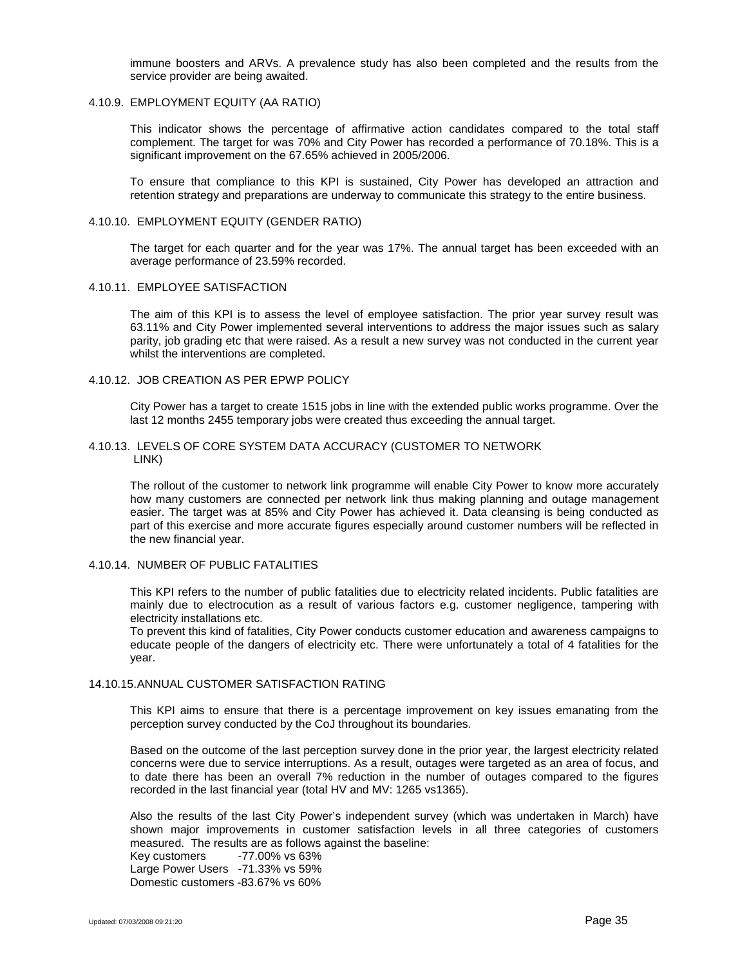immune boosters and ARVs. A prevalence study has also been completed and the results from the service provider are being awaited.

#### 4.10.9. EMPLOYMENT EQUITY (AA RATIO)

This indicator shows the percentage of affirmative action candidates compared to the total staff complement. The target for was 70% and City Power has recorded a performance of 70.18%. This is a significant improvement on the 67.65% achieved in 2005/2006.

To ensure that compliance to this KPI is sustained, City Power has developed an attraction and retention strategy and preparations are underway to communicate this strategy to the entire business.

#### 4.10.10. EMPLOYMENT EQUITY (GENDER RATIO)

The target for each quarter and for the year was 17%. The annual target has been exceeded with an average performance of 23.59% recorded.

#### 4.10.11. EMPLOYEE SATISFACTION

The aim of this KPI is to assess the level of employee satisfaction. The prior year survey result was 63.11% and City Power implemented several interventions to address the major issues such as salary parity, job grading etc that were raised. As a result a new survey was not conducted in the current year whilst the interventions are completed.

#### 4.10.12. JOB CREATION AS PER EPWP POLICY

City Power has a target to create 1515 jobs in line with the extended public works programme. Over the last 12 months 2455 temporary jobs were created thus exceeding the annual target.

#### 4.10.13. LEVELS OF CORE SYSTEM DATA ACCURACY (CUSTOMER TO NETWORK LINK)

The rollout of the customer to network link programme will enable City Power to know more accurately how many customers are connected per network link thus making planning and outage management easier. The target was at 85% and City Power has achieved it. Data cleansing is being conducted as part of this exercise and more accurate figures especially around customer numbers will be reflected in the new financial year.

### 4.10.14. NUMBER OF PUBLIC FATALITIES

This KPI refers to the number of public fatalities due to electricity related incidents. Public fatalities are mainly due to electrocution as a result of various factors e.g. customer negligence, tampering with electricity installations etc.

To prevent this kind of fatalities, City Power conducts customer education and awareness campaigns to educate people of the dangers of electricity etc. There were unfortunately a total of 4 fatalities for the year.

### 14.10.15.ANNUAL CUSTOMER SATISFACTION RATING

This KPI aims to ensure that there is a percentage improvement on key issues emanating from the perception survey conducted by the CoJ throughout its boundaries.

Based on the outcome of the last perception survey done in the prior year, the largest electricity related concerns were due to service interruptions. As a result, outages were targeted as an area of focus, and to date there has been an overall 7% reduction in the number of outages compared to the figures recorded in the last financial year (total HV and MV: 1265 vs1365).

Also the results of the last City Power's independent survey (which was undertaken in March) have shown major improvements in customer satisfaction levels in all three categories of customers measured. The results are as follows against the baseline:

Key customers -77.00% vs 63% Large Power Users -71.33% vs 59% Domestic customers -83.67% vs 60%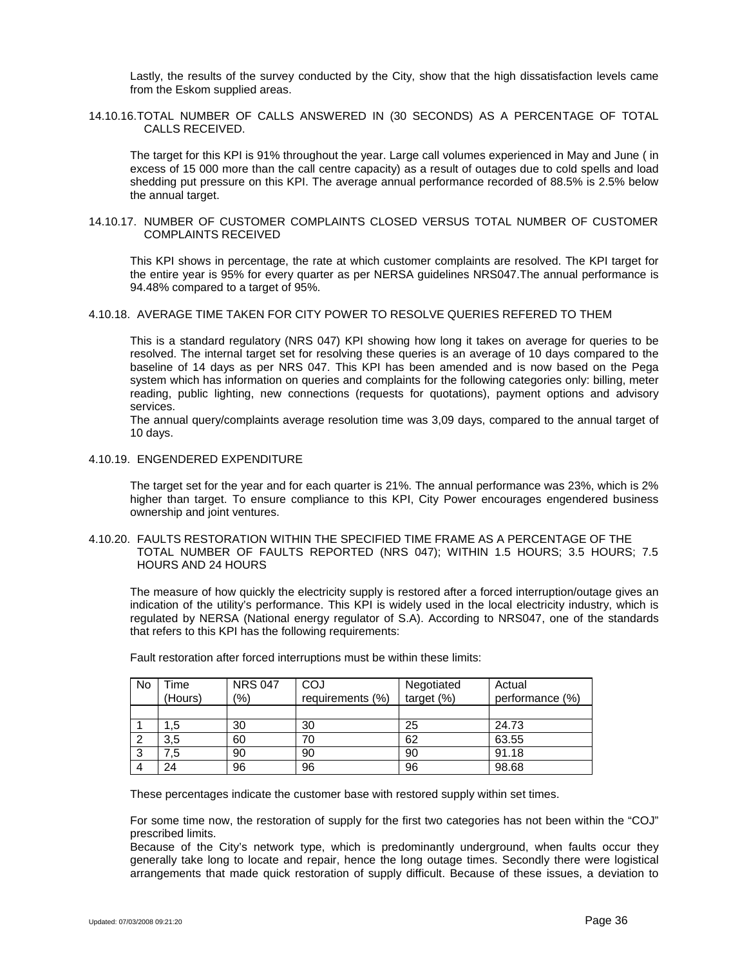Lastly, the results of the survey conducted by the City, show that the high dissatisfaction levels came from the Eskom supplied areas.

14.10.16.TOTAL NUMBER OF CALLS ANSWERED IN (30 SECONDS) AS A PERCENTAGE OF TOTAL CALLS RECEIVED.

The target for this KPI is 91% throughout the year. Large call volumes experienced in May and June ( in excess of 15 000 more than the call centre capacity) as a result of outages due to cold spells and load shedding put pressure on this KPI. The average annual performance recorded of 88.5% is 2.5% below the annual target.

#### 14.10.17. NUMBER OF CUSTOMER COMPLAINTS CLOSED VERSUS TOTAL NUMBER OF CUSTOMER COMPLAINTS RECEIVED

This KPI shows in percentage, the rate at which customer complaints are resolved. The KPI target for the entire year is 95% for every quarter as per NERSA guidelines NRS047.The annual performance is 94.48% compared to a target of 95%.

### 4.10.18. AVERAGE TIME TAKEN FOR CITY POWER TO RESOLVE QUERIES REFERED TO THEM

This is a standard regulatory (NRS 047) KPI showing how long it takes on average for queries to be resolved. The internal target set for resolving these queries is an average of 10 days compared to the baseline of 14 days as per NRS 047. This KPI has been amended and is now based on the Pega system which has information on queries and complaints for the following categories only: billing, meter reading, public lighting, new connections (requests for quotations), payment options and advisory services.

The annual query/complaints average resolution time was 3,09 days, compared to the annual target of 10 days.

### 4.10.19. ENGENDERED EXPENDITURE

The target set for the year and for each quarter is 21%. The annual performance was 23%, which is 2% higher than target. To ensure compliance to this KPI, City Power encourages engendered business ownership and joint ventures.

4.10.20. FAULTS RESTORATION WITHIN THE SPECIFIED TIME FRAME AS A PERCENTAGE OF THE TOTAL NUMBER OF FAULTS REPORTED (NRS 047); WITHIN 1.5 HOURS; 3.5 HOURS; 7.5 HOURS AND 24 HOURS

The measure of how quickly the electricity supply is restored after a forced interruption/outage gives an indication of the utility's performance. This KPI is widely used in the local electricity industry, which is regulated by NERSA (National energy regulator of S.A). According to NRS047, one of the standards that refers to this KPI has the following requirements:

| No | Time<br>(Hours) | <b>NRS 047</b><br>(%) | COJ<br>requirements (%) | Negotiated<br>target $(\%)$ | Actual<br>performance (%) |
|----|-----------------|-----------------------|-------------------------|-----------------------------|---------------------------|
|    |                 |                       |                         |                             |                           |
|    | 1.5             | 30                    | 30                      | 25                          | 24.73                     |
|    | 3,5             | 60                    | 70                      | 62                          | 63.55                     |
| -3 | 7.5             | 90                    | 90                      | 90                          | 91.18                     |
|    | 24              | 96                    | 96                      | 96                          | 98.68                     |

Fault restoration after forced interruptions must be within these limits:

These percentages indicate the customer base with restored supply within set times.

For some time now, the restoration of supply for the first two categories has not been within the "COJ" prescribed limits.

Because of the City's network type, which is predominantly underground, when faults occur they generally take long to locate and repair, hence the long outage times. Secondly there were logistical arrangements that made quick restoration of supply difficult. Because of these issues, a deviation to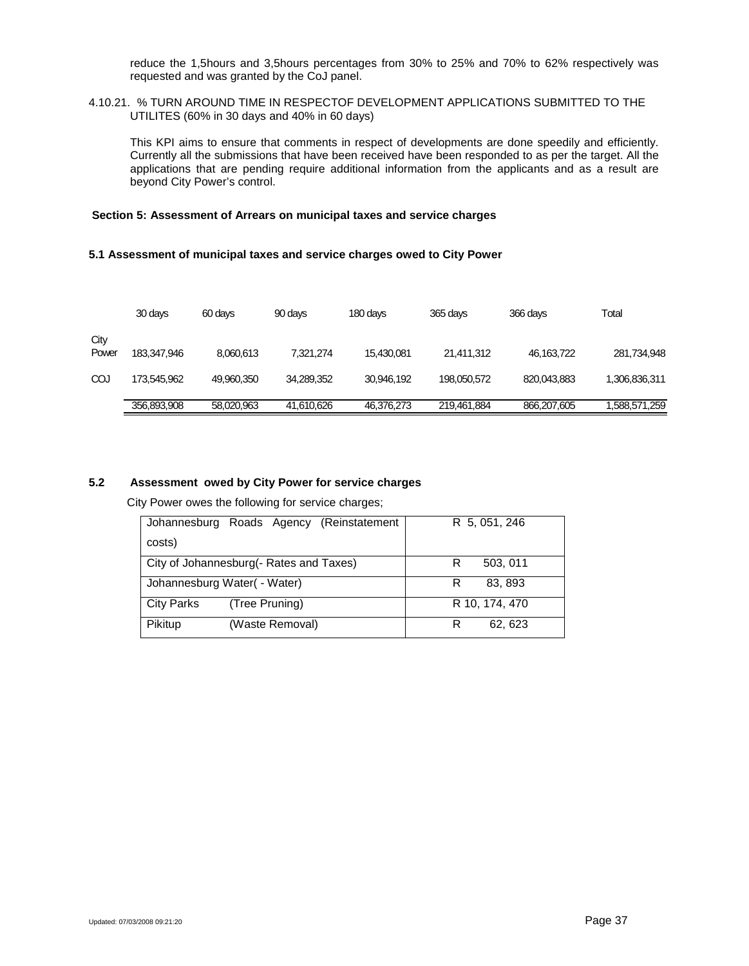reduce the 1,5hours and 3,5hours percentages from 30% to 25% and 70% to 62% respectively was requested and was granted by the CoJ panel.

4.10.21. % TURN AROUND TIME IN RESPECTOF DEVELOPMENT APPLICATIONS SUBMITTED TO THE UTILITES (60% in 30 days and 40% in 60 days)

This KPI aims to ensure that comments in respect of developments are done speedily and efficiently. Currently all the submissions that have been received have been responded to as per the target. All the applications that are pending require additional information from the applicants and as a result are beyond City Power's control.

### **Section 5: Assessment of Arrears on municipal taxes and service charges**

#### **5.1 Assessment of municipal taxes and service charges owed to City Power**

|               | 30 days     | 60 days    | 90 days    | 180 days   | 365 days    | 366 days    | Total         |
|---------------|-------------|------------|------------|------------|-------------|-------------|---------------|
| City<br>Power | 183,347,946 | 8.060.613  | 7,321,274  | 15,430,081 | 21,411,312  | 46,163,722  | 281,734,948   |
| COJ           | 173,545,962 | 49,960,350 | 34,289,352 | 30,946,192 | 198,050,572 | 820,043,883 | 1,306,836,311 |
|               | 356,893,908 | 58,020,963 | 41,610,626 | 46,376,273 | 219,461,884 | 866,207,605 | 1,588,571,259 |

## **5.2 Assessment owed by City Power for service charges**

City Power owes the following for service charges;

| Johannesburg Roads Agency (Reinstatement | R 5, 051, 246  |
|------------------------------------------|----------------|
| costs)                                   |                |
| City of Johannesburg(- Rates and Taxes)  | 503, 011<br>R  |
| Johannesburg Water ( - Water)            | 83, 893<br>R   |
| <b>City Parks</b><br>(Tree Pruning)      | R 10, 174, 470 |
| Pikitup<br>(Waste Removal)               | R<br>62, 623   |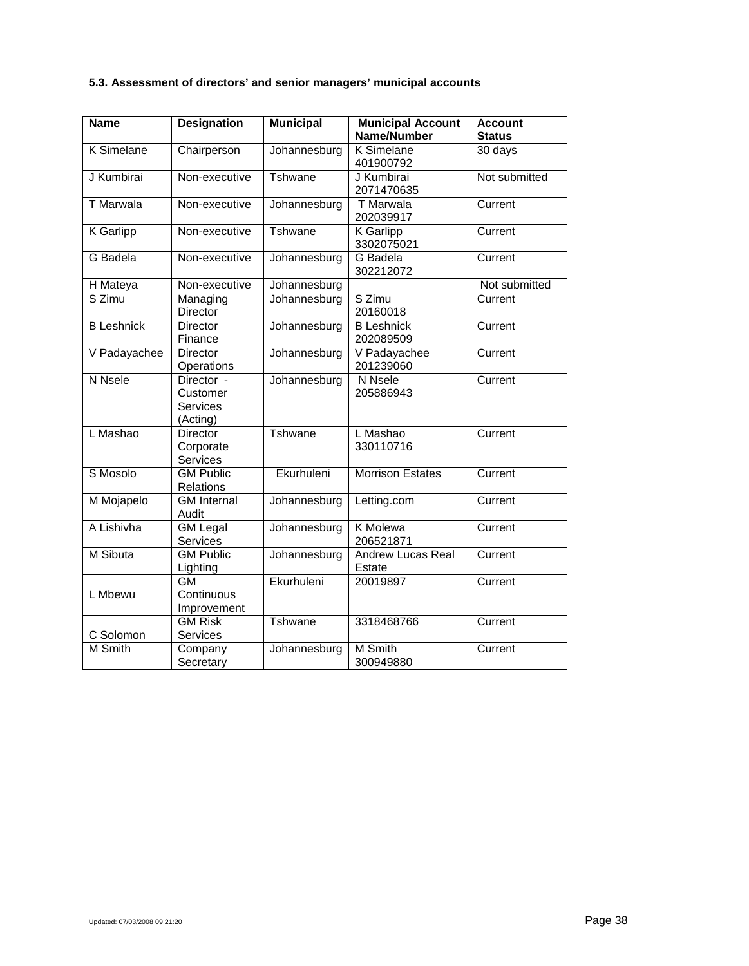# **5.3. Assessment of directors' and senior managers' municipal accounts**

| <b>Name</b>       | <b>Designation</b>                                    | <b>Municipal</b> | <b>Municipal Account</b><br><b>Name/Number</b> | <b>Account</b><br><b>Status</b> |
|-------------------|-------------------------------------------------------|------------------|------------------------------------------------|---------------------------------|
| <b>K</b> Simelane | Chairperson                                           | Johannesburg     | <b>K</b> Simelane<br>401900792                 | 30 days                         |
| J Kumbirai        | Non-executive                                         | Tshwane          | J Kumbirai<br>2071470635                       | Not submitted                   |
| <b>T</b> Marwala  | Non-executive                                         | Johannesburg     | <b>T</b> Marwala<br>202039917                  | Current                         |
| K Garlipp         | Non-executive                                         | Tshwane          | <b>K</b> Garlipp<br>3302075021                 | Current                         |
| G Badela          | Non-executive                                         | Johannesburg     | <b>G</b> Badela<br>302212072                   | Current                         |
| H Mateya          | Non-executive                                         | Johannesburg     |                                                | Not submitted                   |
| S Zimu            | Managing<br>Director                                  | Johannesburg     | S Zimu<br>20160018                             | Current                         |
| <b>B</b> Leshnick | Director<br>Finance                                   | Johannesburg     | <b>B</b> Leshnick<br>202089509                 | Current                         |
| V Padayachee      | Director<br>Operations                                | Johannesburg     | V Padayachee<br>201239060                      | Current                         |
| N Nsele           | Director -<br>Customer<br><b>Services</b><br>(Acting) | Johannesburg     | N Nsele<br>205886943                           | Current                         |
| L Mashao          | <b>Director</b><br>Corporate<br>Services              | Tshwane          | L Mashao<br>330110716                          | Current                         |
| S Mosolo          | <b>GM Public</b><br>Relations                         | Ekurhuleni       | <b>Morrison Estates</b>                        | Current                         |
| M Mojapelo        | <b>GM</b> Internal<br>Audit                           | Johannesburg     | Letting.com                                    | Current                         |
| A Lishivha        | <b>GM</b> Legal<br>Services                           | Johannesburg     | K Molewa<br>206521871                          | Current                         |
| <b>M</b> Sibuta   | <b>GM Public</b><br>Lighting                          | Johannesburg     | <b>Andrew Lucas Real</b><br>Estate             | Current                         |
| L Mbewu           | GМ<br>Continuous<br>Improvement                       | Ekurhuleni       | 20019897                                       | Current                         |
| C Solomon         | <b>GM Risk</b><br>Services                            | Tshwane          | 3318468766                                     | Current                         |
| <b>M</b> Smith    | Company<br>Secretary                                  | Johannesburg     | M Smith<br>300949880                           | Current                         |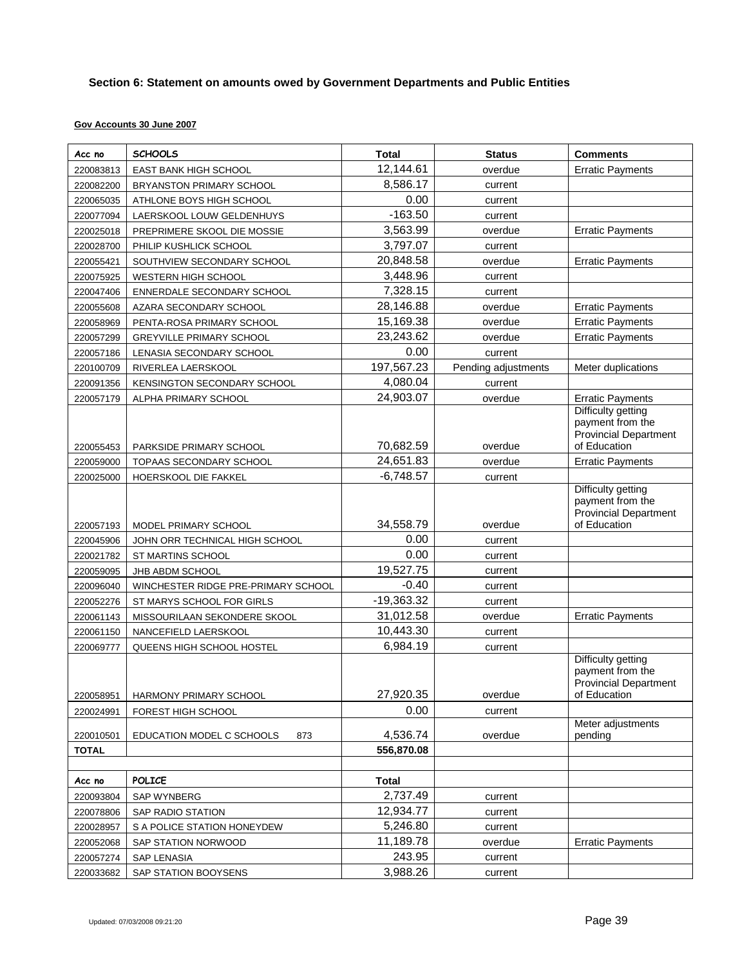# **Section 6: Statement on amounts owed by Government Departments and Public Entities**

## **Gov Accounts 30 June 2007**

| Acc no       | <b>SCHOOLS</b>                      | <b>Total</b> | <b>Status</b>       | <b>Comments</b>                                                                               |
|--------------|-------------------------------------|--------------|---------------------|-----------------------------------------------------------------------------------------------|
| 220083813    | EAST BANK HIGH SCHOOL               | 12,144.61    | overdue             | <b>Erratic Payments</b>                                                                       |
| 220082200    | BRYANSTON PRIMARY SCHOOL            | 8,586.17     | current             |                                                                                               |
| 220065035    | ATHLONE BOYS HIGH SCHOOL            | 0.00         | current             |                                                                                               |
| 220077094    | LAERSKOOL LOUW GELDENHUYS           | $-163.50$    | current             |                                                                                               |
| 220025018    | PREPRIMERE SKOOL DIE MOSSIE         | 3,563.99     | overdue             | <b>Erratic Payments</b>                                                                       |
| 220028700    | PHILIP KUSHLICK SCHOOL              | 3,797.07     | current             |                                                                                               |
| 220055421    | SOUTHVIEW SECONDARY SCHOOL          | 20,848.58    | overdue             | <b>Erratic Payments</b>                                                                       |
| 220075925    | <b>WESTERN HIGH SCHOOL</b>          | 3,448.96     | current             |                                                                                               |
| 220047406    | ENNERDALE SECONDARY SCHOOL          | 7,328.15     | current             |                                                                                               |
| 220055608    | AZARA SECONDARY SCHOOL              | 28,146.88    | overdue             | <b>Erratic Payments</b>                                                                       |
| 220058969    | PENTA-ROSA PRIMARY SCHOOL           | 15,169.38    | overdue             | <b>Erratic Payments</b>                                                                       |
| 220057299    | <b>GREYVILLE PRIMARY SCHOOL</b>     | 23,243.62    | overdue             | <b>Erratic Payments</b>                                                                       |
| 220057186    | LENASIA SECONDARY SCHOOL            | 0.00         | current             |                                                                                               |
| 220100709    | RIVERLEA LAERSKOOL                  | 197,567.23   | Pending adjustments | Meter duplications                                                                            |
| 220091356    | KENSINGTON SECONDARY SCHOOL         | 4,080.04     | current             |                                                                                               |
| 220057179    | ALPHA PRIMARY SCHOOL                | 24,903.07    | overdue             | <b>Erratic Payments</b>                                                                       |
| 220055453    | PARKSIDE PRIMARY SCHOOL             | 70,682.59    | overdue             | Difficulty getting<br>payment from the<br>Provincial Department<br>of Education               |
| 220059000    | TOPAAS SECONDARY SCHOOL             | 24,651.83    | overdue             | <b>Erratic Payments</b>                                                                       |
| 220025000    | HOERSKOOL DIE FAKKEL                | $-6,748.57$  | current             |                                                                                               |
| 220057193    | MODEL PRIMARY SCHOOL                | 34,558.79    | overdue             | <b>Difficulty getting</b><br>payment from the<br><b>Provincial Department</b><br>of Education |
| 220045906    | JOHN ORR TECHNICAL HIGH SCHOOL      | 0.00         | current             |                                                                                               |
| 220021782    | ST MARTINS SCHOOL                   | 0.00         | current             |                                                                                               |
| 220059095    | JHB ABDM SCHOOL                     | 19,527.75    | current             |                                                                                               |
| 220096040    | WINCHESTER RIDGE PRE-PRIMARY SCHOOL | $-0.40$      | current             |                                                                                               |
| 220052276    | ST MARYS SCHOOL FOR GIRLS           | $-19,363.32$ | current             |                                                                                               |
| 220061143    | MISSOURILAAN SEKONDERE SKOOL        | 31,012.58    | overdue             | <b>Erratic Payments</b>                                                                       |
| 220061150    | NANCEFIELD LAERSKOOL                | 10,443.30    | current             |                                                                                               |
| 220069777    | QUEENS HIGH SCHOOL HOSTEL           | 6,984.19     | current             |                                                                                               |
| 220058951    | HARMONY PRIMARY SCHOOL              | 27,920.35    | overdue             | Difficulty getting<br>payment from the<br><b>Provincial Department</b><br>of Education        |
| 220024991    | FOREST HIGH SCHOOL                  | 0.00         | current             |                                                                                               |
| 220010501    | EDUCATION MODEL C SCHOOLS<br>873    | 4,536.74     | overdue             | Meter adjustments<br>pending                                                                  |
| <b>TOTAL</b> |                                     | 556,870.08   |                     |                                                                                               |
|              |                                     |              |                     |                                                                                               |
| Acc no       | <b>POLICE</b>                       | <b>Total</b> |                     |                                                                                               |
| 220093804    | <b>SAP WYNBERG</b>                  | 2,737.49     | current             |                                                                                               |
| 220078806    | SAP RADIO STATION                   | 12,934.77    | current             |                                                                                               |
| 220028957    | S A POLICE STATION HONEYDEW         | 5,246.80     | current             |                                                                                               |
| 220052068    | SAP STATION NORWOOD                 | 11,189.78    | overdue             | <b>Erratic Payments</b>                                                                       |
| 220057274    | SAP LENASIA                         | 243.95       | current             |                                                                                               |
| 220033682    | SAP STATION BOOYSENS                | 3,988.26     | current             |                                                                                               |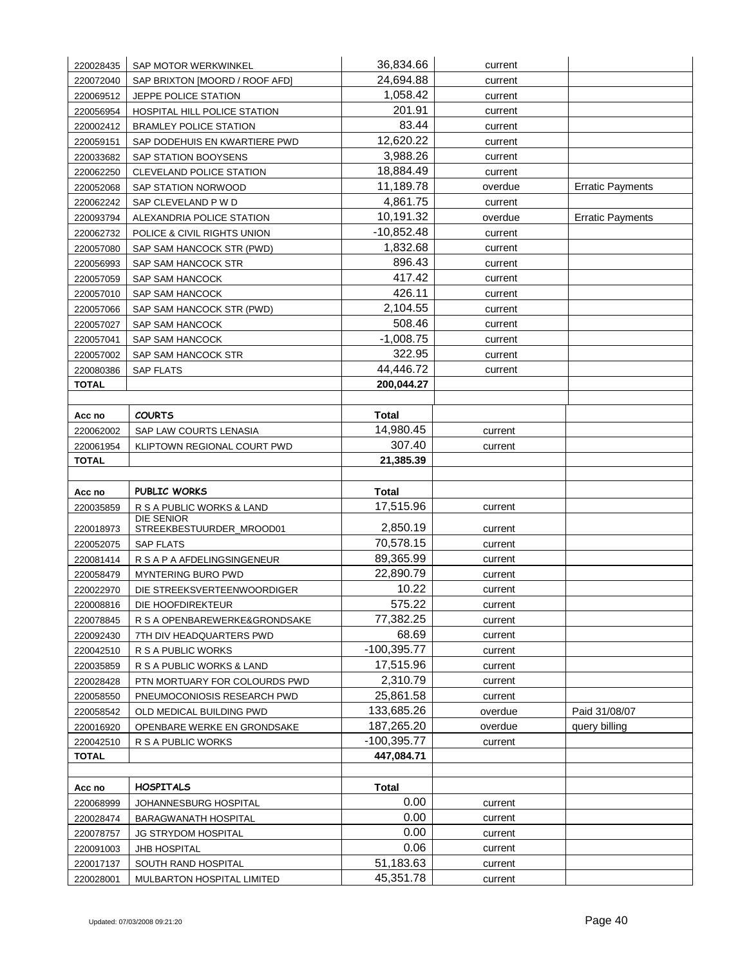| 220028435              | SAP MOTOR WERKWINKEL                          | 36,834.66         | current            |                         |
|------------------------|-----------------------------------------------|-------------------|--------------------|-------------------------|
| 220072040              | SAP BRIXTON [MOORD / ROOF AFD]                | 24,694.88         | current            |                         |
| 220069512              | JEPPE POLICE STATION                          | 1,058.42          | current            |                         |
| 220056954              | HOSPITAL HILL POLICE STATION                  | 201.91            | current            |                         |
| 220002412              | <b>BRAMLEY POLICE STATION</b>                 | 83.44             | current            |                         |
| 220059151              | SAP DODEHUIS EN KWARTIERE PWD                 | 12,620.22         | current            |                         |
| 220033682              | SAP STATION BOOYSENS                          | 3,988.26          | current            |                         |
| 220062250              | CLEVELAND POLICE STATION                      | 18,884.49         | current            |                         |
| 220052068              | SAP STATION NORWOOD                           | 11,189.78         | overdue            | <b>Erratic Payments</b> |
| 220062242              | SAP CLEVELAND P W D                           | 4,861.75          | current            |                         |
| 220093794              | ALEXANDRIA POLICE STATION                     | 10,191.32         | overdue            | <b>Erratic Payments</b> |
| 220062732              | POLICE & CIVIL RIGHTS UNION                   | $-10,852.48$      | current            |                         |
| 220057080              | SAP SAM HANCOCK STR (PWD)                     | 1,832.68          | current            |                         |
| 220056993              | SAP SAM HANCOCK STR                           | 896.43            | current            |                         |
| 220057059              | SAP SAM HANCOCK                               | 417.42            | current            |                         |
| 220057010              | <b>SAP SAM HANCOCK</b>                        | 426.11            | current            |                         |
| 220057066              | SAP SAM HANCOCK STR (PWD)                     | 2,104.55          | current            |                         |
| 220057027              | SAP SAM HANCOCK                               | 508.46            | current            |                         |
| 220057041              | SAP SAM HANCOCK                               | $-1,008.75$       | current            |                         |
| 220057002              | SAP SAM HANCOCK STR                           | 322.95            | current            |                         |
| 220080386              | <b>SAP FLATS</b>                              | 44,446.72         | current            |                         |
| <b>TOTAL</b>           |                                               | 200,044.27        |                    |                         |
|                        |                                               |                   |                    |                         |
| Acc no                 | <b>COURTS</b>                                 | Total             |                    |                         |
| 220062002              | SAP LAW COURTS LENASIA                        | 14,980.45         | current            |                         |
| 220061954              | KLIPTOWN REGIONAL COURT PWD                   | 307.40            | current            |                         |
| <b>TOTAL</b>           |                                               | 21,385.39         |                    |                         |
|                        |                                               |                   |                    |                         |
|                        |                                               |                   |                    |                         |
| Acc no                 | PUBLIC WORKS                                  | Total             |                    |                         |
| 220035859              | R S A PUBLIC WORKS & LAND                     | 17,515.96         | current            |                         |
| 220018973              | <b>DIE SENIOR</b><br>STREEKBESTUURDER_MROOD01 | 2,850.19          | current            |                         |
| 220052075              | <b>SAP FLATS</b>                              | 70,578.15         | current            |                         |
| 220081414              | R S A P A AFDELINGSINGENEUR                   | 89,365.99         | current            |                         |
| 220058479              | <b>MYNTERING BURO PWD</b>                     | 22,890.79         | current            |                         |
| 220022970              | DIE STREEKSVERTEENWOORDIGER                   | 10.22             | current            |                         |
| 220008816              | DIE HOOFDIREKTEUR                             | 575.22            | current            |                         |
| 220078845              | R S A OPENBAREWERKE&GRONDSAKE                 | 77,382.25         | current            |                         |
| 220092430              | 7TH DIV HEADQUARTERS PWD                      | 68.69             | current            |                         |
| 220042510              | R S A PUBLIC WORKS                            | $-100,395.77$     | current            |                         |
| 220035859              | R S A PUBLIC WORKS & LAND                     | 17,515.96         | current            |                         |
| 220028428              | PTN MORTUARY FOR COLOURDS PWD                 | 2,310.79          | current            |                         |
| 220058550              | PNEUMOCONIOSIS RESEARCH PWD                   | 25,861.58         | current            |                         |
| 220058542              | OLD MEDICAL BUILDING PWD                      | 133,685.26        | overdue            | Paid 31/08/07           |
| 220016920              | OPENBARE WERKE EN GRONDSAKE                   | 187,265.20        | overdue            | query billing           |
| 220042510              | R S A PUBLIC WORKS                            | $-100,395.77$     | current            |                         |
| <b>TOTAL</b>           |                                               | 447,084.71        |                    |                         |
|                        |                                               |                   |                    |                         |
| Acc no                 | <b>HOSPITALS</b>                              | <b>Total</b>      |                    |                         |
| 220068999              | JOHANNESBURG HOSPITAL                         | 0.00              | current            |                         |
| 220028474              | BARAGWANATH HOSPITAL                          | 0.00              | current            |                         |
| 220078757              | <b>JG STRYDOM HOSPITAL</b>                    | 0.00              | current            |                         |
| 220091003<br>220017137 | <b>JHB HOSPITAL</b><br>SOUTH RAND HOSPITAL    | 0.06<br>51,183.63 | current<br>current |                         |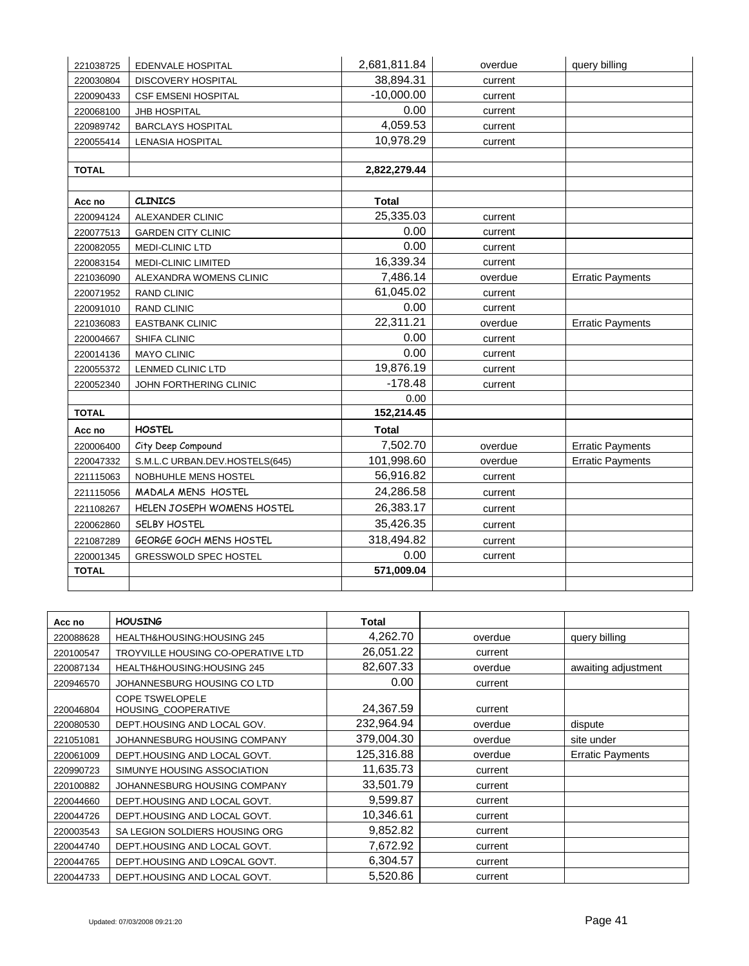| 221038725    | EDENVALE HOSPITAL              | 2,681,811.84 | overdue | query billing           |
|--------------|--------------------------------|--------------|---------|-------------------------|
| 220030804    | DISCOVERY HOSPITAL             | 38,894.31    | current |                         |
| 220090433    | <b>CSF EMSENI HOSPITAL</b>     | $-10,000.00$ | current |                         |
| 220068100    | JHB HOSPITAL                   | 0.00         | current |                         |
| 220989742    | <b>BARCLAYS HOSPITAL</b>       | 4,059.53     | current |                         |
| 220055414    | LENASIA HOSPITAL               | 10,978.29    | current |                         |
|              |                                |              |         |                         |
| <b>TOTAL</b> |                                | 2,822,279.44 |         |                         |
|              |                                |              |         |                         |
| Acc no       | <b>CLINICS</b>                 | <b>Total</b> |         |                         |
| 220094124    | ALEXANDER CLINIC               | 25,335.03    | current |                         |
| 220077513    | <b>GARDEN CITY CLINIC</b>      | 0.00         | current |                         |
| 220082055    | MEDI-CLINIC LTD                | 0.00         | current |                         |
| 220083154    | MEDI-CLINIC LIMITED            | 16,339.34    | current |                         |
| 221036090    | ALEXANDRA WOMENS CLINIC        | 7,486.14     | overdue | <b>Erratic Payments</b> |
| 220071952    | <b>RAND CLINIC</b>             | 61,045.02    | current |                         |
| 220091010    | <b>RAND CLINIC</b>             | 0.00         | current |                         |
| 221036083    | <b>EASTBANK CLINIC</b>         | 22,311.21    | overdue | <b>Erratic Payments</b> |
| 220004667    | SHIFA CLINIC                   | 0.00         | current |                         |
| 220014136    | <b>MAYO CLINIC</b>             | 0.00         | current |                         |
| 220055372    | LENMED CLINIC LTD              | 19,876.19    | current |                         |
| 220052340    | JOHN FORTHERING CLINIC         | $-178.48$    | current |                         |
|              |                                | 0.00         |         |                         |
| <b>TOTAL</b> |                                | 152,214.45   |         |                         |
| Acc no       | <b>HOSTEL</b>                  | <b>Total</b> |         |                         |
| 220006400    | City Deep Compound             | 7,502.70     | overdue | <b>Erratic Payments</b> |
| 220047332    | S.M.L.C URBAN.DEV.HOSTELS(645) | 101,998.60   | overdue | <b>Erratic Payments</b> |
| 221115063    | NOBHUHLE MENS HOSTEL           | 56,916.82    | current |                         |
| 221115056    | MADALA MENS HOSTEL             | 24,286.58    | current |                         |
| 221108267    | HELEN JOSEPH WOMENS HOSTEL     | 26,383.17    | current |                         |
| 220062860    | SELBY HOSTEL                   | 35,426.35    | current |                         |
| 221087289    | GEORGE GOCH MENS HOSTEL        | 318,494.82   | current |                         |
| 220001345    | <b>GRESSWOLD SPEC HOSTEL</b>   | 0.00         | current |                         |
| <b>TOTAL</b> |                                | 571,009.04   |         |                         |
|              |                                |              |         |                         |

| Acc no    | <b>HOUSING</b>                                | Total      |         |                         |
|-----------|-----------------------------------------------|------------|---------|-------------------------|
| 220088628 | HEALTH&HOUSING:HOUSING 245                    | 4,262.70   | overdue | query billing           |
| 220100547 | TROYVILLE HOUSING CO-OPERATIVE LTD            | 26,051.22  | current |                         |
| 220087134 | HEALTH&HOUSING:HOUSING 245                    | 82.607.33  | overdue | awaiting adjustment     |
| 220946570 | JOHANNESBURG HOUSING CO LTD                   | 0.00       | current |                         |
| 220046804 | <b>COPE TSWELOPELE</b><br>HOUSING_COOPERATIVE | 24,367.59  | current |                         |
| 220080530 | DEPT.HOUSING AND LOCAL GOV.                   | 232,964.94 | overdue | dispute                 |
| 221051081 | JOHANNESBURG HOUSING COMPANY                  | 379,004.30 | overdue | site under              |
| 220061009 | DEPT.HOUSING AND LOCAL GOVT.                  | 125,316.88 | overdue | <b>Erratic Payments</b> |
| 220990723 | SIMUNYE HOUSING ASSOCIATION                   | 11,635.73  | current |                         |
| 220100882 | JOHANNESBURG HOUSING COMPANY                  | 33,501.79  | current |                         |
| 220044660 | DEPT.HOUSING AND LOCAL GOVT.                  | 9,599.87   | current |                         |
| 220044726 | DEPT.HOUSING AND LOCAL GOVT.                  | 10,346.61  | current |                         |
| 220003543 | SA LEGION SOLDIERS HOUSING ORG                | 9,852.82   | current |                         |
| 220044740 | DEPT.HOUSING AND LOCAL GOVT.                  | 7,672.92   | current |                         |
| 220044765 | DEPT.HOUSING AND LO9CAL GOVT.                 | 6,304.57   | current |                         |
| 220044733 | DEPT.HOUSING AND LOCAL GOVT.                  | 5,520.86   | current |                         |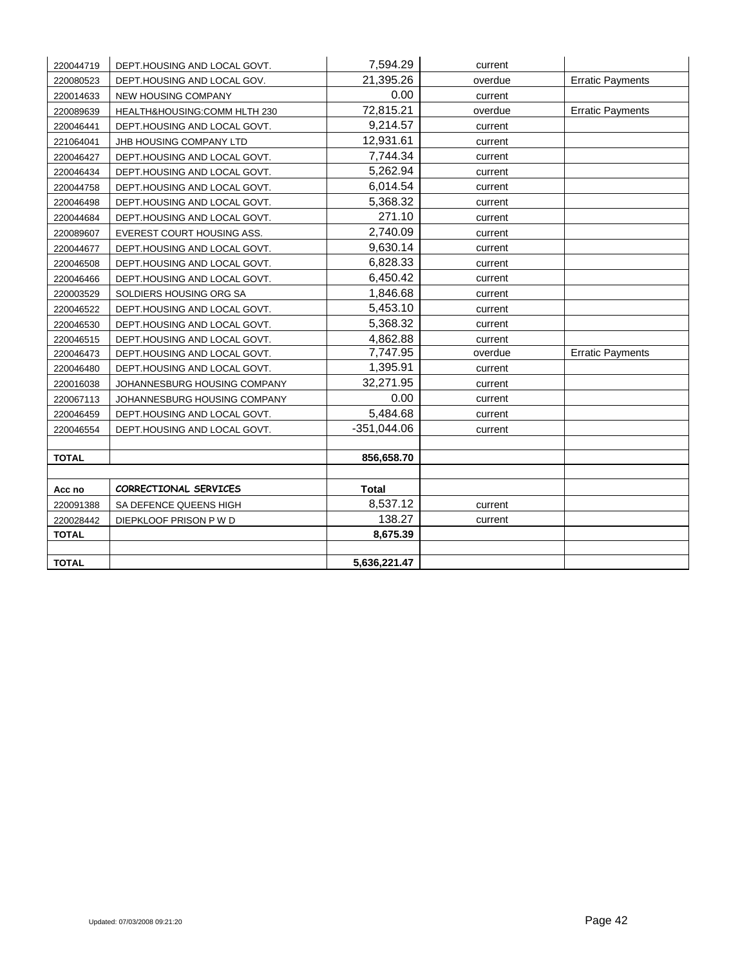| 220044719    | DEPT.HOUSING AND LOCAL GOVT. | 7,594.29      | current |                         |
|--------------|------------------------------|---------------|---------|-------------------------|
| 220080523    | DEPT.HOUSING AND LOCAL GOV.  | 21,395.26     | overdue | <b>Erratic Payments</b> |
| 220014633    | <b>NEW HOUSING COMPANY</b>   | 0.00          | current |                         |
| 220089639    | HEALTH&HOUSING:COMM HLTH 230 | 72,815.21     | overdue | <b>Erratic Payments</b> |
| 220046441    | DEPT.HOUSING AND LOCAL GOVT. | 9,214.57      | current |                         |
| 221064041    | JHB HOUSING COMPANY LTD      | 12,931.61     | current |                         |
| 220046427    | DEPT.HOUSING AND LOCAL GOVT. | 7,744.34      | current |                         |
| 220046434    | DEPT.HOUSING AND LOCAL GOVT. | 5,262.94      | current |                         |
| 220044758    | DEPT.HOUSING AND LOCAL GOVT. | 6,014.54      | current |                         |
| 220046498    | DEPT.HOUSING AND LOCAL GOVT. | 5,368.32      | current |                         |
| 220044684    | DEPT.HOUSING AND LOCAL GOVT. | 271.10        | current |                         |
| 220089607    | EVEREST COURT HOUSING ASS.   | 2,740.09      | current |                         |
| 220044677    | DEPT.HOUSING AND LOCAL GOVT. | 9,630.14      | current |                         |
| 220046508    | DEPT.HOUSING AND LOCAL GOVT. | 6,828.33      | current |                         |
| 220046466    | DEPT.HOUSING AND LOCAL GOVT. | 6,450.42      | current |                         |
| 220003529    | SOLDIERS HOUSING ORG SA      | 1,846.68      | current |                         |
| 220046522    | DEPT.HOUSING AND LOCAL GOVT. | 5,453.10      | current |                         |
| 220046530    | DEPT.HOUSING AND LOCAL GOVT. | 5,368.32      | current |                         |
| 220046515    | DEPT.HOUSING AND LOCAL GOVT. | 4,862.88      | current |                         |
| 220046473    | DEPT.HOUSING AND LOCAL GOVT. | 7,747.95      | overdue | <b>Erratic Payments</b> |
| 220046480    | DEPT.HOUSING AND LOCAL GOVT. | 1,395.91      | current |                         |
| 220016038    | JOHANNESBURG HOUSING COMPANY | 32,271.95     | current |                         |
| 220067113    | JOHANNESBURG HOUSING COMPANY | 0.00          | current |                         |
| 220046459    | DEPT.HOUSING AND LOCAL GOVT. | 5,484.68      | current |                         |
| 220046554    | DEPT.HOUSING AND LOCAL GOVT. | $-351,044.06$ | current |                         |
|              |                              |               |         |                         |
| <b>TOTAL</b> |                              | 856,658.70    |         |                         |
|              |                              |               |         |                         |
| Acc no       | CORRECTIONAL SERVICES        | <b>Total</b>  |         |                         |
| 220091388    | SA DEFENCE QUEENS HIGH       | 8,537.12      | current |                         |
| 220028442    | DIEPKLOOF PRISON P W D       | 138.27        | current |                         |
| <b>TOTAL</b> |                              | 8,675.39      |         |                         |
|              |                              |               |         |                         |
| <b>TOTAL</b> |                              | 5,636,221.47  |         |                         |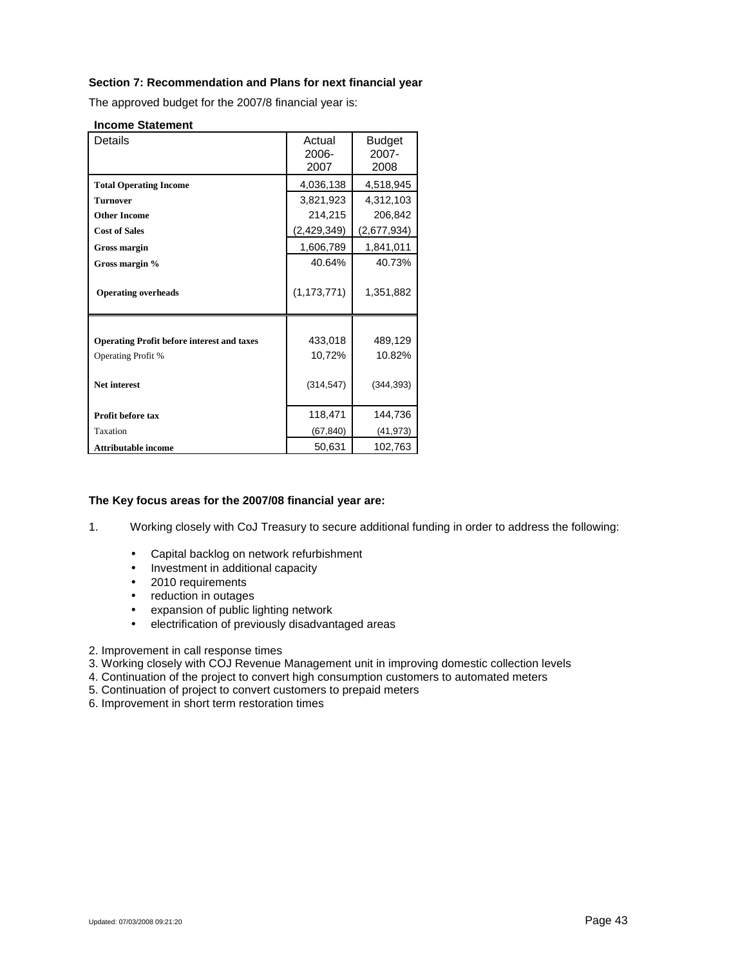## **Section 7: Recommendation and Plans for next financial year**

The approved budget for the 2007/8 financial year is:

#### **Income Statement**

| <b>Details</b>                                    | Actual<br>2006-<br>2007 | <b>Budget</b><br>2007-<br>2008 |
|---------------------------------------------------|-------------------------|--------------------------------|
| <b>Total Operating Income</b>                     | 4,036,138               | 4,518,945                      |
| <b>Turnover</b>                                   | 3,821,923               | 4,312,103                      |
| <b>Other Income</b>                               | 214,215                 | 206,842                        |
| <b>Cost of Sales</b>                              | (2,429,349)             | (2,677,934)                    |
| <b>Gross margin</b>                               | 1,606,789               | 1,841,011                      |
| Gross margin %                                    | 40.64%                  | 40.73%                         |
| <b>Operating overheads</b>                        | (1, 173, 771)           | 1,351,882                      |
|                                                   |                         |                                |
| <b>Operating Profit before interest and taxes</b> | 433,018                 | 489,129                        |
| Operating Profit %                                | 10,72%                  | 10.82%                         |
| <b>Net interest</b>                               | (314, 547)              | (344, 393)                     |
| Profit before tax                                 | 118,471                 | 144,736                        |
| Taxation                                          | (67, 840)               | (41, 973)                      |
| <b>Attributable income</b>                        | 50,631                  | 102,763                        |

### **The Key focus areas for the 2007/08 financial year are:**

1. Working closely with CoJ Treasury to secure additional funding in order to address the following:

- Capital backlog on network refurbishment
- Investment in additional capacity
- 2010 requirements
- reduction in outages
- expansion of public lighting network<br>• electrification of previously disadvan
- electrification of previously disadvantaged areas
- 2. Improvement in call response times
- 3. Working closely with COJ Revenue Management unit in improving domestic collection levels
- 4. Continuation of the project to convert high consumption customers to automated meters
- 5. Continuation of project to convert customers to prepaid meters
- 6. Improvement in short term restoration times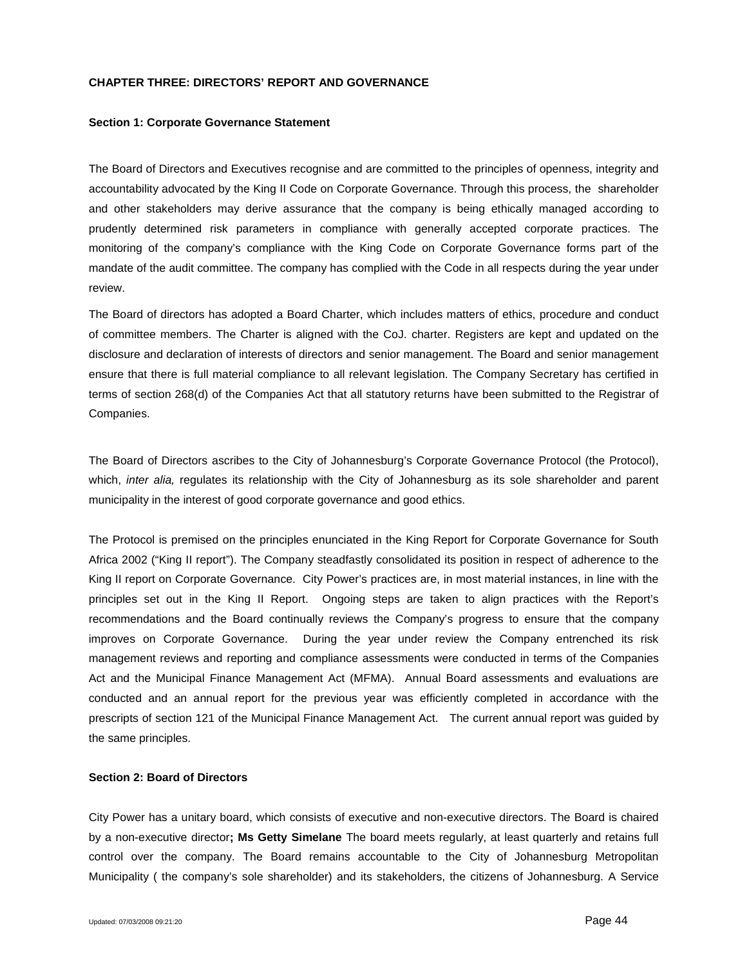#### **CHAPTER THREE: DIRECTORS' REPORT AND GOVERNANCE**

#### **Section 1: Corporate Governance Statement**

The Board of Directors and Executives recognise and are committed to the principles of openness, integrity and accountability advocated by the King II Code on Corporate Governance. Through this process, the shareholder and other stakeholders may derive assurance that the company is being ethically managed according to prudently determined risk parameters in compliance with generally accepted corporate practices. The monitoring of the company's compliance with the King Code on Corporate Governance forms part of the mandate of the audit committee. The company has complied with the Code in all respects during the year under review.

The Board of directors has adopted a Board Charter, which includes matters of ethics, procedure and conduct of committee members. The Charter is aligned with the CoJ. charter. Registers are kept and updated on the disclosure and declaration of interests of directors and senior management. The Board and senior management ensure that there is full material compliance to all relevant legislation. The Company Secretary has certified in terms of section 268(d) of the Companies Act that all statutory returns have been submitted to the Registrar of Companies.

The Board of Directors ascribes to the City of Johannesburg's Corporate Governance Protocol (the Protocol), which, *inter alia,* regulates its relationship with the City of Johannesburg as its sole shareholder and parent municipality in the interest of good corporate governance and good ethics.

The Protocol is premised on the principles enunciated in the King Report for Corporate Governance for South Africa 2002 ("King II report"). The Company steadfastly consolidated its position in respect of adherence to the King II report on Corporate Governance. City Power's practices are, in most material instances, in line with the principles set out in the King II Report. Ongoing steps are taken to align practices with the Report's recommendations and the Board continually reviews the Company's progress to ensure that the company improves on Corporate Governance. During the year under review the Company entrenched its risk management reviews and reporting and compliance assessments were conducted in terms of the Companies Act and the Municipal Finance Management Act (MFMA). Annual Board assessments and evaluations are conducted and an annual report for the previous year was efficiently completed in accordance with the prescripts of section 121 of the Municipal Finance Management Act. The current annual report was guided by the same principles.

#### **Section 2: Board of Directors**

City Power has a unitary board, which consists of executive and non-executive directors. The Board is chaired by a non-executive director**; Ms Getty Simelane** The board meets regularly, at least quarterly and retains full control over the company. The Board remains accountable to the City of Johannesburg Metropolitan Municipality ( the company's sole shareholder) and its stakeholders, the citizens of Johannesburg. A Service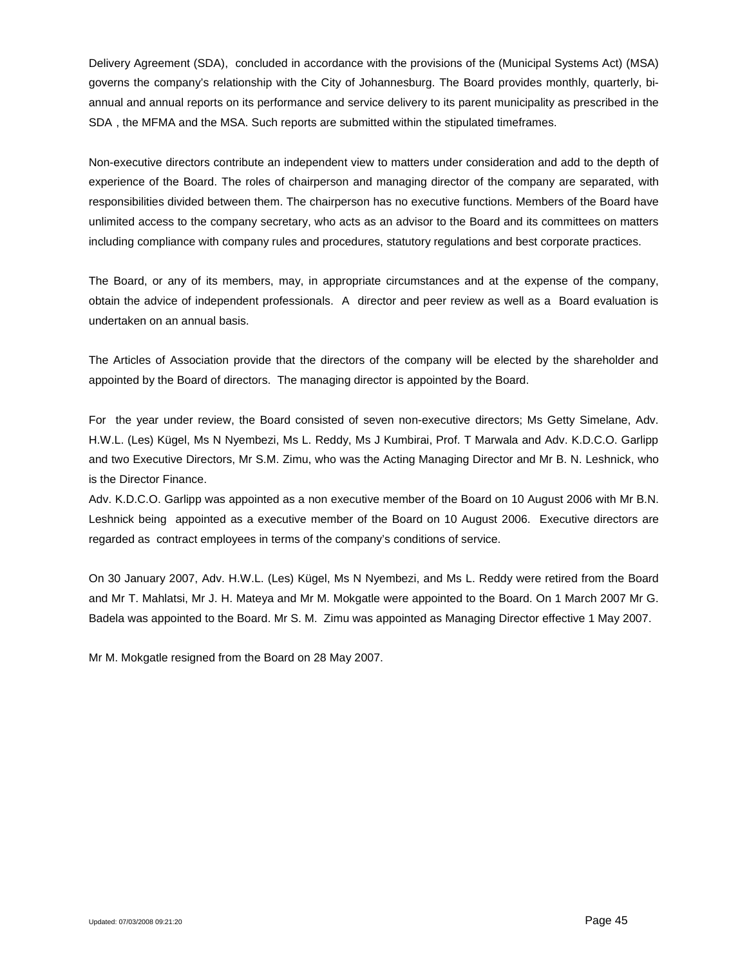Delivery Agreement (SDA), concluded in accordance with the provisions of the (Municipal Systems Act) (MSA) governs the company's relationship with the City of Johannesburg. The Board provides monthly, quarterly, biannual and annual reports on its performance and service delivery to its parent municipality as prescribed in the SDA , the MFMA and the MSA. Such reports are submitted within the stipulated timeframes.

Non-executive directors contribute an independent view to matters under consideration and add to the depth of experience of the Board. The roles of chairperson and managing director of the company are separated, with responsibilities divided between them. The chairperson has no executive functions. Members of the Board have unlimited access to the company secretary, who acts as an advisor to the Board and its committees on matters including compliance with company rules and procedures, statutory regulations and best corporate practices.

The Board, or any of its members, may, in appropriate circumstances and at the expense of the company, obtain the advice of independent professionals. A director and peer review as well as a Board evaluation is undertaken on an annual basis.

The Articles of Association provide that the directors of the company will be elected by the shareholder and appointed by the Board of directors. The managing director is appointed by the Board.

For the year under review, the Board consisted of seven non-executive directors; Ms Getty Simelane, Adv. H.W.L. (Les) Kügel, Ms N Nyembezi, Ms L. Reddy, Ms J Kumbirai, Prof. T Marwala and Adv. K.D.C.O. Garlipp and two Executive Directors, Mr S.M. Zimu, who was the Acting Managing Director and Mr B. N. Leshnick, who is the Director Finance.

Adv. K.D.C.O. Garlipp was appointed as a non executive member of the Board on 10 August 2006 with Mr B.N. Leshnick being appointed as a executive member of the Board on 10 August 2006. Executive directors are regarded as contract employees in terms of the company's conditions of service.

On 30 January 2007, Adv. H.W.L. (Les) Kügel, Ms N Nyembezi, and Ms L. Reddy were retired from the Board and Mr T. Mahlatsi, Mr J. H. Mateya and Mr M. Mokgatle were appointed to the Board. On 1 March 2007 Mr G. Badela was appointed to the Board. Mr S. M. Zimu was appointed as Managing Director effective 1 May 2007.

Mr M. Mokgatle resigned from the Board on 28 May 2007.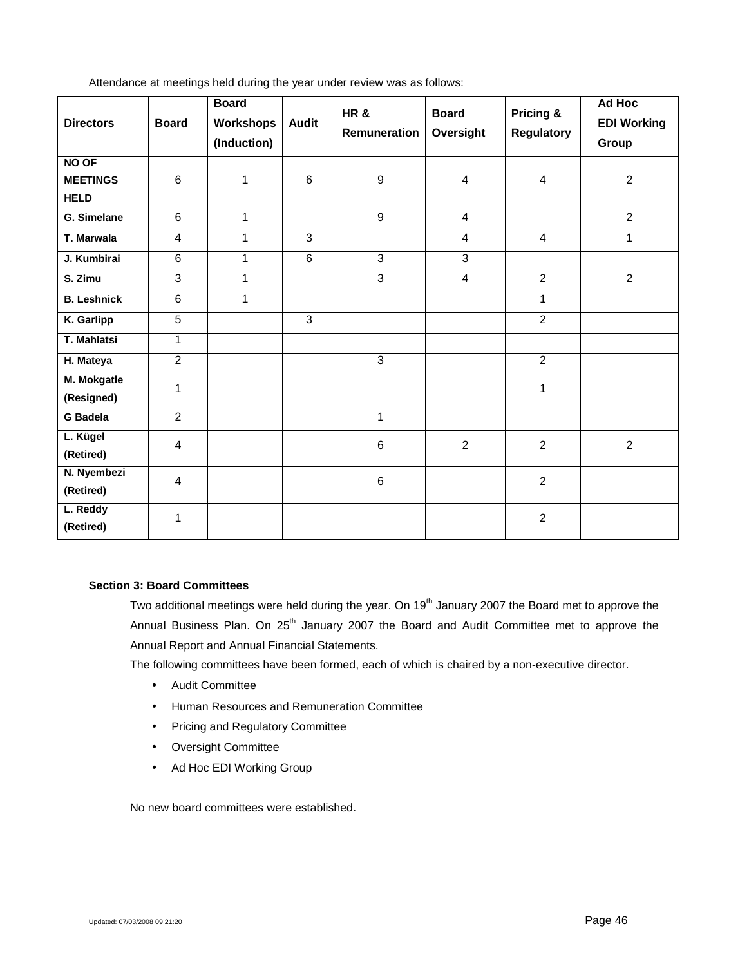| Attendance at meetings held during the year under review was as follows: |  |  |  |  |
|--------------------------------------------------------------------------|--|--|--|--|
|                                                                          |  |  |  |  |

| <b>Directors</b>                               | <b>Board</b>   | <b>Board</b><br>Workshops<br>(Induction) | <b>Audit</b>   | <b>HR&amp;</b><br>Remuneration | <b>Board</b><br>Oversight | <b>Pricing &amp;</b><br><b>Regulatory</b> | Ad Hoc<br><b>EDI Working</b><br>Group |
|------------------------------------------------|----------------|------------------------------------------|----------------|--------------------------------|---------------------------|-------------------------------------------|---------------------------------------|
| <b>NO OF</b><br><b>MEETINGS</b><br><b>HELD</b> | 6              | 1                                        | $\,6\,$        | $\boldsymbol{9}$               | 4                         | $\overline{4}$                            | $\overline{c}$                        |
| G. Simelane                                    | $\overline{6}$ | $\mathbf{1}$                             |                | $\overline{9}$                 | $\overline{4}$            |                                           | $\overline{2}$                        |
| T. Marwala                                     | 4              | 1                                        | $\overline{3}$ |                                | $\overline{4}$            | $\overline{4}$                            | $\mathbf 1$                           |
| J. Kumbirai                                    | $\overline{6}$ | $\mathbf{1}$                             | $\overline{6}$ | $\overline{3}$                 | $\overline{3}$            |                                           |                                       |
| S. Zimu                                        | $\overline{3}$ | $\mathbf{1}$                             |                | $\overline{3}$                 | $\overline{4}$            | $\overline{2}$                            | 2                                     |
| <b>B. Leshnick</b>                             | $\overline{6}$ | $\mathbf{1}$                             |                |                                |                           | 1                                         |                                       |
| K. Garlipp                                     | $\overline{5}$ |                                          | $\overline{3}$ |                                |                           | $\overline{2}$                            |                                       |
| T. Mahlatsi                                    | 1              |                                          |                |                                |                           |                                           |                                       |
| H. Mateya                                      | $\overline{2}$ |                                          |                | $\overline{3}$                 |                           | $\overline{2}$                            |                                       |
| M. Mokgatle<br>(Resigned)                      | 1              |                                          |                |                                |                           | $\mathbf{1}$                              |                                       |
| <b>G</b> Badela                                | $\overline{2}$ |                                          |                | 1                              |                           |                                           |                                       |
| L. Kügel<br>(Retired)                          | $\overline{4}$ |                                          |                | 6                              | $\overline{2}$            | $\overline{2}$                            | $\overline{2}$                        |
| N. Nyembezi<br>(Retired)                       | 4              |                                          |                | 6                              |                           | $\overline{2}$                            |                                       |
| L. Reddy<br>(Retired)                          | 1              |                                          |                |                                |                           | $\overline{2}$                            |                                       |

## **Section 3: Board Committees**

Two additional meetings were held during the year. On 19<sup>th</sup> January 2007 the Board met to approve the Annual Business Plan. On 25<sup>th</sup> January 2007 the Board and Audit Committee met to approve the Annual Report and Annual Financial Statements.

The following committees have been formed, each of which is chaired by a non-executive director.

- Audit Committee
- Human Resources and Remuneration Committee
- Pricing and Regulatory Committee
- Oversight Committee
- Ad Hoc EDI Working Group

No new board committees were established.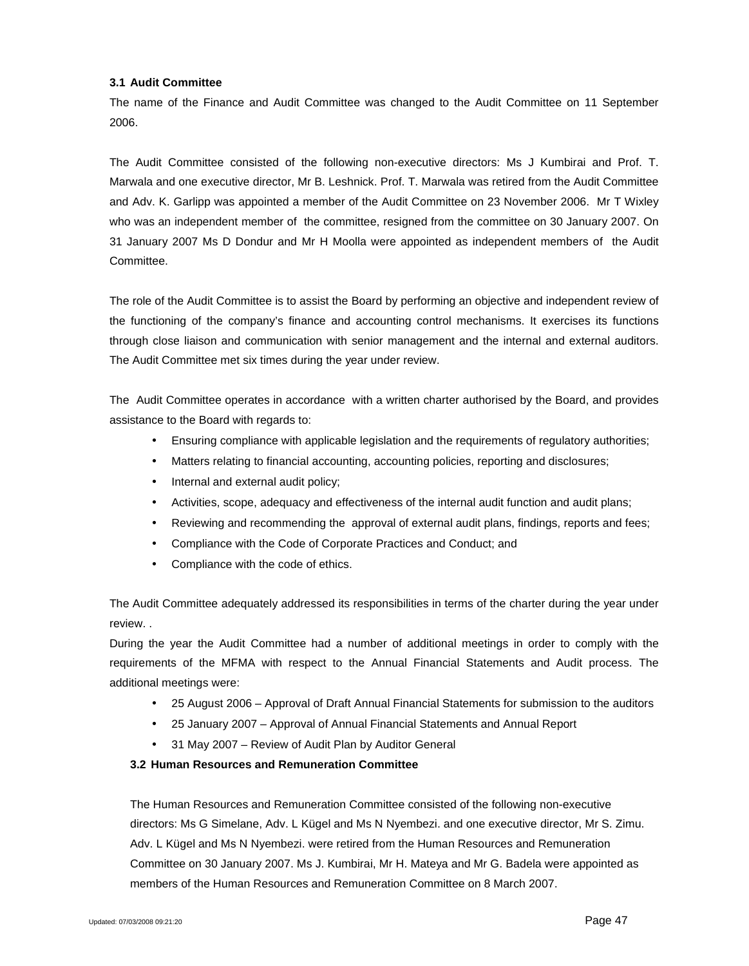### **3.1 Audit Committee**

The name of the Finance and Audit Committee was changed to the Audit Committee on 11 September 2006.

The Audit Committee consisted of the following non-executive directors: Ms J Kumbirai and Prof. T. Marwala and one executive director, Mr B. Leshnick. Prof. T. Marwala was retired from the Audit Committee and Adv. K. Garlipp was appointed a member of the Audit Committee on 23 November 2006. Mr T Wixley who was an independent member of the committee, resigned from the committee on 30 January 2007. On 31 January 2007 Ms D Dondur and Mr H Moolla were appointed as independent members of the Audit Committee.

The role of the Audit Committee is to assist the Board by performing an objective and independent review of the functioning of the company's finance and accounting control mechanisms. It exercises its functions through close liaison and communication with senior management and the internal and external auditors. The Audit Committee met six times during the year under review.

The Audit Committee operates in accordance with a written charter authorised by the Board, and provides assistance to the Board with regards to:

- Ensuring compliance with applicable legislation and the requirements of regulatory authorities;
- Matters relating to financial accounting, accounting policies, reporting and disclosures;
- Internal and external audit policy;
- Activities, scope, adequacy and effectiveness of the internal audit function and audit plans;
- Reviewing and recommending the approval of external audit plans, findings, reports and fees;
- Compliance with the Code of Corporate Practices and Conduct; and
- Compliance with the code of ethics.

The Audit Committee adequately addressed its responsibilities in terms of the charter during the year under review. .

During the year the Audit Committee had a number of additional meetings in order to comply with the requirements of the MFMA with respect to the Annual Financial Statements and Audit process. The additional meetings were:

- 25 August 2006 Approval of Draft Annual Financial Statements for submission to the auditors
- 25 January 2007 Approval of Annual Financial Statements and Annual Report
- 31 May 2007 Review of Audit Plan by Auditor General

## **3.2 Human Resources and Remuneration Committee**

The Human Resources and Remuneration Committee consisted of the following non-executive directors: Ms G Simelane, Adv. L Kügel and Ms N Nyembezi. and one executive director, Mr S. Zimu. Adv. L Kügel and Ms N Nyembezi. were retired from the Human Resources and Remuneration Committee on 30 January 2007. Ms J. Kumbirai, Mr H. Mateya and Mr G. Badela were appointed as members of the Human Resources and Remuneration Committee on 8 March 2007.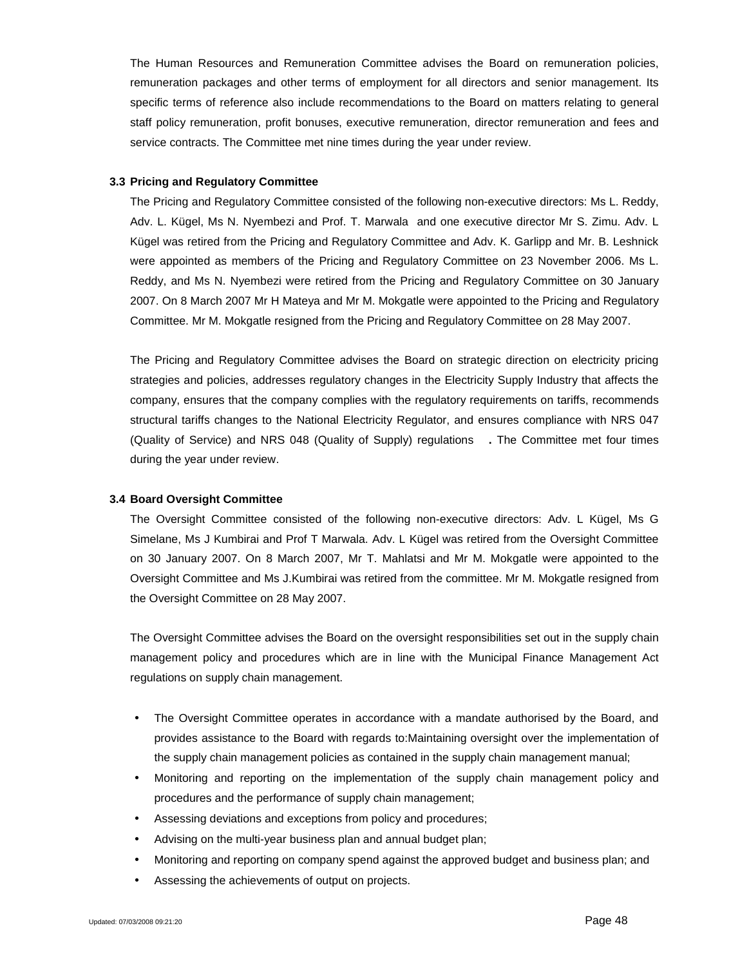The Human Resources and Remuneration Committee advises the Board on remuneration policies, remuneration packages and other terms of employment for all directors and senior management. Its specific terms of reference also include recommendations to the Board on matters relating to general staff policy remuneration, profit bonuses, executive remuneration, director remuneration and fees and service contracts. The Committee met nine times during the year under review.

#### **3.3 Pricing and Regulatory Committee**

The Pricing and Regulatory Committee consisted of the following non-executive directors: Ms L. Reddy, Adv. L. Kügel, Ms N. Nyembezi and Prof. T. Marwala and one executive director Mr S. Zimu. Adv. L Kügel was retired from the Pricing and Regulatory Committee and Adv. K. Garlipp and Mr. B. Leshnick were appointed as members of the Pricing and Regulatory Committee on 23 November 2006. Ms L. Reddy, and Ms N. Nyembezi were retired from the Pricing and Regulatory Committee on 30 January 2007. On 8 March 2007 Mr H Mateya and Mr M. Mokgatle were appointed to the Pricing and Regulatory Committee. Mr M. Mokgatle resigned from the Pricing and Regulatory Committee on 28 May 2007.

The Pricing and Regulatory Committee advises the Board on strategic direction on electricity pricing strategies and policies, addresses regulatory changes in the Electricity Supply Industry that affects the company, ensures that the company complies with the regulatory requirements on tariffs, recommends structural tariffs changes to the National Electricity Regulator, and ensures compliance with NRS 047 (Quality of Service) and NRS 048 (Quality of Supply) regulations **.** The Committee met four times during the year under review.

### **3.4 Board Oversight Committee**

The Oversight Committee consisted of the following non-executive directors: Adv. L Kügel, Ms G Simelane, Ms J Kumbirai and Prof T Marwala. Adv. L Kügel was retired from the Oversight Committee on 30 January 2007. On 8 March 2007, Mr T. Mahlatsi and Mr M. Mokgatle were appointed to the Oversight Committee and Ms J.Kumbirai was retired from the committee. Mr M. Mokgatle resigned from the Oversight Committee on 28 May 2007.

The Oversight Committee advises the Board on the oversight responsibilities set out in the supply chain management policy and procedures which are in line with the Municipal Finance Management Act regulations on supply chain management.

- The Oversight Committee operates in accordance with a mandate authorised by the Board, and provides assistance to the Board with regards to:Maintaining oversight over the implementation of the supply chain management policies as contained in the supply chain management manual;
- Monitoring and reporting on the implementation of the supply chain management policy and procedures and the performance of supply chain management;
- Assessing deviations and exceptions from policy and procedures;
- Advising on the multi-year business plan and annual budget plan;
- Monitoring and reporting on company spend against the approved budget and business plan; and
- Assessing the achievements of output on projects.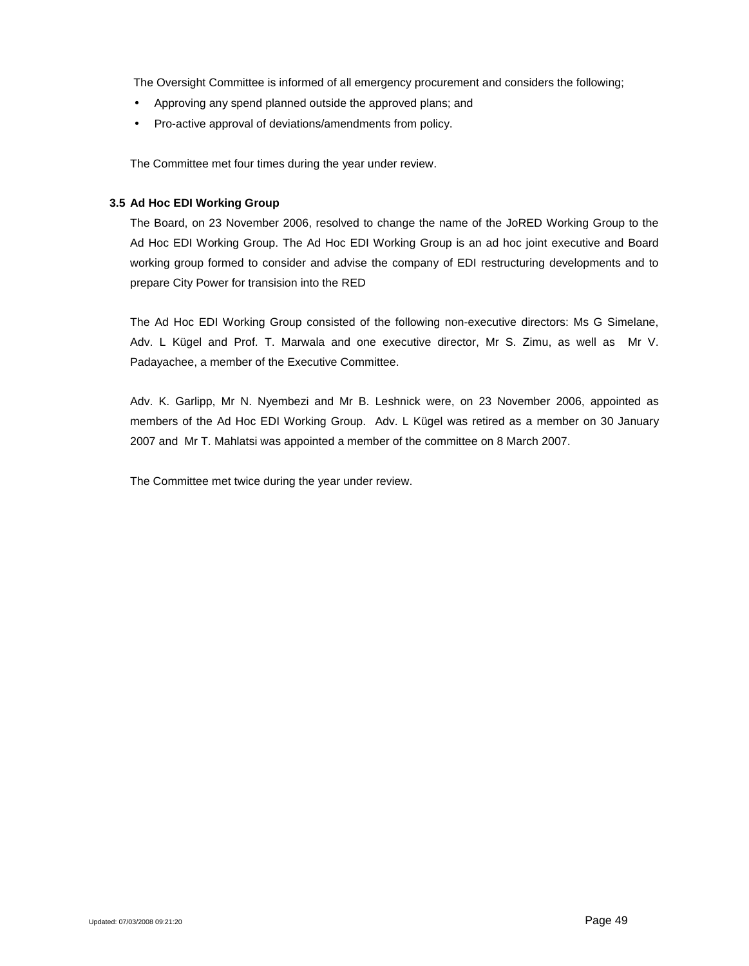The Oversight Committee is informed of all emergency procurement and considers the following;

- Approving any spend planned outside the approved plans; and
- Pro-active approval of deviations/amendments from policy.

The Committee met four times during the year under review.

### **3.5 Ad Hoc EDI Working Group**

The Board, on 23 November 2006, resolved to change the name of the JoRED Working Group to the Ad Hoc EDI Working Group. The Ad Hoc EDI Working Group is an ad hoc joint executive and Board working group formed to consider and advise the company of EDI restructuring developments and to prepare City Power for transision into the RED

The Ad Hoc EDI Working Group consisted of the following non-executive directors: Ms G Simelane, Adv. L Kügel and Prof. T. Marwala and one executive director, Mr S. Zimu, as well as Mr V. Padayachee, a member of the Executive Committee.

Adv. K. Garlipp, Mr N. Nyembezi and Mr B. Leshnick were, on 23 November 2006, appointed as members of the Ad Hoc EDI Working Group. Adv. L Kügel was retired as a member on 30 January 2007 and Mr T. Mahlatsi was appointed a member of the committee on 8 March 2007.

The Committee met twice during the year under review.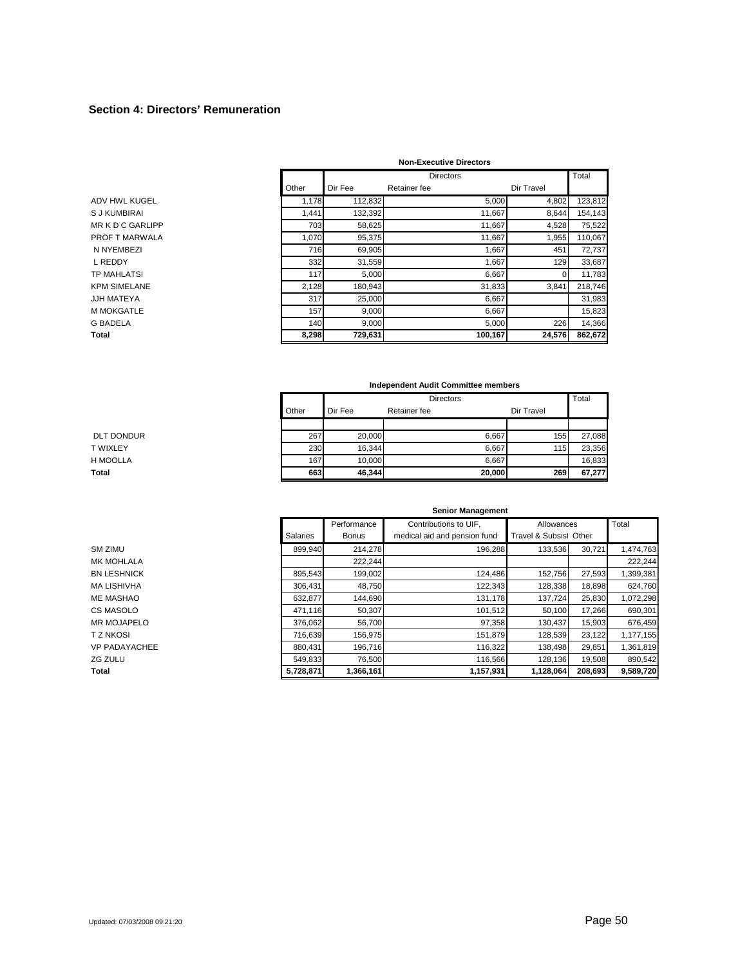#### **Section 4: Directors' Remuneration**

|       |         | <b>Non-Executive Directors</b>                               |                 |                                                                                                             |
|-------|---------|--------------------------------------------------------------|-----------------|-------------------------------------------------------------------------------------------------------------|
|       |         | <b>Directors</b>                                             |                 | Total                                                                                                       |
| Other | Dir Fee | Retainer fee                                                 | Dir Travel      |                                                                                                             |
|       | 112,832 |                                                              |                 | 123,812                                                                                                     |
| 1,441 | 132,392 | 11,667                                                       |                 | 154,143                                                                                                     |
|       | 58,625  | 11,667                                                       |                 | 75,522                                                                                                      |
|       | 95,375  |                                                              |                 | 110,067                                                                                                     |
|       | 69,905  | 1,667                                                        | 451             | 72,737                                                                                                      |
|       | 31,559  |                                                              |                 | 33,687                                                                                                      |
| 117   | 5,000   | 6,667                                                        |                 | 11,783                                                                                                      |
|       | 180,943 |                                                              | 3,841           | 218,746                                                                                                     |
| 317   | 25,000  | 6,667                                                        |                 | 31,983                                                                                                      |
| 157   | 9,000   | 6,667                                                        |                 | 15,823                                                                                                      |
|       | 9,000   |                                                              |                 | 14,366                                                                                                      |
|       | 729,631 |                                                              |                 | 862,672                                                                                                     |
|       |         | 1.178<br>703<br>1,070<br>716<br>332<br>2,128<br>140<br>8,298 | 11,667<br>1,667 | 5,000<br>4,802<br>8,644<br>4,528<br>1,955<br>129<br>$\Omega$<br>31,833<br>5,000<br>226<br>100,167<br>24,576 |

|                   |       |                  | Independent Audit Committee members |            |        |  |  |
|-------------------|-------|------------------|-------------------------------------|------------|--------|--|--|
|                   |       | <b>Directors</b> |                                     |            |        |  |  |
|                   | Other | Dir Fee          | Retainer fee                        | Dir Travel |        |  |  |
|                   |       |                  |                                     |            |        |  |  |
| <b>DLT DONDUR</b> | 267   | 20.000           | 6.667                               | 155        | 27.088 |  |  |
| T WIXLEY          | 230   | 16.344           | 6.667                               | 115        | 23,356 |  |  |
| H MOOLLA          | 167   | 10.000           | 6.667                               |            | 16.833 |  |  |
| Total             | 663   | 46,344           | 20,000                              | 269        | 67,277 |  |  |

|                    |                 |              | <b>Senior Management</b>     |                        |         |           |
|--------------------|-----------------|--------------|------------------------------|------------------------|---------|-----------|
|                    |                 | Performance  | Contributions to UIF,        | Allowances             |         | Total     |
|                    | <b>Salaries</b> | <b>Bonus</b> | medical aid and pension fund | Travel & Subsist Other |         |           |
| SM ZIMU            | 899.940         | 214,278      | 196,288                      | 133,536                | 30,721  | 1,474,763 |
| MK MOHLALA         |                 | 222,244      |                              |                        |         | 222,244   |
| <b>BN LESHNICK</b> | 895,543         | 199,002      | 124,486                      | 152,756                | 27,593  | 1,399,381 |
| MA LISHIVHA        | 306.431         | 48,750       | 122,343                      | 128,338                | 18,898  | 624,760   |
| ME MASHAO          | 632,877         | 144,690      | 131,178                      | 137,724                | 25,830  | 1,072,298 |
| CS MASOLO          | 471,116         | 50,307       | 101,512                      | 50,100                 | 17,266  | 690,301   |
| <b>MR MOJAPELO</b> | 376.062         | 56,700       | 97,358                       | 130,437                | 15,903  | 676,459   |
| T Z NKOSI          | 716,639         | 156,975      | 151,879                      | 128,539                | 23,122  | 1,177,155 |
| VP PADAYACHEE      | 880.431         | 196,716      | 116,322                      | 138,498                | 29,851  | 1,361,819 |
| ZG ZULU            | 549,833         | 76,500       | 116,566                      | 128,136                | 19,508  | 890,542   |
| Total              | 5,728,871       | 1,366,161    | 1,157,931                    | 1,128,064              | 208,693 | 9,589,720 |

MR MOJAPELO VP PADAYACHEE<br>ZG ZULU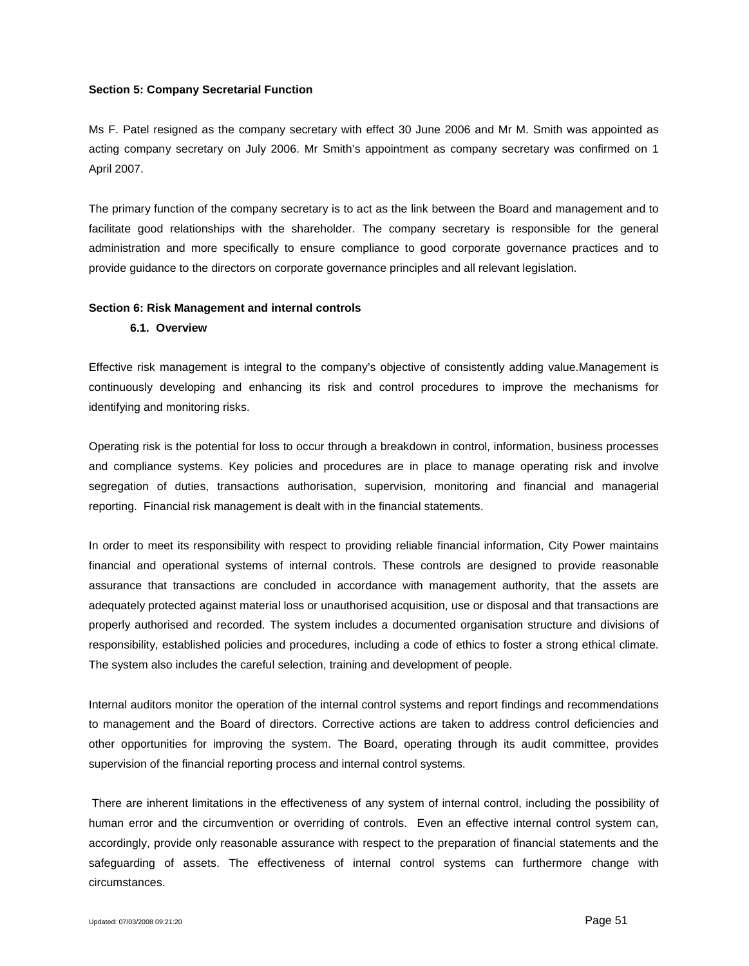#### **Section 5: Company Secretarial Function**

Ms F. Patel resigned as the company secretary with effect 30 June 2006 and Mr M. Smith was appointed as acting company secretary on July 2006. Mr Smith's appointment as company secretary was confirmed on 1 April 2007.

The primary function of the company secretary is to act as the link between the Board and management and to facilitate good relationships with the shareholder. The company secretary is responsible for the general administration and more specifically to ensure compliance to good corporate governance practices and to provide guidance to the directors on corporate governance principles and all relevant legislation.

#### **Section 6: Risk Management and internal controls**

#### **6.1. Overview**

Effective risk management is integral to the company's objective of consistently adding value.Management is continuously developing and enhancing its risk and control procedures to improve the mechanisms for identifying and monitoring risks.

Operating risk is the potential for loss to occur through a breakdown in control, information, business processes and compliance systems. Key policies and procedures are in place to manage operating risk and involve segregation of duties, transactions authorisation, supervision, monitoring and financial and managerial reporting. Financial risk management is dealt with in the financial statements.

In order to meet its responsibility with respect to providing reliable financial information, City Power maintains financial and operational systems of internal controls. These controls are designed to provide reasonable assurance that transactions are concluded in accordance with management authority, that the assets are adequately protected against material loss or unauthorised acquisition, use or disposal and that transactions are properly authorised and recorded. The system includes a documented organisation structure and divisions of responsibility, established policies and procedures, including a code of ethics to foster a strong ethical climate. The system also includes the careful selection, training and development of people.

Internal auditors monitor the operation of the internal control systems and report findings and recommendations to management and the Board of directors. Corrective actions are taken to address control deficiencies and other opportunities for improving the system. The Board, operating through its audit committee, provides supervision of the financial reporting process and internal control systems.

There are inherent limitations in the effectiveness of any system of internal control, including the possibility of human error and the circumvention or overriding of controls. Even an effective internal control system can, accordingly, provide only reasonable assurance with respect to the preparation of financial statements and the safeguarding of assets. The effectiveness of internal control systems can furthermore change with circumstances.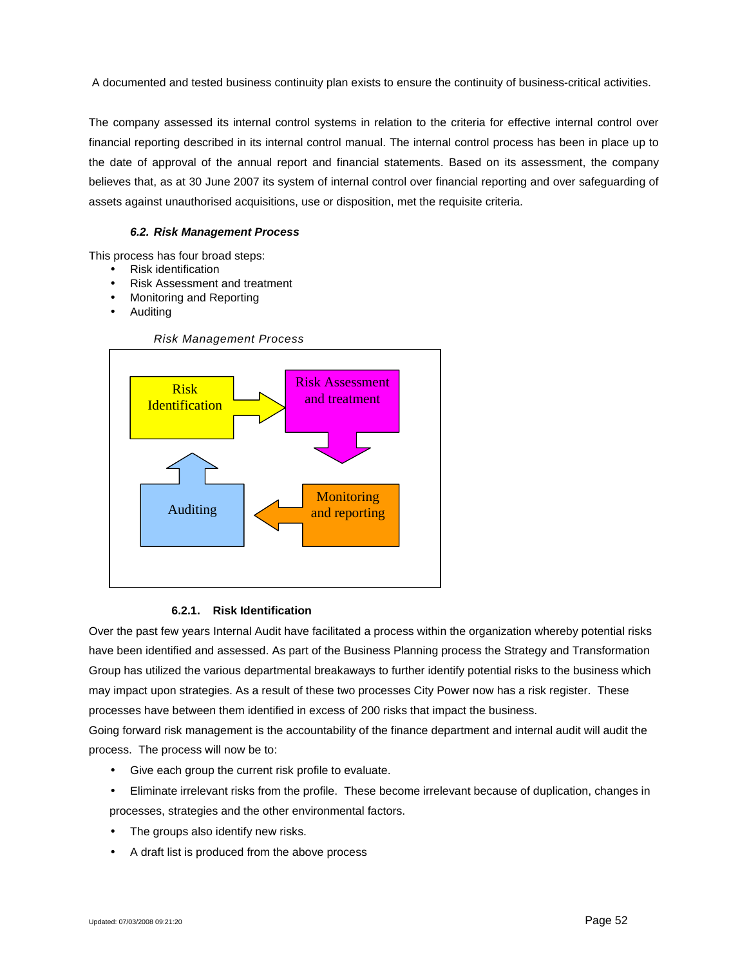A documented and tested business continuity plan exists to ensure the continuity of business-critical activities.

The company assessed its internal control systems in relation to the criteria for effective internal control over financial reporting described in its internal control manual. The internal control process has been in place up to the date of approval of the annual report and financial statements. Based on its assessment, the company believes that, as at 30 June 2007 its system of internal control over financial reporting and over safeguarding of assets against unauthorised acquisitions, use or disposition, met the requisite criteria.

## *6.2. Risk Management Process*

This process has four broad steps:

- Risk identification
- Risk Assessment and treatment
- Monitoring and Reporting
- Auditing



### **6.2.1. Risk Identification**

Over the past few years Internal Audit have facilitated a process within the organization whereby potential risks have been identified and assessed. As part of the Business Planning process the Strategy and Transformation Group has utilized the various departmental breakaways to further identify potential risks to the business which may impact upon strategies. As a result of these two processes City Power now has a risk register. These processes have between them identified in excess of 200 risks that impact the business.

Going forward risk management is the accountability of the finance department and internal audit will audit the process. The process will now be to:

- Give each group the current risk profile to evaluate.
- Eliminate irrelevant risks from the profile. These become irrelevant because of duplication, changes in processes, strategies and the other environmental factors.
- The groups also identify new risks.
- A draft list is produced from the above process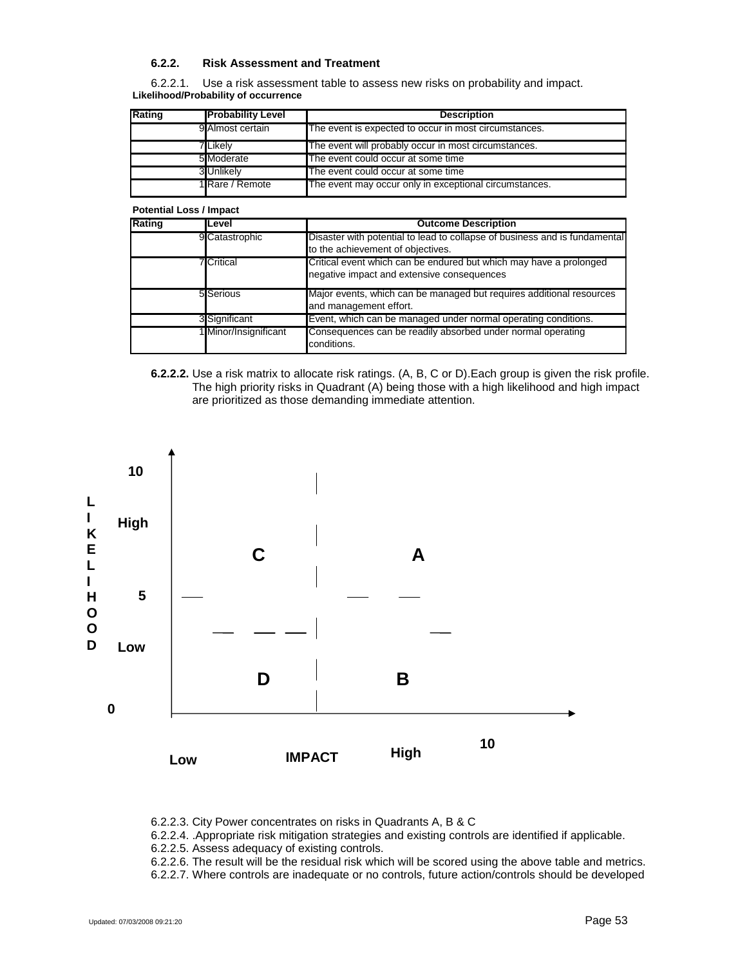#### **6.2.2. Risk Assessment and Treatment**

6.2.2.1. Use a risk assessment table to assess new risks on probability and impact. **Likelihood/Probability of occurrence**

| Rating | <b>Probability Level</b> | <b>Description</b>                                     |
|--------|--------------------------|--------------------------------------------------------|
|        | 9 Almost certain         | The event is expected to occur in most circumstances.  |
|        | <b>7 L</b> ikelv         | The event will probably occur in most circumstances.   |
|        | 5 Moderate               | The event could occur at some time                     |
|        | 3 Unlikely               | The event could occur at some time                     |
|        | 1 Rare / Remote          | The event may occur only in exceptional circumstances. |

#### **Potential Loss / Impact**

| Rating | Level                 | <b>Outcome Description</b>                                                                                       |
|--------|-----------------------|------------------------------------------------------------------------------------------------------------------|
|        | 9 Catastrophic        | Disaster with potential to lead to collapse of business and is fundamental<br>to the achievement of objectives.  |
|        | <b>7</b> Critical     | Critical event which can be endured but which may have a prolonged<br>negative impact and extensive consequences |
|        | 5 Serious             | Major events, which can be managed but requires additional resources<br>and management effort.                   |
|        | 3 Significant         | Event, which can be managed under normal operating conditions.                                                   |
|        | 1 Minor/Insignificant | Consequences can be readily absorbed under normal operating<br>conditions.                                       |

#### **6.2.2.2.** Use a risk matrix to allocate risk ratings. (A, B, C or D).Each group is given the risk profile. The high priority risks in Quadrant (A) being those with a high likelihood and high impact are prioritized as those demanding immediate attention.



6.2.2.3. City Power concentrates on risks in Quadrants A, B & C

6.2.2.4. .Appropriate risk mitigation strategies and existing controls are identified if applicable.

6.2.2.5. Assess adequacy of existing controls.

6.2.2.6. The result will be the residual risk which will be scored using the above table and metrics.

6.2.2.7. Where controls are inadequate or no controls, future action/controls should be developed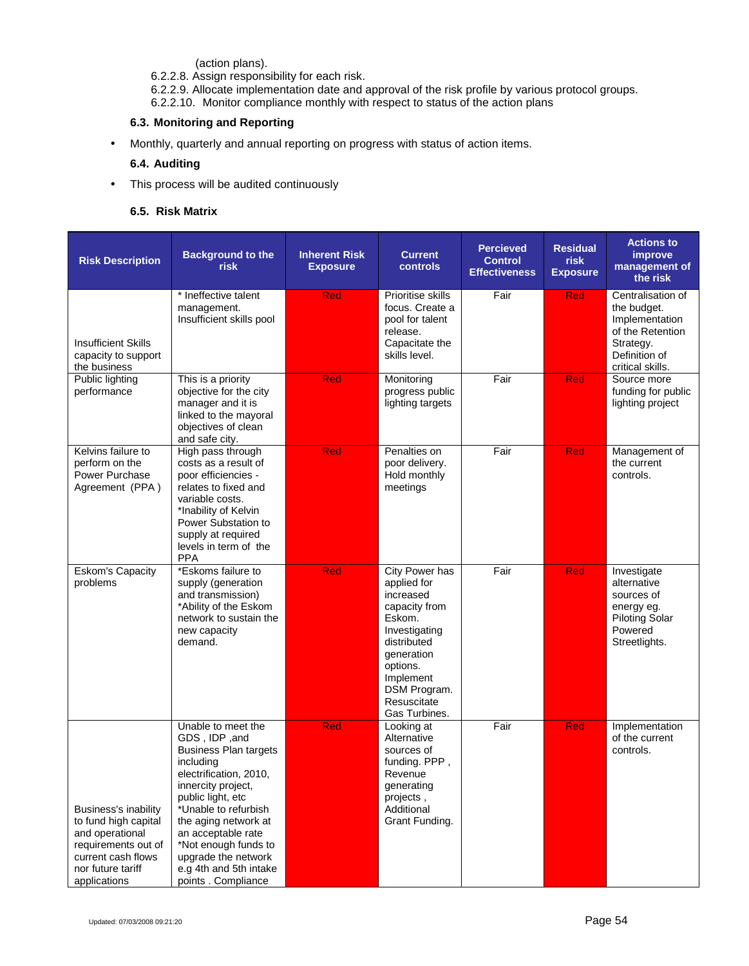(action plans).

6.2.2.8. Assign responsibility for each risk.

6.2.2.9. Allocate implementation date and approval of the risk profile by various protocol groups. 6.2.2.10. Monitor compliance monthly with respect to status of the action plans

## **6.3. Monitoring and Reporting**

Monthly, quarterly and annual reporting on progress with status of action items.

## **6.4. Auditing**

This process will be audited continuously

## **6.5. Risk Matrix**

| <b>Risk Description</b>                                                                                                                                  | <b>Background to the</b><br>risk                                                                                                                                                                                                                                                                                            | <b>Inherent Risk</b><br><b>Exposure</b> | <b>Current</b><br>controls                                                                                                                                                                          | <b>Percieved</b><br><b>Control</b><br><b>Effectiveness</b> | <b>Residual</b><br><b>risk</b><br><b>Exposure</b> | <b>Actions to</b><br>improve<br>management of<br>the risk                                                                |
|----------------------------------------------------------------------------------------------------------------------------------------------------------|-----------------------------------------------------------------------------------------------------------------------------------------------------------------------------------------------------------------------------------------------------------------------------------------------------------------------------|-----------------------------------------|-----------------------------------------------------------------------------------------------------------------------------------------------------------------------------------------------------|------------------------------------------------------------|---------------------------------------------------|--------------------------------------------------------------------------------------------------------------------------|
| <b>Insufficient Skills</b><br>capacity to support<br>the business                                                                                        | * Ineffective talent<br>management.<br>Insufficient skills pool                                                                                                                                                                                                                                                             | <b>Red</b>                              | Prioritise skills<br>focus. Create a<br>pool for talent<br>release.<br>Capacitate the<br>skills level.                                                                                              | Fair                                                       | Red                                               | Centralisation of<br>the budget.<br>Implementation<br>of the Retention<br>Strategy.<br>Definition of<br>critical skills. |
| Public lighting<br>performance                                                                                                                           | This is a priority<br>objective for the city<br>manager and it is<br>linked to the mayoral<br>objectives of clean<br>and safe city.                                                                                                                                                                                         | <b>Red</b>                              | Monitoring<br>progress public<br>lighting targets                                                                                                                                                   | Fair                                                       | <b>Red</b>                                        | Source more<br>funding for public<br>lighting project                                                                    |
| Kelvins failure to<br>perform on the<br>Power Purchase<br>Agreement (PPA)                                                                                | High pass through<br>costs as a result of<br>poor efficiencies -<br>relates to fixed and<br>variable costs.<br>*Inability of Kelvin<br>Power Substation to<br>supply at required<br>levels in term of the<br><b>PPA</b>                                                                                                     | Red                                     | Penalties on<br>poor delivery.<br>Hold monthly<br>meetings                                                                                                                                          | Fair                                                       | <b>Red</b>                                        | Management of<br>the current<br>controls.                                                                                |
| <b>Eskom's Capacity</b><br>problems                                                                                                                      | *Eskoms failure to<br>supply (generation<br>and transmission)<br>*Ability of the Eskom<br>network to sustain the<br>new capacity<br>demand.                                                                                                                                                                                 | <b>Red</b>                              | <b>City Power has</b><br>applied for<br>increased<br>capacity from<br>Eskom.<br>Investigating<br>distributed<br>generation<br>options.<br>Implement<br>DSM Program.<br>Resuscitate<br>Gas Turbines. | Fair                                                       | <b>Red</b>                                        | Investigate<br>alternative<br>sources of<br>energy eg.<br><b>Piloting Solar</b><br>Powered<br>Streetlights.              |
| <b>Business's inability</b><br>to fund high capital<br>and operational<br>requirements out of<br>current cash flows<br>nor future tariff<br>applications | Unable to meet the<br>GDS, IDP, and<br><b>Business Plan targets</b><br>including<br>electrification, 2010,<br>innercity project,<br>public light, etc<br>*Unable to refurbish<br>the aging network at<br>an acceptable rate<br>*Not enough funds to<br>upgrade the network<br>e.g 4th and 5th intake<br>points . Compliance | <b>Red</b>                              | Looking at<br>Alternative<br>sources of<br>funding. PPP,<br>Revenue<br>generating<br>projects,<br>Additional<br>Grant Funding.                                                                      | Fair                                                       | <b>Red</b>                                        | Implementation<br>of the current<br>controls.                                                                            |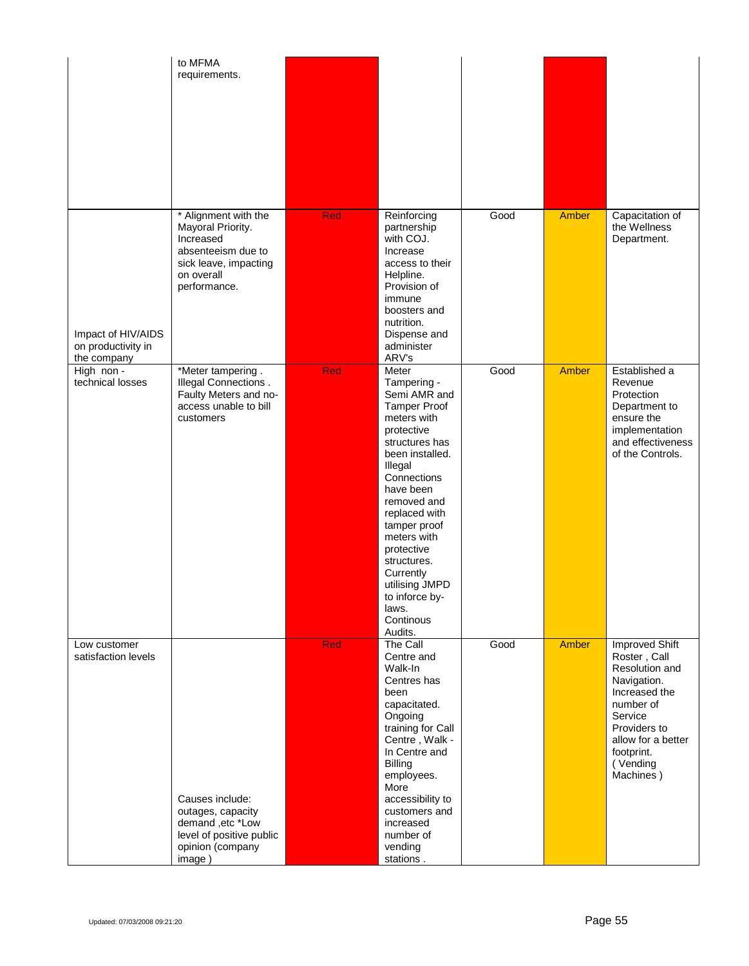|                                                         | to MFMA<br>requirements.                                                                                                            |            |                                                                                                                                                                                                                                                                                                                                                    |      |              |                                                                                                                                                                                              |
|---------------------------------------------------------|-------------------------------------------------------------------------------------------------------------------------------------|------------|----------------------------------------------------------------------------------------------------------------------------------------------------------------------------------------------------------------------------------------------------------------------------------------------------------------------------------------------------|------|--------------|----------------------------------------------------------------------------------------------------------------------------------------------------------------------------------------------|
| Impact of HIV/AIDS<br>on productivity in<br>the company | * Alignment with the<br>Mayoral Priority.<br>Increased<br>absenteeism due to<br>sick leave, impacting<br>on overall<br>performance. | <b>Red</b> | Reinforcing<br>partnership<br>with COJ.<br>Increase<br>access to their<br>Helpline.<br>Provision of<br>immune<br>boosters and<br>nutrition.<br>Dispense and<br>administer<br>ARV's                                                                                                                                                                 | Good | Amber        | Capacitation of<br>the Wellness<br>Department.                                                                                                                                               |
| High non -<br>technical losses                          | *Meter tampering.<br>Illegal Connections.<br>Faulty Meters and no-<br>access unable to bill<br>customers                            | Red        | Meter<br>Tampering -<br>Semi AMR and<br><b>Tamper Proof</b><br>meters with<br>protective<br>structures has<br>been installed.<br>Illegal<br>Connections<br>have been<br>removed and<br>replaced with<br>tamper proof<br>meters with<br>protective<br>structures.<br>Currently<br>utilising JMPD<br>to inforce by-<br>laws.<br>Continous<br>Audits. | Good | <b>Amber</b> | Established a<br>Revenue<br>Protection<br>Department to<br>ensure the<br>implementation<br>and effectiveness<br>of the Controls.                                                             |
| Low customer<br>satisfaction levels                     | Causes include:<br>outages, capacity<br>demand, etc *Low<br>level of positive public<br>opinion (company<br>image)                  | <b>Red</b> | The Call<br>Centre and<br>Walk-In<br>Centres has<br>been<br>capacitated.<br>Ongoing<br>training for Call<br>Centre, Walk -<br>In Centre and<br><b>Billing</b><br>employees.<br>More<br>accessibility to<br>customers and<br>increased<br>number of<br>vending<br>stations.                                                                         | Good | Amber        | <b>Improved Shift</b><br>Roster, Call<br>Resolution and<br>Navigation.<br>Increased the<br>number of<br>Service<br>Providers to<br>allow for a better<br>footprint.<br>(Vending<br>Machines) |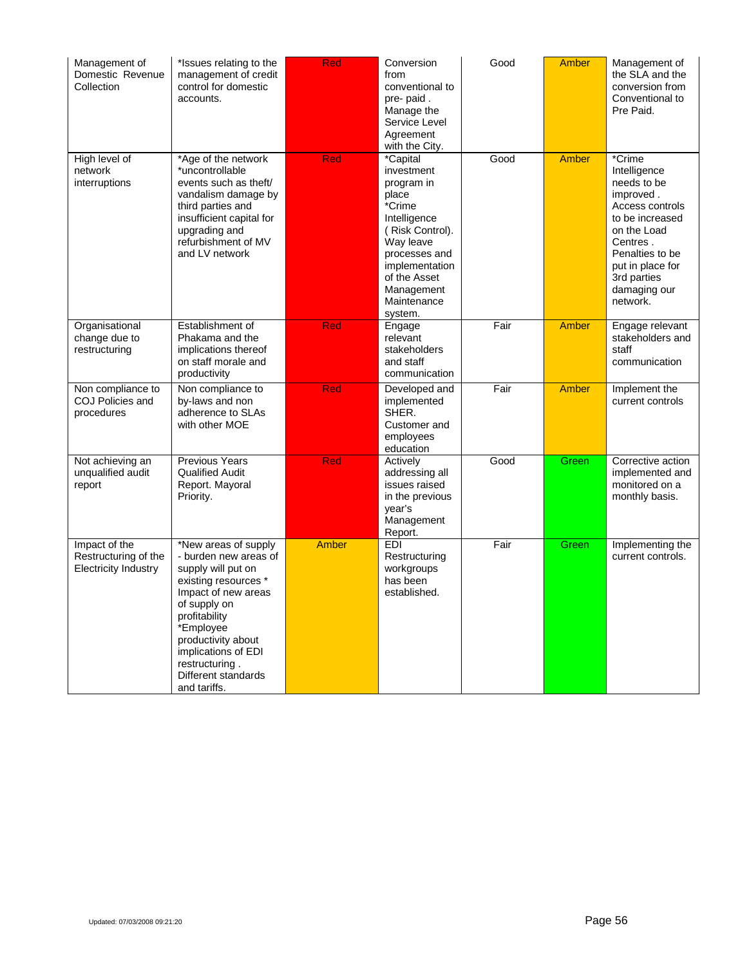| Management of<br>Domestic Revenue<br>Collection                      | *Issues relating to the<br>management of credit<br>control for domestic<br>accounts.                                                                                                                                                                                   | Red          | Conversion<br>from<br>conventional to<br>pre- paid.<br>Manage the<br>Service Level<br>Agreement<br>with the City.                                                                                  | Good | <b>Amber</b> | Management of<br>the SLA and the<br>conversion from<br>Conventional to<br>Pre Paid.                                                                                                                   |
|----------------------------------------------------------------------|------------------------------------------------------------------------------------------------------------------------------------------------------------------------------------------------------------------------------------------------------------------------|--------------|----------------------------------------------------------------------------------------------------------------------------------------------------------------------------------------------------|------|--------------|-------------------------------------------------------------------------------------------------------------------------------------------------------------------------------------------------------|
| High level of<br>network<br>interruptions                            | *Age of the network<br>*uncontrollable<br>events such as theft/<br>vandalism damage by<br>third parties and<br>insufficient capital for<br>upgrading and<br>refurbishment of MV<br>and LV network                                                                      | Red          | *Capital<br>investment<br>program in<br>place<br>*Crime<br>Intelligence<br>(Risk Control).<br>Way leave<br>processes and<br>implementation<br>of the Asset<br>Management<br>Maintenance<br>system. | Good | Amber        | *Crime<br>Intelligence<br>needs to be<br>improved.<br>Access controls<br>to be increased<br>on the Load<br>Centres.<br>Penalties to be<br>put in place for<br>3rd parties<br>damaging our<br>network. |
| Organisational<br>change due to<br>restructuring                     | Establishment of<br>Phakama and the<br>implications thereof<br>on staff morale and<br>productivity                                                                                                                                                                     | <b>Red</b>   | Engage<br>relevant<br>stakeholders<br>and staff<br>communication                                                                                                                                   | Fair | Amber        | Engage relevant<br>stakeholders and<br>staff<br>communication                                                                                                                                         |
| Non compliance to<br>COJ Policies and<br>procedures                  | Non compliance to<br>by-laws and non<br>adherence to SLAs<br>with other MOE                                                                                                                                                                                            | <b>Red</b>   | Developed and<br>implemented<br>SHER.<br>Customer and<br>employees<br>education                                                                                                                    | Fair | Amber        | Implement the<br>current controls                                                                                                                                                                     |
| Not achieving an<br>unqualified audit<br>report                      | <b>Previous Years</b><br><b>Qualified Audit</b><br>Report. Mayoral<br>Priority.                                                                                                                                                                                        | Red          | Actively<br>addressing all<br>issues raised<br>in the previous<br>year's<br>Management<br>Report.                                                                                                  | Good | Green        | Corrective action<br>implemented and<br>monitored on a<br>monthly basis.                                                                                                                              |
| Impact of the<br>Restructuring of the<br><b>Electricity Industry</b> | *New areas of supply<br>- burden new areas of<br>supply will put on<br>existing resources *<br>Impact of new areas<br>of supply on<br>profitability<br>*Employee<br>productivity about<br>implications of EDI<br>restructuring.<br>Different standards<br>and tariffs. | <b>Amber</b> | <b>EDI</b><br>Restructuring<br>workgroups<br>has been<br>established.                                                                                                                              | Fair | Green        | Implementing the<br>current controls.                                                                                                                                                                 |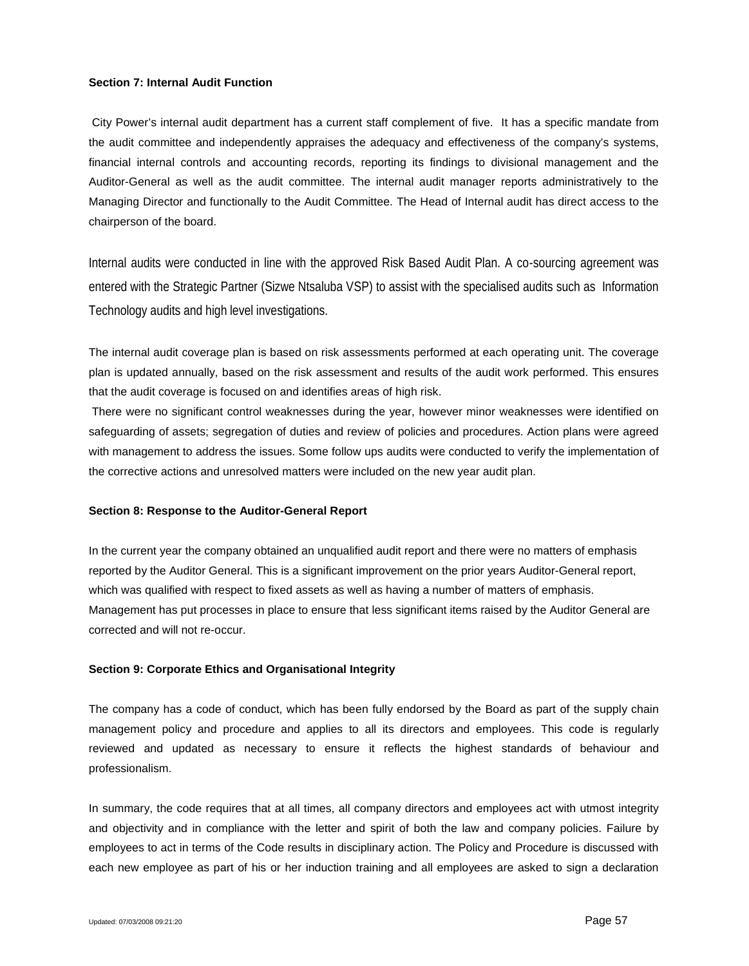#### **Section 7: Internal Audit Function**

City Power's internal audit department has a current staff complement of five. It has a specific mandate from the audit committee and independently appraises the adequacy and effectiveness of the company's systems, financial internal controls and accounting records, reporting its findings to divisional management and the Auditor-General as well as the audit committee. The internal audit manager reports administratively to the Managing Director and functionally to the Audit Committee. The Head of Internal audit has direct access to the chairperson of the board.

Internal audits were conducted in line with the approved Risk Based Audit Plan. A co-sourcing agreement was entered with the Strategic Partner (Sizwe Ntsaluba VSP) to assist with the specialised audits such as Information Technology audits and high level investigations.

The internal audit coverage plan is based on risk assessments performed at each operating unit. The coverage plan is updated annually, based on the risk assessment and results of the audit work performed. This ensures that the audit coverage is focused on and identifies areas of high risk.

There were no significant control weaknesses during the year, however minor weaknesses were identified on safeguarding of assets; segregation of duties and review of policies and procedures. Action plans were agreed with management to address the issues. Some follow ups audits were conducted to verify the implementation of the corrective actions and unresolved matters were included on the new year audit plan.

### **Section 8: Response to the Auditor-General Report**

In the current year the company obtained an unqualified audit report and there were no matters of emphasis reported by the Auditor General. This is a significant improvement on the prior years Auditor-General report, which was qualified with respect to fixed assets as well as having a number of matters of emphasis. Management has put processes in place to ensure that less significant items raised by the Auditor General are corrected and will not re-occur.

### **Section 9: Corporate Ethics and Organisational Integrity**

The company has a code of conduct, which has been fully endorsed by the Board as part of the supply chain management policy and procedure and applies to all its directors and employees. This code is regularly reviewed and updated as necessary to ensure it reflects the highest standards of behaviour and professionalism.

In summary, the code requires that at all times, all company directors and employees act with utmost integrity and objectivity and in compliance with the letter and spirit of both the law and company policies. Failure by employees to act in terms of the Code results in disciplinary action. The Policy and Procedure is discussed with each new employee as part of his or her induction training and all employees are asked to sign a declaration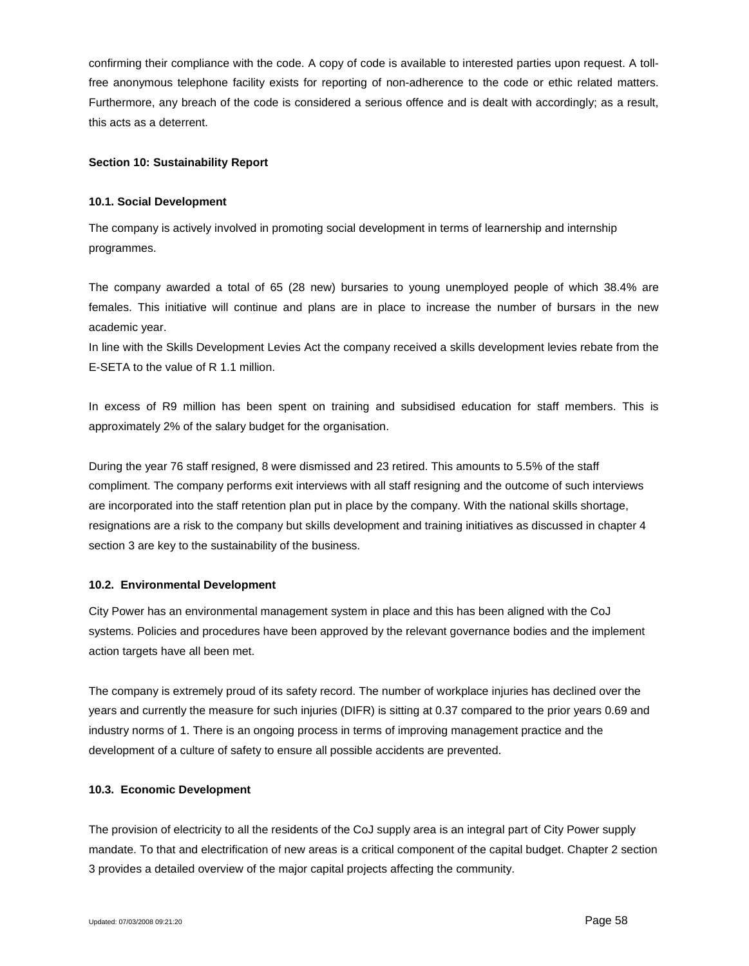confirming their compliance with the code. A copy of code is available to interested parties upon request. A tollfree anonymous telephone facility exists for reporting of non-adherence to the code or ethic related matters. Furthermore, any breach of the code is considered a serious offence and is dealt with accordingly; as a result, this acts as a deterrent.

### **Section 10: Sustainability Report**

## **10.1. Social Development**

The company is actively involved in promoting social development in terms of learnership and internship programmes.

The company awarded a total of 65 (28 new) bursaries to young unemployed people of which 38.4% are females. This initiative will continue and plans are in place to increase the number of bursars in the new academic year.

In line with the Skills Development Levies Act the company received a skills development levies rebate from the E-SETA to the value of R 1.1 million.

In excess of R9 million has been spent on training and subsidised education for staff members. This is approximately 2% of the salary budget for the organisation.

During the year 76 staff resigned, 8 were dismissed and 23 retired. This amounts to 5.5% of the staff compliment. The company performs exit interviews with all staff resigning and the outcome of such interviews are incorporated into the staff retention plan put in place by the company. With the national skills shortage, resignations are a risk to the company but skills development and training initiatives as discussed in chapter 4 section 3 are key to the sustainability of the business.

## **10.2. Environmental Development**

City Power has an environmental management system in place and this has been aligned with the CoJ systems. Policies and procedures have been approved by the relevant governance bodies and the implement action targets have all been met.

The company is extremely proud of its safety record. The number of workplace injuries has declined over the years and currently the measure for such injuries (DIFR) is sitting at 0.37 compared to the prior years 0.69 and industry norms of 1. There is an ongoing process in terms of improving management practice and the development of a culture of safety to ensure all possible accidents are prevented.

## **10.3. Economic Development**

The provision of electricity to all the residents of the CoJ supply area is an integral part of City Power supply mandate. To that and electrification of new areas is a critical component of the capital budget. Chapter 2 section 3 provides a detailed overview of the major capital projects affecting the community.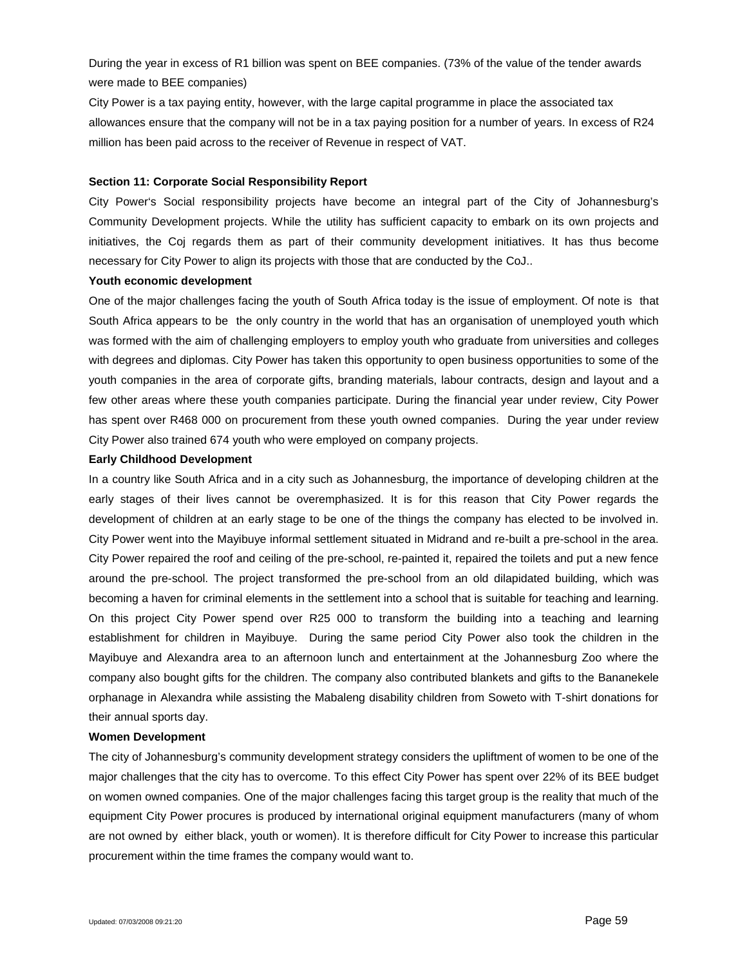During the year in excess of R1 billion was spent on BEE companies. (73% of the value of the tender awards were made to BEE companies)

City Power is a tax paying entity, however, with the large capital programme in place the associated tax allowances ensure that the company will not be in a tax paying position for a number of years. In excess of R24 million has been paid across to the receiver of Revenue in respect of VAT.

#### **Section 11: Corporate Social Responsibility Report**

City Power's Social responsibility projects have become an integral part of the City of Johannesburg's Community Development projects. While the utility has sufficient capacity to embark on its own projects and initiatives, the Coj regards them as part of their community development initiatives. It has thus become necessary for City Power to align its projects with those that are conducted by the CoJ..

#### **Youth economic development**

One of the major challenges facing the youth of South Africa today is the issue of employment. Of note is that South Africa appears to be the only country in the world that has an organisation of unemployed youth which was formed with the aim of challenging employers to employ youth who graduate from universities and colleges with degrees and diplomas. City Power has taken this opportunity to open business opportunities to some of the youth companies in the area of corporate gifts, branding materials, labour contracts, design and layout and a few other areas where these youth companies participate. During the financial year under review, City Power has spent over R468 000 on procurement from these youth owned companies. During the year under review City Power also trained 674 youth who were employed on company projects.

#### **Early Childhood Development**

In a country like South Africa and in a city such as Johannesburg, the importance of developing children at the early stages of their lives cannot be overemphasized. It is for this reason that City Power regards the development of children at an early stage to be one of the things the company has elected to be involved in. City Power went into the Mayibuye informal settlement situated in Midrand and re-built a pre-school in the area. City Power repaired the roof and ceiling of the pre-school, re-painted it, repaired the toilets and put a new fence around the pre-school. The project transformed the pre-school from an old dilapidated building, which was becoming a haven for criminal elements in the settlement into a school that is suitable for teaching and learning. On this project City Power spend over R25 000 to transform the building into a teaching and learning establishment for children in Mayibuye. During the same period City Power also took the children in the Mayibuye and Alexandra area to an afternoon lunch and entertainment at the Johannesburg Zoo where the company also bought gifts for the children. The company also contributed blankets and gifts to the Bananekele orphanage in Alexandra while assisting the Mabaleng disability children from Soweto with T-shirt donations for their annual sports day.

#### **Women Development**

The city of Johannesburg's community development strategy considers the upliftment of women to be one of the major challenges that the city has to overcome. To this effect City Power has spent over 22% of its BEE budget on women owned companies. One of the major challenges facing this target group is the reality that much of the equipment City Power procures is produced by international original equipment manufacturers (many of whom are not owned by either black, youth or women). It is therefore difficult for City Power to increase this particular procurement within the time frames the company would want to.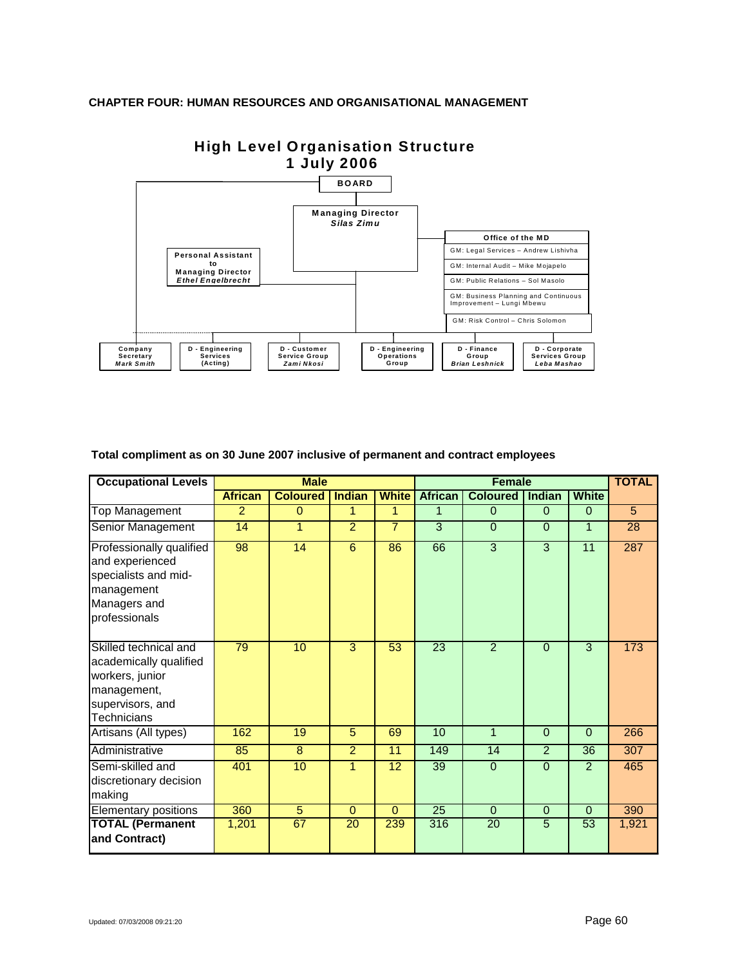## **CHAPTER FOUR: HUMAN RESOURCES AND ORGANISATIONAL MANAGEMENT**



# **High Level Organisation Structure 1 July 2006**

**Total compliment as on 30 June 2007 inclusive of permanent and contract employees**

| <b>Occupational Levels</b>                                                                                                  |                | <b>Male</b>     |                |                | Female          |                 |                |              | <b>TOTAL</b>   |
|-----------------------------------------------------------------------------------------------------------------------------|----------------|-----------------|----------------|----------------|-----------------|-----------------|----------------|--------------|----------------|
|                                                                                                                             | <b>African</b> | <b>Coloured</b> | Indian         | <b>White</b>   | <b>African</b>  | <b>Coloured</b> | <b>Indian</b>  | <b>White</b> |                |
| <b>Top Management</b>                                                                                                       | 2              | $\Omega$        | 1              | 1              | 1               | $\Omega$        | $\Omega$       | $\Omega$     | $\overline{5}$ |
| Senior Management                                                                                                           | 14             | 1               | 2              | $\overline{7}$ | 3               | $\Omega$        | $\Omega$       | $\mathbf 1$  | 28             |
| Professionally qualified<br>and experienced<br>specialists and mid-<br>management<br>Managers and<br>professionals          | 98             | $\overline{14}$ | 6              | 86             | 66              | 3               | 3              | 11           | 287            |
| Skilled technical and<br>academically qualified<br>workers, junior<br>management,<br>supervisors, and<br><b>Technicians</b> | 79             | 10              | 3              | 53             | $\overline{23}$ | $\overline{2}$  | $\Omega$       | 3            | 173            |
| Artisans (All types)                                                                                                        | 162            | 19              | 5              | 69             | 10              | $\mathbf{1}$    | $\Omega$       | $\Omega$     | 266            |
| Administrative                                                                                                              | 85             | $\overline{8}$  | $\overline{2}$ | 11             | 149             | 14              | $\overline{2}$ | 36           | 307            |
| Semi-skilled and<br>discretionary decision<br>making                                                                        | 401            | 10              | 1              | 12             | 39              | $\Omega$        | $\Omega$       | 2            | 465            |
| <b>Elementary positions</b>                                                                                                 | 360            | $5\phantom{.0}$ | $\Omega$       | $\Omega$       | 25              | $\Omega$        | $\mathbf 0$    | $\Omega$     | 390            |
| <b>TOTAL (Permanent</b><br>and Contract)                                                                                    | 1,201          | 67              | 20             | 239            | 316             | 20              | 5              | 53           | 1,921          |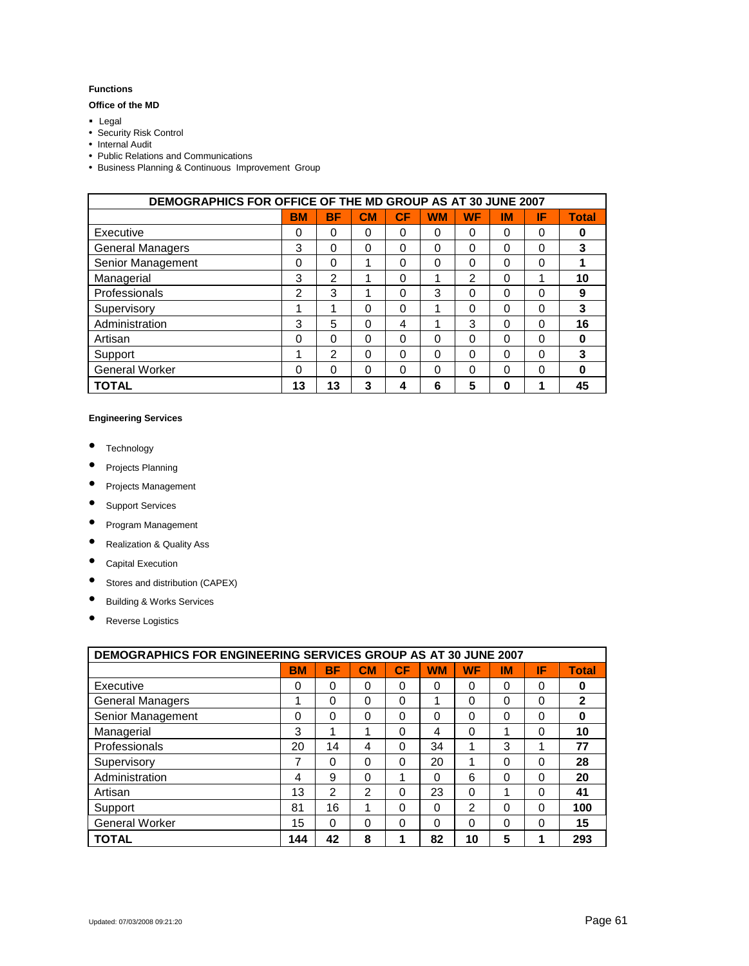#### **Functions**

#### **Office of the MD**

- **Legal**
- Security Risk Control
- Internal Audit
- Public Relations and Communications
- Business Planning & Continuous Improvement Group

| <b>DEMOGRAPHICS FOR OFFICE OF THE MD GROUP AS AT 30 JUNE 2007</b> |           |           |           |          |           |           |          |    |              |
|-------------------------------------------------------------------|-----------|-----------|-----------|----------|-----------|-----------|----------|----|--------------|
|                                                                   | <b>BM</b> | <b>BF</b> | <b>CM</b> | СF       | <b>WM</b> | <b>WF</b> | IM       | ΙF | <b>Total</b> |
| Executive                                                         | 0         | $\Omega$  | 0         | $\Omega$ | 0         | 0         | 0        | 0  | 0            |
| <b>General Managers</b>                                           | 3         | $\Omega$  | $\Omega$  | 0        | $\Omega$  | 0         | $\Omega$ | 0  | 3            |
| Senior Management                                                 | 0         | 0         | 1         | 0        | $\Omega$  | 0         | 0        | 0  |              |
| Managerial                                                        | 3         | 2         | 1         | 0        | 1         | 2         | 0        | 1  | 10           |
| Professionals                                                     | 2         | 3         |           | 0        | 3         | 0         | 0        | 0  | 9            |
| Supervisory                                                       | 1         | 1         | 0         | 0        | 1         | 0         | 0        | 0  | 3            |
| Administration                                                    | 3         | 5         | $\Omega$  | 4        | 1         | 3         | $\Omega$ | 0  | 16           |
| Artisan                                                           | $\Omega$  | 0         | 0         | 0        | 0         | 0         | 0        | 0  | 0            |
| Support                                                           | 1         | 2         | 0         | 0        | $\Omega$  | 0         | 0        | 0  | 3            |
| <b>General Worker</b>                                             | 0         | 0         | 0         | 0        | 0         | 0         | 0        | 0  | O            |
| <b>TOTAL</b>                                                      | 13        | 13        | 3         | 4        | 6         | 5         | 0        |    | 45           |

#### **Engineering Services**

- Technology
- Projects Planning
- Projects Management
- Support Services
- Program Management
- Realization & Quality Ass
- Capital Execution
- Stores and distribution (CAPEX)
- Building & Works Services
- Reverse Logistics

| <b>DEMOGRAPHICS FOR ENGINEERING SERVICES GROUP AS AT 30 JUNE 2007</b> |           |                |                |          |           |               |          |          |              |
|-----------------------------------------------------------------------|-----------|----------------|----------------|----------|-----------|---------------|----------|----------|--------------|
|                                                                       | <b>BM</b> | <b>BF</b>      | CM             | CF       | <b>WM</b> | <b>WF</b>     | ΙM       | ΙF       | <b>Total</b> |
| Executive                                                             | 0         | $\Omega$       | $\Omega$       | $\Omega$ | $\Omega$  | $\Omega$      | $\Omega$ | $\Omega$ | 0            |
| <b>General Managers</b>                                               | 1         | 0              | $\Omega$       | $\Omega$ | 1         | $\Omega$      | $\Omega$ | $\Omega$ | 2            |
| Senior Management                                                     | 0         | 0              | 0              | $\Omega$ | $\Omega$  | 0             | $\Omega$ | $\Omega$ | 0            |
| Managerial                                                            | 3         | 1              | 1              | $\Omega$ | 4         | $\Omega$      | 4        | $\Omega$ | 10           |
| Professionals                                                         | 20        | 14             | 4              | $\Omega$ | 34        |               | 3        |          | 77           |
| Supervisory                                                           | 7         | 0              | 0              | $\Omega$ | 20        | 4             | $\Omega$ | $\Omega$ | 28           |
| Administration                                                        | 4         | 9              | $\Omega$       | 1        | $\Omega$  | 6             | $\Omega$ | $\Omega$ | 20           |
| Artisan                                                               | 13        | $\mathfrak{p}$ | $\mathfrak{p}$ | $\Omega$ | 23        | $\Omega$      |          | $\Omega$ | 41           |
| Support                                                               | 81        | 16             | 1              | $\Omega$ | $\Omega$  | $\mathcal{P}$ | $\Omega$ | $\Omega$ | 100          |
| <b>General Worker</b>                                                 | 15        | 0              | 0              | $\Omega$ | $\Omega$  | $\Omega$      | $\Omega$ | $\Omega$ | 15           |
| <b>TOTAL</b>                                                          | 144       | 42             | 8              |          | 82        | 10            | 5        |          | 293          |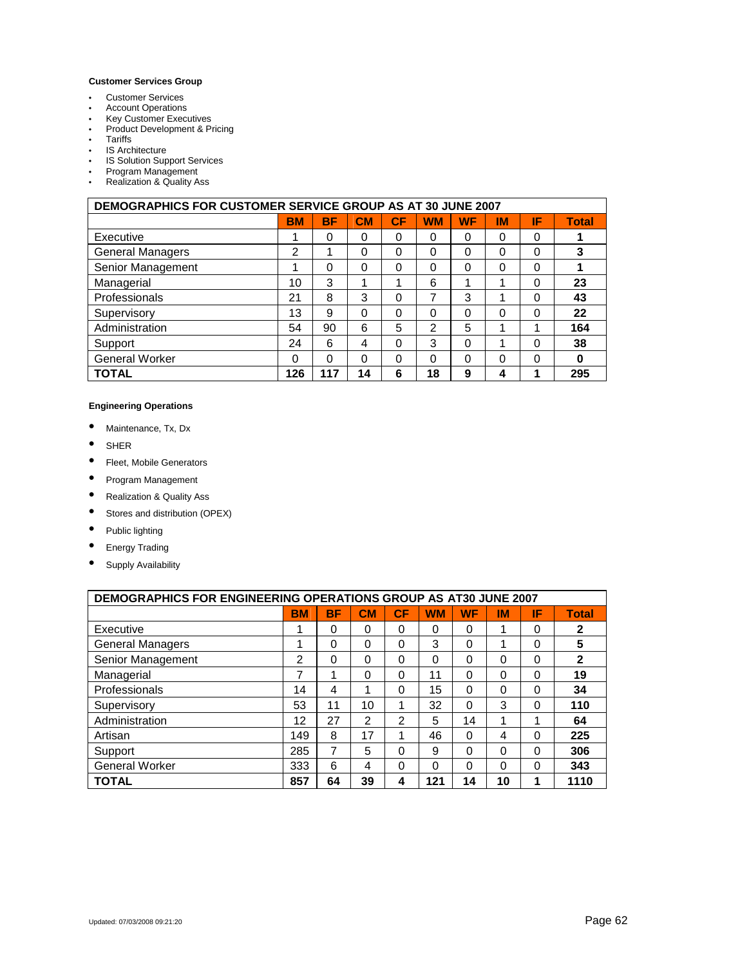#### **Customer Services Group**

- Customer Services
- Account Operations
- Key Customer Executives<br>• Product Development & Pr
- Product Development & Pricing
- Tariffs<br>• IS Arch
- 
- IS Architecture<br>• IS Solution Sup **IS Solution Support Services**
- Program Management
- Realization & Quality Ass

| <b>DEMOGRAPHICS FOR CUSTOMER SERVICE GROUP AS AT 30 JUNE 2007</b> |           |     |           |          |           |           |           |    |              |
|-------------------------------------------------------------------|-----------|-----|-----------|----------|-----------|-----------|-----------|----|--------------|
|                                                                   | <b>BM</b> | BF  | <b>CM</b> | CF       | <b>WM</b> | <b>WF</b> | <b>IM</b> | ΙF | <b>Total</b> |
| Executive                                                         |           | 0   | 0         | 0        | $\Omega$  | $\Omega$  | 0         | 0  |              |
| <b>General Managers</b>                                           | 2         | 1   | 0         | 0        | $\Omega$  | $\Omega$  | 0         | 0  | 3            |
| Senior Management                                                 |           | 0   | 0         | 0        | 0         | 0         | 0         | 0  |              |
| Managerial                                                        | 10        | 3   | ٠         | ٠        | 6         | 1         | 4         | 0  | 23           |
| Professionals                                                     | 21        | 8   | 3         | 0        | 7         | 3         | и         | 0  | 43           |
| Supervisory                                                       | 13        | 9   | 0         | $\Omega$ | $\Omega$  | 0         | 0         | 0  | 22           |
| Administration                                                    | 54        | 90  | 6         | 5        | 2         | 5         | ٠         | и  | 164          |
| Support                                                           | 24        | 6   | 4         | $\Omega$ | 3         | 0         | и         | 0  | 38           |
| <b>General Worker</b>                                             | 0         | 0   | 0         | 0        | 0         | 0         | 0         | 0  | $\bf{0}$     |
| <b>TOTAL</b>                                                      | 126       | 117 | 14        | 6        | 18        | 9         | 4         | ٠  | 295          |

#### **Engineering Operations**

- Maintenance, Tx, Dx
- SHER
- Fleet, Mobile Generators
- Program Management
- Realization & Quality Ass
- Stores and distribution (OPEX)
- Public lighting
- Energy Trading
- Supply Availability

| <b>DEMOGRAPHICS FOR ENGINEERING OPERATIONS GROUP AS AT30 JUNE 2007</b> |           |    |          |               |           |           |          |          |              |
|------------------------------------------------------------------------|-----------|----|----------|---------------|-----------|-----------|----------|----------|--------------|
|                                                                        | <b>BM</b> | BF | CM       | СF            | <b>WM</b> | <b>WF</b> | IM       | ΙF       | <b>Total</b> |
| Executive                                                              | 1         | 0  | 0        | $\Omega$      | 0         | 0         | 1        | 0        | 2            |
| General Managers                                                       | 1         | 0  | $\Omega$ | $\Omega$      | 3         | 0         | 1        | 0        | 5            |
| Senior Management                                                      | 2         | 0  | $\Omega$ | 0             | 0         | 0         | 0        | $\Omega$ | $\mathbf{2}$ |
| Managerial                                                             | 7         | 1  | $\Omega$ | $\Omega$      | 11        | 0         | 0        | 0        | 19           |
| Professionals                                                          | 14        | 4  | 1        | $\Omega$      | 15        | 0         | 0        | 0        | 34           |
| Supervisory                                                            | 53        | 11 | 10       |               | 32        | 0         | 3        | $\Omega$ | 110          |
| Administration                                                         | 12        | 27 | 2        | $\mathcal{P}$ | 5         | 14        | 1        |          | 64           |
| Artisan                                                                | 149       | 8  | 17       | 4             | 46        | 0         | 4        | 0        | 225          |
| Support                                                                | 285       | 7  | 5        | $\Omega$      | 9         | 0         | 0        | 0        | 306          |
| <b>General Worker</b>                                                  | 333       | 6  | 4        | $\Omega$      | $\Omega$  | 0         | $\Omega$ | 0        | 343          |
| TOTAL                                                                  | 857       | 64 | 39       | 4             | 121       | 14        | 10       |          | 1110         |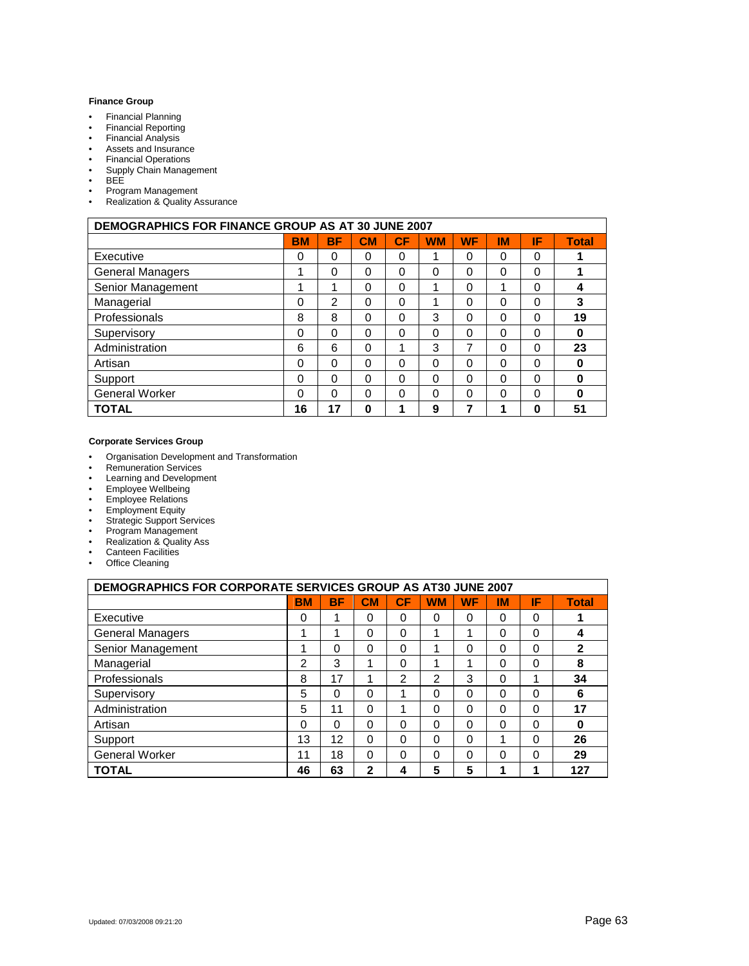#### **Finance Group**

- Financial Planning
- Financial Reporting<br>• Financial Analysis
- 
- Financial Analysis<br>• Assets and Insurar • Assets and Insurance
- Financial Operations<br>• Supply Chain Manage
- Supply Chain Management<br>• BEE
- BEE<br>• Progr
- Program Management<br>• Realization & Quality A
- Realization & Quality Assurance

| <b>DEMOGRAPHICS FOR FINANCE GROUP AS AT 30 JUNE 2007</b> |           |           |           |    |           |           |           |          |              |
|----------------------------------------------------------|-----------|-----------|-----------|----|-----------|-----------|-----------|----------|--------------|
|                                                          | <b>BM</b> | <b>BF</b> | <b>CM</b> | CF | <b>WM</b> | <b>WF</b> | <b>IM</b> | IF       | <b>Total</b> |
| Executive                                                | 0         | $\Omega$  | 0         | 0  | 4         | $\Omega$  | $\Omega$  | 0        |              |
| <b>General Managers</b>                                  | 1         | $\Omega$  | 0         | 0  | 0         | 0         | 0         | 0        |              |
| Senior Management                                        | 1         |           | $\Omega$  | 0  |           | 0         | 1         | 0        | 4            |
| Managerial                                               | 0         | 2         | 0         | 0  |           | 0         | 0         | 0        | 3            |
| Professionals                                            | 8         | 8         | 0         | 0  | 3         | 0         | 0         | 0        | 19           |
| Supervisory                                              | 0         | $\Omega$  | 0         | 0  | 0         | 0         | 0         | 0        | 0            |
| Administration                                           | 6         | 6         | 0         | 4  | 3         | 7         | 0         | 0        | 23           |
| Artisan                                                  | $\Omega$  | $\Omega$  | 0         | 0  | $\Omega$  | 0         | $\Omega$  | $\Omega$ | 0            |
| Support                                                  | 0         | $\Omega$  | 0         | 0  | 0         | 0         | 0         | $\Omega$ | 0            |
| <b>General Worker</b>                                    | 0         | $\Omega$  | 0         | 0  | 0         | $\Omega$  | 0         | 0        | 0            |
| <b>TOTAL</b>                                             | 16        | 17        | 0         |    | 9         |           | ٠         | 0        | 51           |

#### **Corporate Services Group**

- Organisation Development and Transformation<br>• Remuneration Services
- Remuneration Services
- Learning and Development
- Employee Wellbeing
- Employee Relations
- Employment Equity
- Strategic Support Services<br>• Program Management
- Program Management<br>• Realization & Quality A
- Realization & Quality Ass
- Canteen Facilities
- Office Cleaning

| <b>DEMOGRAPHICS FOR CORPORATE SERVICES GROUP AS AT30 JUNE 2007</b> |           |           |              |          |           |           |           |          |              |
|--------------------------------------------------------------------|-----------|-----------|--------------|----------|-----------|-----------|-----------|----------|--------------|
|                                                                    | <b>BM</b> | <b>BF</b> | CM           | СF       | <b>WM</b> | <b>WF</b> | <b>IM</b> | ΙF       | <b>Total</b> |
| Executive                                                          | 0         |           | $\Omega$     | 0        | 0         | 0         | 0         | 0        |              |
| <b>General Managers</b>                                            | 1         | 1         | $\Omega$     | $\Omega$ | 1         | и         | $\Omega$  | 0        | 4            |
| Senior Management                                                  |           | 0         | $\Omega$     | 0        | 1         | 0         | $\Omega$  | 0        | $\mathbf{2}$ |
| Managerial                                                         | 2         | 3         | 4            | $\Omega$ | 4         | ◢         | $\Omega$  | 0        | 8            |
| Professionals                                                      | 8         | 17        | 4            | 2        | 2         | 3         | $\Omega$  | 4        | 34           |
| Supervisory                                                        | 5         | 0         | $\Omega$     | 1        | 0         | 0         | $\Omega$  | 0        | 6            |
| Administration                                                     | 5         | 11        | $\Omega$     | 1        | 0         | 0         | $\Omega$  | 0        | 17           |
| Artisan                                                            | $\Omega$  | $\Omega$  | $\Omega$     | $\Omega$ | $\Omega$  | 0         | $\Omega$  | 0        | 0            |
| Support                                                            | 13        | 12        | $\Omega$     | $\Omega$ | $\Omega$  | 0         | ٠         | $\Omega$ | 26           |
| <b>General Worker</b>                                              | 11        | 18        | $\Omega$     | $\Omega$ | $\Omega$  | 0         | $\Omega$  | 0        | 29           |
| <b>TOTAL</b>                                                       | 46        | 63        | $\mathbf{2}$ | 4        | 5         | 5         | ٠         | ٠        | 127          |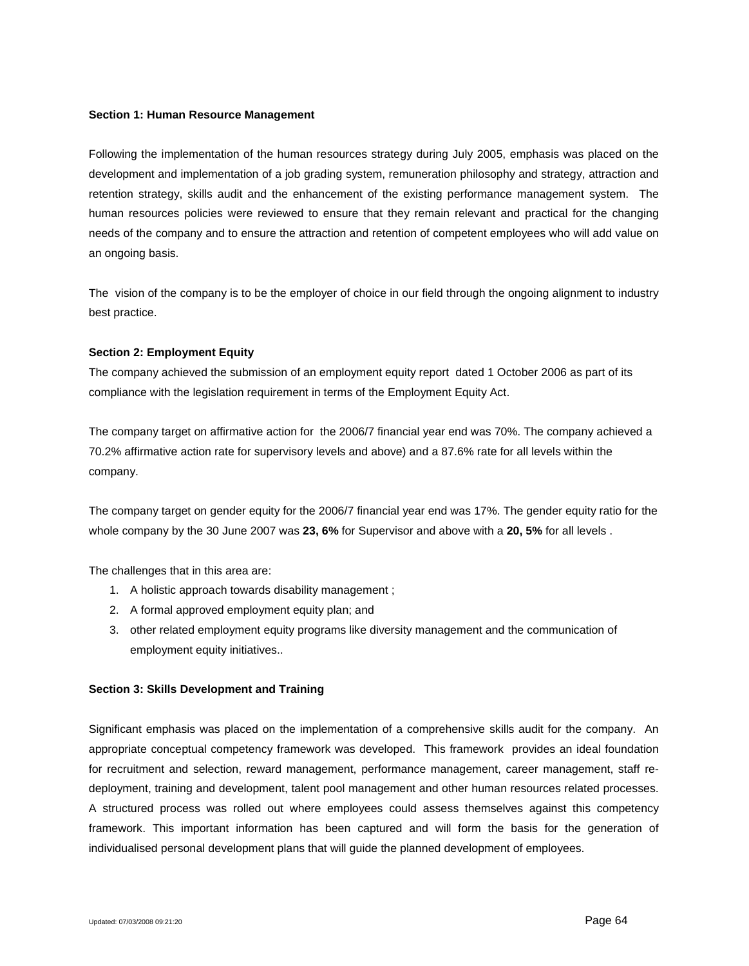### **Section 1: Human Resource Management**

Following the implementation of the human resources strategy during July 2005, emphasis was placed on the development and implementation of a job grading system, remuneration philosophy and strategy, attraction and retention strategy, skills audit and the enhancement of the existing performance management system. The human resources policies were reviewed to ensure that they remain relevant and practical for the changing needs of the company and to ensure the attraction and retention of competent employees who will add value on an ongoing basis.

The vision of the company is to be the employer of choice in our field through the ongoing alignment to industry best practice.

## **Section 2: Employment Equity**

The company achieved the submission of an employment equity report dated 1 October 2006 as part of its compliance with the legislation requirement in terms of the Employment Equity Act.

The company target on affirmative action for the 2006/7 financial year end was 70%. The company achieved a 70.2% affirmative action rate for supervisory levels and above) and a 87.6% rate for all levels within the company.

The company target on gender equity for the 2006/7 financial year end was 17%. The gender equity ratio for the whole company by the 30 June 2007 was **23, 6%** for Supervisor and above with a **20, 5%** for all levels .

The challenges that in this area are:

- 1. A holistic approach towards disability management ;
- 2. A formal approved employment equity plan; and
- 3. other related employment equity programs like diversity management and the communication of employment equity initiatives..

### **Section 3: Skills Development and Training**

Significant emphasis was placed on the implementation of a comprehensive skills audit for the company. An appropriate conceptual competency framework was developed. This framework provides an ideal foundation for recruitment and selection, reward management, performance management, career management, staff redeployment, training and development, talent pool management and other human resources related processes. A structured process was rolled out where employees could assess themselves against this competency framework. This important information has been captured and will form the basis for the generation of individualised personal development plans that will guide the planned development of employees.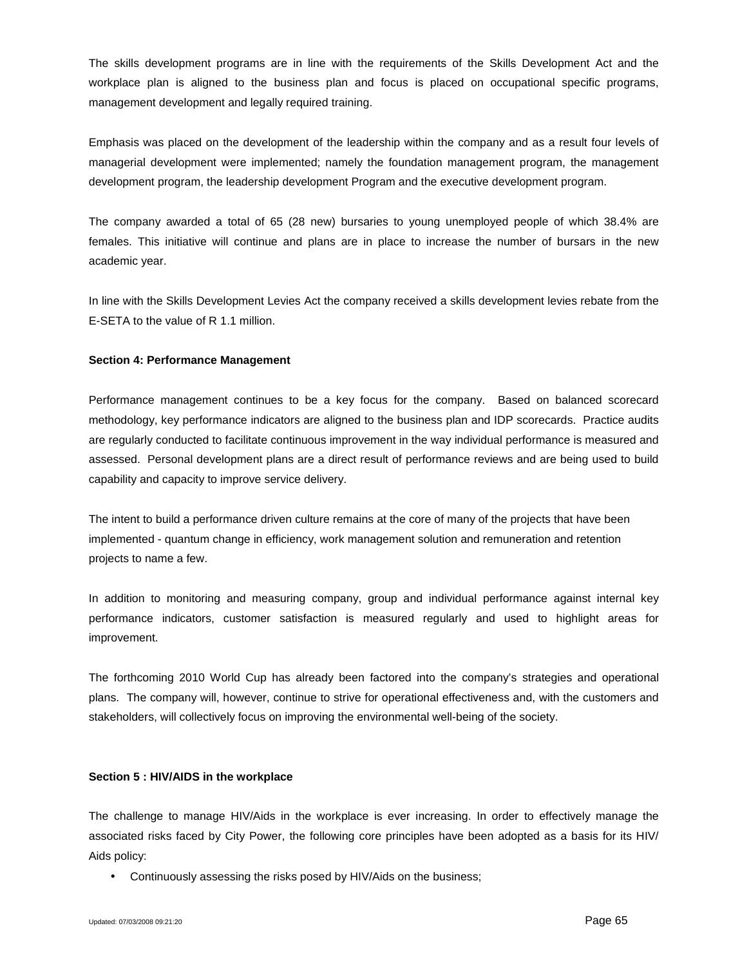The skills development programs are in line with the requirements of the Skills Development Act and the workplace plan is aligned to the business plan and focus is placed on occupational specific programs, management development and legally required training.

Emphasis was placed on the development of the leadership within the company and as a result four levels of managerial development were implemented; namely the foundation management program, the management development program, the leadership development Program and the executive development program.

The company awarded a total of 65 (28 new) bursaries to young unemployed people of which 38.4% are females. This initiative will continue and plans are in place to increase the number of bursars in the new academic year.

In line with the Skills Development Levies Act the company received a skills development levies rebate from the E-SETA to the value of R 1.1 million.

## **Section 4: Performance Management**

Performance management continues to be a key focus for the company. Based on balanced scorecard methodology, key performance indicators are aligned to the business plan and IDP scorecards. Practice audits are regularly conducted to facilitate continuous improvement in the way individual performance is measured and assessed. Personal development plans are a direct result of performance reviews and are being used to build capability and capacity to improve service delivery.

The intent to build a performance driven culture remains at the core of many of the projects that have been implemented - quantum change in efficiency, work management solution and remuneration and retention projects to name a few.

In addition to monitoring and measuring company, group and individual performance against internal key performance indicators, customer satisfaction is measured regularly and used to highlight areas for improvement.

The forthcoming 2010 World Cup has already been factored into the company's strategies and operational plans. The company will, however, continue to strive for operational effectiveness and, with the customers and stakeholders, will collectively focus on improving the environmental well-being of the society.

### **Section 5 : HIV/AIDS in the workplace**

The challenge to manage HIV/Aids in the workplace is ever increasing. In order to effectively manage the associated risks faced by City Power, the following core principles have been adopted as a basis for its HIV/ Aids policy:

Continuously assessing the risks posed by HIV/Aids on the business;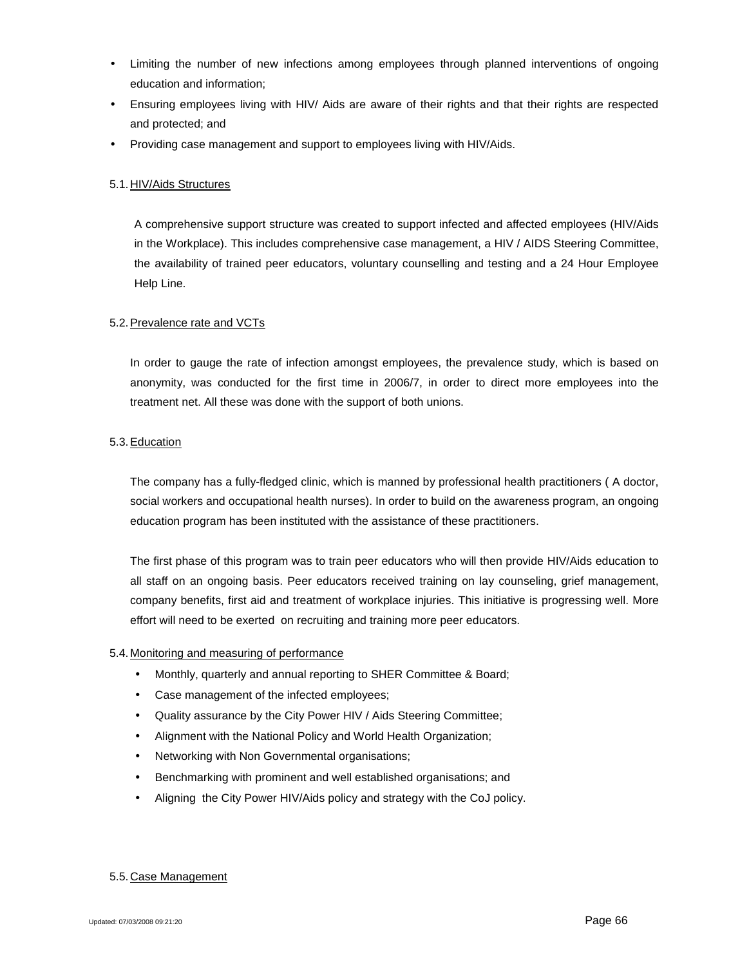- Limiting the number of new infections among employees through planned interventions of ongoing education and information;
- Ensuring employees living with HIV/ Aids are aware of their rights and that their rights are respected and protected; and
- Providing case management and support to employees living with HIV/Aids.

## 5.1.HIV/Aids Structures

A comprehensive support structure was created to support infected and affected employees (HIV/Aids in the Workplace). This includes comprehensive case management, a HIV / AIDS Steering Committee, the availability of trained peer educators, voluntary counselling and testing and a 24 Hour Employee Help Line.

## 5.2.Prevalence rate and VCTs

In order to gauge the rate of infection amongst employees, the prevalence study, which is based on anonymity, was conducted for the first time in 2006/7, in order to direct more employees into the treatment net. All these was done with the support of both unions.

## 5.3.Education

The company has a fully-fledged clinic, which is manned by professional health practitioners ( A doctor, social workers and occupational health nurses). In order to build on the awareness program, an ongoing education program has been instituted with the assistance of these practitioners.

The first phase of this program was to train peer educators who will then provide HIV/Aids education to all staff on an ongoing basis. Peer educators received training on lay counseling, grief management, company benefits, first aid and treatment of workplace injuries. This initiative is progressing well. More effort will need to be exerted on recruiting and training more peer educators.

## 5.4. Monitoring and measuring of performance

- Monthly, quarterly and annual reporting to SHER Committee & Board;
- Case management of the infected employees;
- Quality assurance by the City Power HIV / Aids Steering Committee;
- Alignment with the National Policy and World Health Organization;
- Networking with Non Governmental organisations;
- Benchmarking with prominent and well established organisations; and
- Aligning the City Power HIV/Aids policy and strategy with the CoJ policy.

## 5.5.Case Management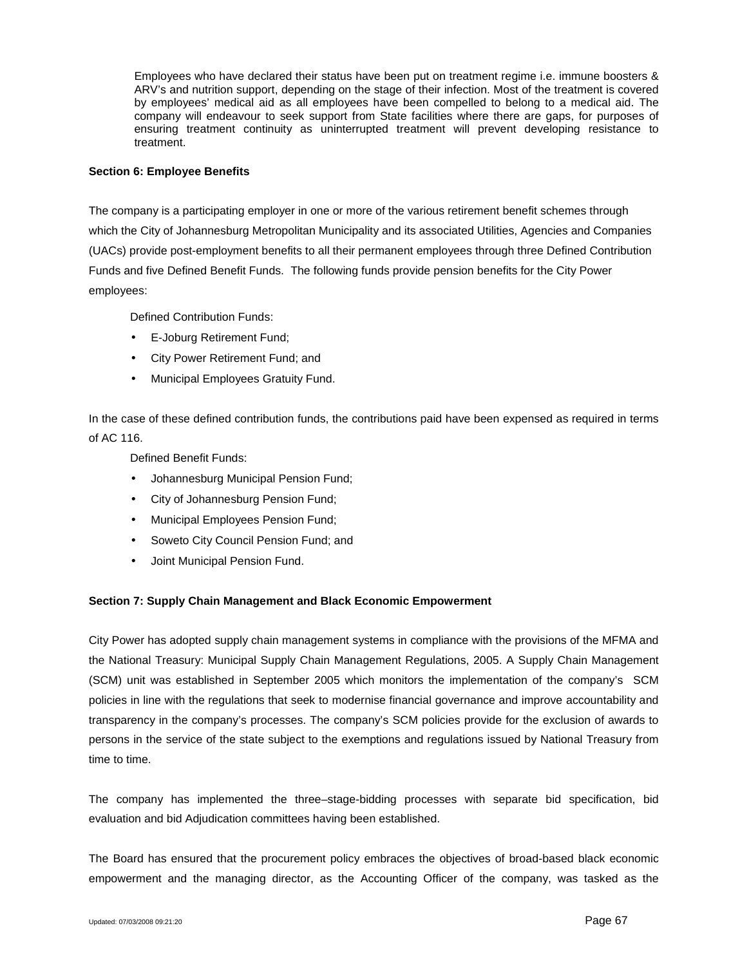Employees who have declared their status have been put on treatment regime i.e. immune boosters & ARV's and nutrition support, depending on the stage of their infection. Most of the treatment is covered by employees' medical aid as all employees have been compelled to belong to a medical aid. The company will endeavour to seek support from State facilities where there are gaps, for purposes of ensuring treatment continuity as uninterrupted treatment will prevent developing resistance to treatment.

### **Section 6: Employee Benefits**

The company is a participating employer in one or more of the various retirement benefit schemes through which the City of Johannesburg Metropolitan Municipality and its associated Utilities, Agencies and Companies (UACs) provide post-employment benefits to all their permanent employees through three Defined Contribution Funds and five Defined Benefit Funds. The following funds provide pension benefits for the City Power employees:

Defined Contribution Funds:

- E-Joburg Retirement Fund;
- City Power Retirement Fund; and
- Municipal Employees Gratuity Fund.

In the case of these defined contribution funds, the contributions paid have been expensed as required in terms of AC 116.

Defined Benefit Funds:

- Johannesburg Municipal Pension Fund;
- City of Johannesburg Pension Fund;
- Municipal Employees Pension Fund;
- Soweto City Council Pension Fund; and
- Joint Municipal Pension Fund.

## **Section 7: Supply Chain Management and Black Economic Empowerment**

City Power has adopted supply chain management systems in compliance with the provisions of the MFMA and the National Treasury: Municipal Supply Chain Management Regulations, 2005. A Supply Chain Management (SCM) unit was established in September 2005 which monitors the implementation of the company's SCM policies in line with the regulations that seek to modernise financial governance and improve accountability and transparency in the company's processes. The company's SCM policies provide for the exclusion of awards to persons in the service of the state subject to the exemptions and regulations issued by National Treasury from time to time.

The company has implemented the three–stage-bidding processes with separate bid specification, bid evaluation and bid Adjudication committees having been established.

The Board has ensured that the procurement policy embraces the objectives of broad-based black economic empowerment and the managing director, as the Accounting Officer of the company, was tasked as the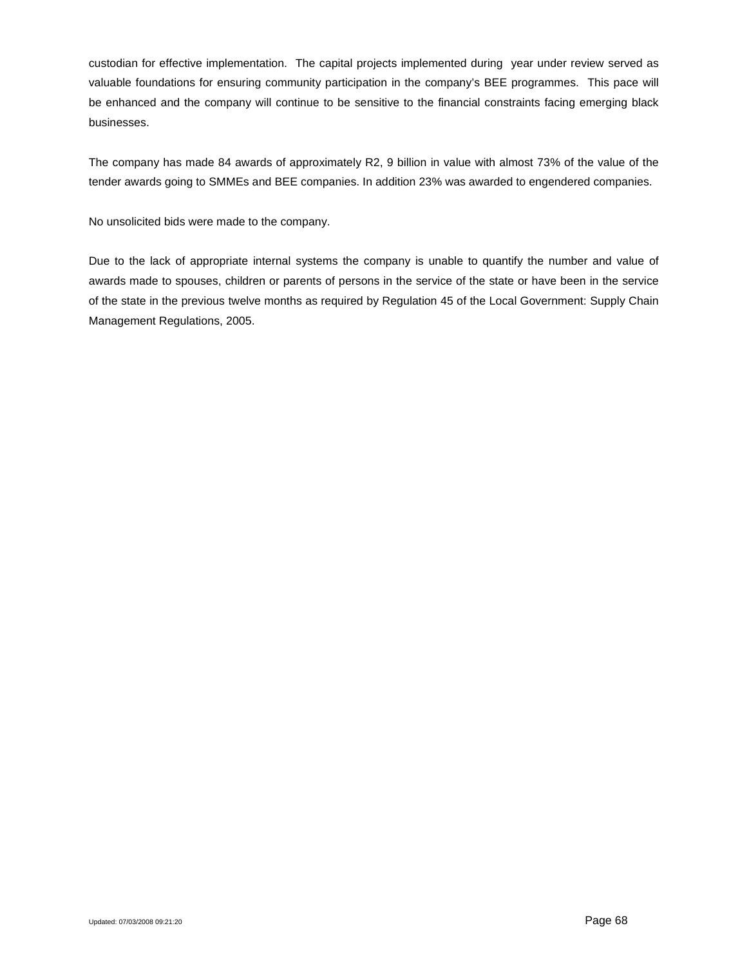custodian for effective implementation. The capital projects implemented during year under review served as valuable foundations for ensuring community participation in the company's BEE programmes. This pace will be enhanced and the company will continue to be sensitive to the financial constraints facing emerging black businesses.

The company has made 84 awards of approximately R2, 9 billion in value with almost 73% of the value of the tender awards going to SMMEs and BEE companies. In addition 23% was awarded to engendered companies.

No unsolicited bids were made to the company.

Due to the lack of appropriate internal systems the company is unable to quantify the number and value of awards made to spouses, children or parents of persons in the service of the state or have been in the service of the state in the previous twelve months as required by Regulation 45 of the Local Government: Supply Chain Management Regulations, 2005.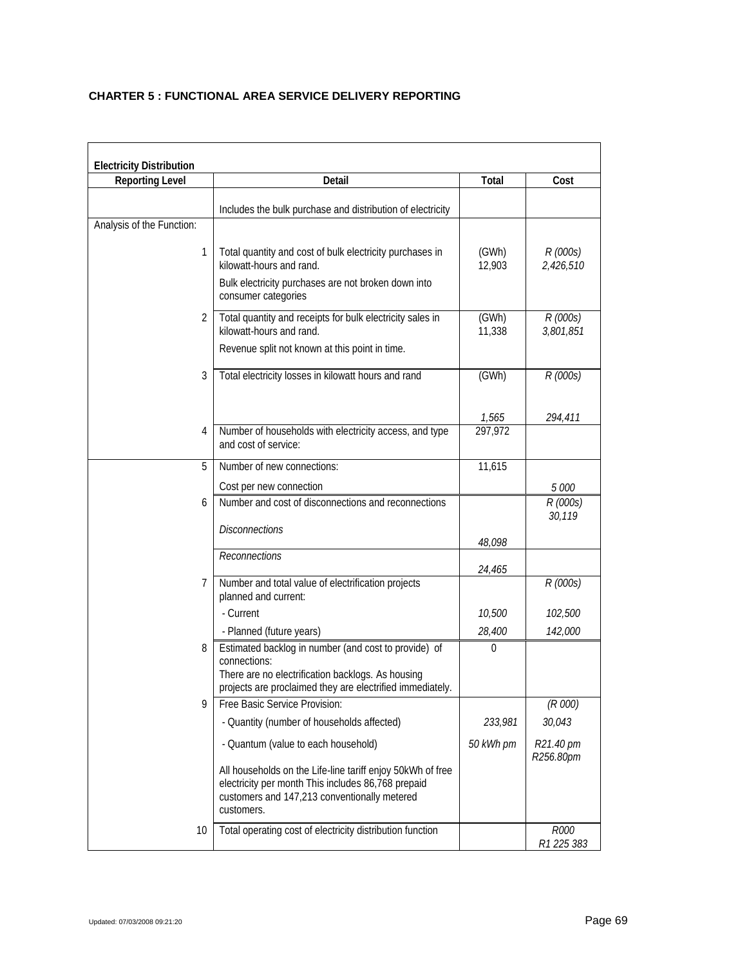## **CHARTER 5 : FUNCTIONAL AREA SERVICE DELIVERY REPORTING**

| <b>Electricity Distribution</b> |                                                                                                                                                                                        |                 |                        |
|---------------------------------|----------------------------------------------------------------------------------------------------------------------------------------------------------------------------------------|-----------------|------------------------|
| Reporting Level                 | Detail                                                                                                                                                                                 | Total           | Cost                   |
|                                 | Includes the bulk purchase and distribution of electricity                                                                                                                             |                 |                        |
| Analysis of the Function:       |                                                                                                                                                                                        |                 |                        |
| 1                               | Total quantity and cost of bulk electricity purchases in<br>kilowatt-hours and rand.<br>Bulk electricity purchases are not broken down into<br>consumer categories                     | (GWh)<br>12,903 | R (000s)<br>2,426,510  |
| 2                               | Total quantity and receipts for bulk electricity sales in<br>kilowatt-hours and rand.                                                                                                  | (GWh)<br>11,338 | R (000s)<br>3,801,851  |
|                                 | Revenue split not known at this point in time.                                                                                                                                         |                 |                        |
| 3                               | Total electricity losses in kilowatt hours and rand                                                                                                                                    | (GWh)           | R (000s)               |
|                                 |                                                                                                                                                                                        | 1,565           | 294,411                |
| 4                               | Number of households with electricity access, and type<br>and cost of service:                                                                                                         | 297,972         |                        |
| 5                               | Number of new connections:                                                                                                                                                             | 11,615          |                        |
|                                 | Cost per new connection                                                                                                                                                                |                 | 5 000                  |
| 6                               | Number and cost of disconnections and reconnections                                                                                                                                    |                 | R (000s)<br>30,119     |
|                                 | <b>Disconnections</b>                                                                                                                                                                  | 48,098          |                        |
|                                 | Reconnections                                                                                                                                                                          | 24,465          |                        |
| 7                               | Number and total value of electrification projects<br>planned and current:                                                                                                             |                 | R (000s)               |
|                                 | - Current                                                                                                                                                                              | 10,500          | 102,500                |
|                                 | - Planned (future years)                                                                                                                                                               | 28,400          | 142,000                |
| 8                               | Estimated backlog in number (and cost to provide) of<br>connections:<br>There are no electrification backlogs. As housing<br>projects are proclaimed they are electrified immediately. | $\mathbf{0}$    |                        |
| 9                               | Free Basic Service Provision:                                                                                                                                                          |                 | (R 000)                |
|                                 | - Quantity (number of households affected)                                                                                                                                             | 233,981         | 30,043                 |
|                                 | - Quantum (value to each household)                                                                                                                                                    | 50 kWh pm       | R21.40 pm<br>R256.80pm |
|                                 | All households on the Life-line tariff enjoy 50kWh of free<br>electricity per month This includes 86,768 prepaid<br>customers and 147,213 conventionally metered<br>customers.         |                 |                        |
| 10                              | Total operating cost of electricity distribution function                                                                                                                              |                 | R000<br>R1 225 383     |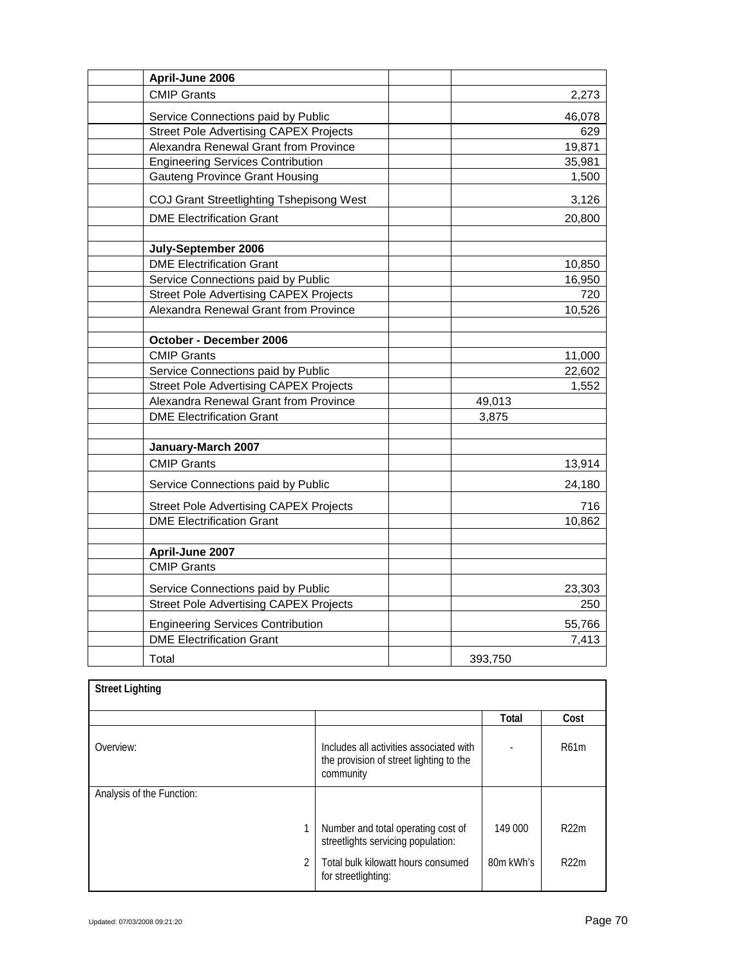| April-June 2006                               |         |
|-----------------------------------------------|---------|
| <b>CMIP Grants</b>                            | 2,273   |
| Service Connections paid by Public            | 46,078  |
| <b>Street Pole Advertising CAPEX Projects</b> | 629     |
| Alexandra Renewal Grant from Province         | 19,871  |
| <b>Engineering Services Contribution</b>      | 35,981  |
| <b>Gauteng Province Grant Housing</b>         | 1,500   |
| COJ Grant Streetlighting Tshepisong West      | 3,126   |
| <b>DME Electrification Grant</b>              | 20,800  |
|                                               |         |
| July-September 2006                           |         |
| <b>DME Electrification Grant</b>              | 10,850  |
| Service Connections paid by Public            | 16,950  |
| <b>Street Pole Advertising CAPEX Projects</b> | 720     |
| Alexandra Renewal Grant from Province         | 10,526  |
|                                               |         |
| October - December 2006                       |         |
| <b>CMIP Grants</b>                            | 11,000  |
| Service Connections paid by Public            | 22,602  |
| <b>Street Pole Advertising CAPEX Projects</b> | 1,552   |
| Alexandra Renewal Grant from Province         | 49,013  |
| <b>DME Electrification Grant</b>              | 3,875   |
|                                               |         |
| January-March 2007                            |         |
| <b>CMIP Grants</b>                            | 13,914  |
| Service Connections paid by Public            | 24,180  |
| <b>Street Pole Advertising CAPEX Projects</b> | 716     |
| <b>DME Electrification Grant</b>              | 10,862  |
|                                               |         |
| April-June 2007                               |         |
| <b>CMIP Grants</b>                            |         |
| Service Connections paid by Public            | 23,303  |
| <b>Street Pole Advertising CAPEX Projects</b> | 250     |
| <b>Engineering Services Contribution</b>      | 55,766  |
| <b>DME Electrification Grant</b>              | 7,413   |
| Total                                         | 393,750 |

| <b>Street Lighting</b>    |                                                                                                 |           |      |
|---------------------------|-------------------------------------------------------------------------------------------------|-----------|------|
|                           |                                                                                                 | Total     | Cost |
| Overview:                 | Includes all activities associated with<br>the provision of street lighting to the<br>community |           | R61m |
| Analysis of the Function: |                                                                                                 |           |      |
|                           | Number and total operating cost of<br>streetlights servicing population:                        | 149 000   | R22m |
| $\mathfrak{p}$            | Total bulk kilowatt hours consumed<br>for streetlighting:                                       | 80m kWh's | R22m |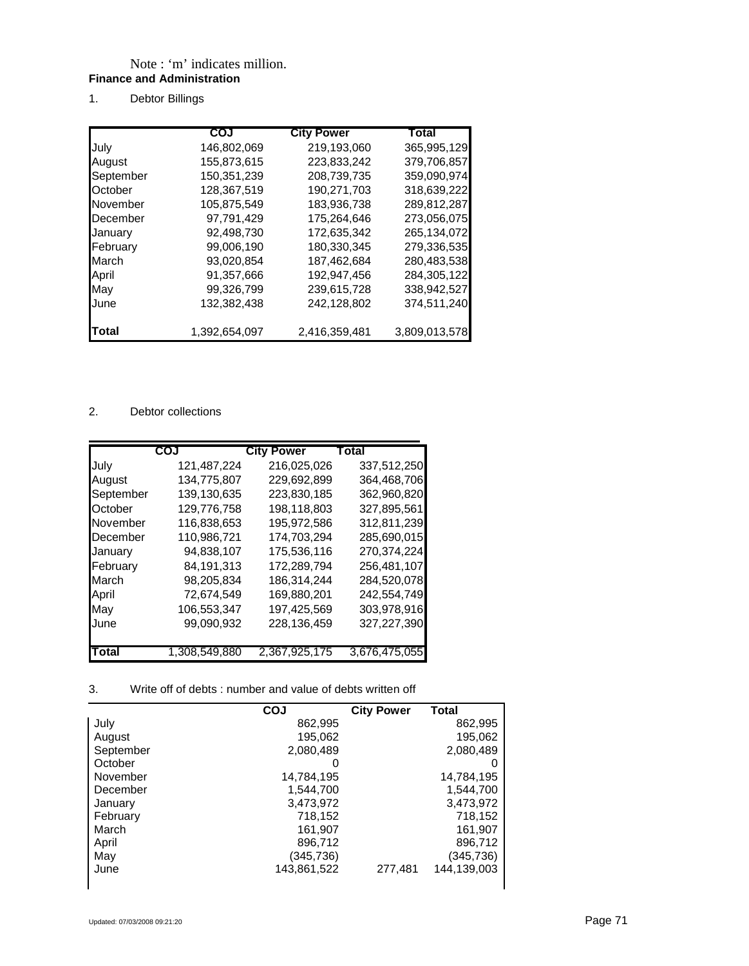## Note : 'm' indicates million. **Finance and Administration**

1. Debtor Billings

|           | COJ           | <b>City Power</b> | Total         |
|-----------|---------------|-------------------|---------------|
| July      | 146,802,069   | 219,193,060       | 365,995,129   |
| August    | 155,873,615   | 223,833,242       | 379,706,857   |
| September | 150,351,239   | 208.739.735       | 359,090,974   |
| October   | 128.367.519   | 190.271.703       | 318,639,222   |
| November  | 105,875,549   | 183.936.738       | 289,812,287   |
| December  | 97,791,429    | 175,264,646       | 273,056,075   |
| January   | 92,498,730    | 172.635.342       | 265,134,072   |
| February  | 99.006.190    | 180.330.345       | 279.336.535   |
| March     | 93,020,854    | 187,462,684       | 280,483,538   |
| April     | 91,357,666    | 192.947.456       | 284,305,122   |
| May       | 99,326,799    | 239.615.728       | 338,942,527   |
| June      | 132.382.438   | 242.128.802       | 374,511,240   |
| Total     | 1,392,654,097 | 2,416,359,481     | 3,809,013,578 |

## 2. Debtor collections

|           | COJ           | <b>City Power</b> | Total         |
|-----------|---------------|-------------------|---------------|
| July      | 121,487,224   | 216,025,026       | 337,512,250   |
| August    | 134,775,807   | 229,692,899       | 364,468,706   |
| September | 139,130,635   | 223,830,185       | 362,960,820   |
| October   | 129,776,758   | 198,118,803       | 327,895,561   |
| November  | 116.838.653   | 195,972,586       | 312,811,239   |
| December  | 110,986,721   | 174.703.294       | 285.690.015   |
| January   | 94,838,107    | 175,536,116       | 270,374,224   |
| February  | 84,191,313    | 172,289,794       | 256,481,107   |
| March     | 98.205.834    | 186.314.244       | 284,520,078   |
| April     | 72.674.549    | 169.880.201       | 242,554,749   |
| May       | 106.553.347   | 197,425,569       | 303,978,916   |
| June      | 99,090,932    | 228.136.459       | 327,227,390   |
|           |               |                   |               |
| Total     | 1,308,549,880 | 2,367,925,175     | 3,676,475,055 |

## 3. Write off of debts : number and value of debts written off

|           | COJ          | <b>City Power</b> | Total       |
|-----------|--------------|-------------------|-------------|
| July      | 862,995      |                   | 862,995     |
| August    | 195,062      |                   | 195,062     |
| September | 2,080,489    |                   | 2,080,489   |
| October   | $\mathbf{0}$ |                   | 0           |
| November  | 14,784,195   |                   | 14,784,195  |
| December  | 1,544,700    |                   | 1,544,700   |
| January   | 3,473,972    |                   | 3,473,972   |
| February  | 718,152      |                   | 718,152     |
| March     | 161,907      |                   | 161,907     |
| April     | 896,712      |                   | 896,712     |
| May       | (345,736)    |                   | (345,736)   |
| June      | 143,861,522  | 277.481           | 144,139,003 |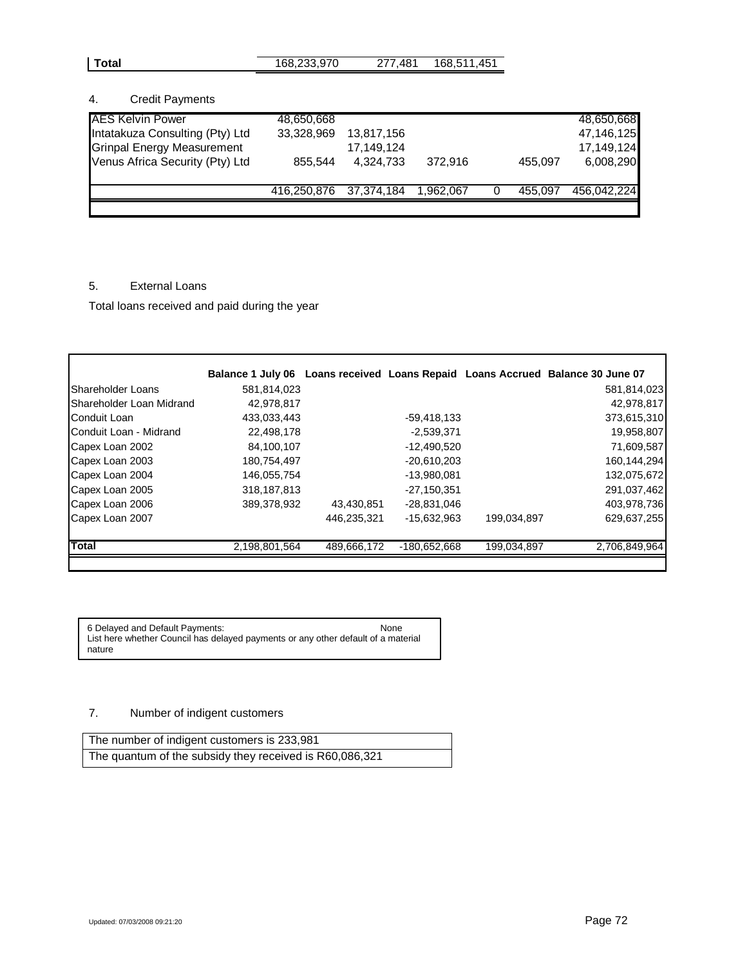| Total<br>168,233,970<br>168,511,451<br>277.481 |
|------------------------------------------------|
|------------------------------------------------|

## 4. Credit Payments

| <b>AES Kelvin Power</b>           | 48.650.668             |            |           |         | 48,650,668  |
|-----------------------------------|------------------------|------------|-----------|---------|-------------|
| Intatakuza Consulting (Pty) Ltd   | 33,328,969             | 13,817,156 |           |         | 47,146,125  |
| <b>Grinpal Energy Measurement</b> |                        | 17.149.124 |           |         | 17.149.124  |
| Venus Africa Security (Pty) Ltd   | 855.544                | 4.324.733  | 372.916   | 455.097 | 6,008,290   |
|                                   | 416,250,876 37,374,184 |            | 1,962,067 | 455,097 | 456.042.224 |
|                                   |                        |            |           |         |             |

# 5. External Loans

Total loans received and paid during the year

|                          |               |             |               |             | Balance 1 July 06 Loans received Loans Repaid Loans Accrued Balance 30 June 07 |
|--------------------------|---------------|-------------|---------------|-------------|--------------------------------------------------------------------------------|
| Shareholder Loans        | 581,814,023   |             |               |             | 581,814,023                                                                    |
| Shareholder Loan Midrand | 42,978,817    |             |               |             | 42,978,817                                                                     |
| Conduit Loan             | 433,033,443   |             | $-59,418,133$ |             | 373,615,310                                                                    |
| Conduit Loan - Midrand   | 22,498,178    |             | -2,539,371    |             | 19,958,807                                                                     |
| Capex Loan 2002          | 84,100,107    |             | $-12,490,520$ |             | 71,609,587                                                                     |
| Capex Loan 2003          | 180,754,497   |             | $-20,610,203$ |             | 160,144,294                                                                    |
| Capex Loan 2004          | 146,055,754   |             | -13,980,081   |             | 132,075,672                                                                    |
| Capex Loan 2005          | 318, 187, 813 |             | $-27,150,351$ |             | 291,037,462                                                                    |
| Capex Loan 2006          | 389,378,932   | 43,430,851  | -28,831,046   |             | 403,978,736                                                                    |
| Capex Loan 2007          |               | 446,235,321 | $-15.632.963$ | 199,034,897 | 629,637,255                                                                    |
| <b>Total</b>             | 2,198,801,564 | 489,666,172 | -180,652,668  | 199,034,897 | 2,706,849,964                                                                  |
|                          |               |             |               |             |                                                                                |

6 Delayed and Default Payments: None List here whether Council has delayed payments or any other default of a material nature

## 7. Number of indigent customers

| The number of indigent customers is 233,981             |  |
|---------------------------------------------------------|--|
| The quantum of the subsidy they received is R60,086,321 |  |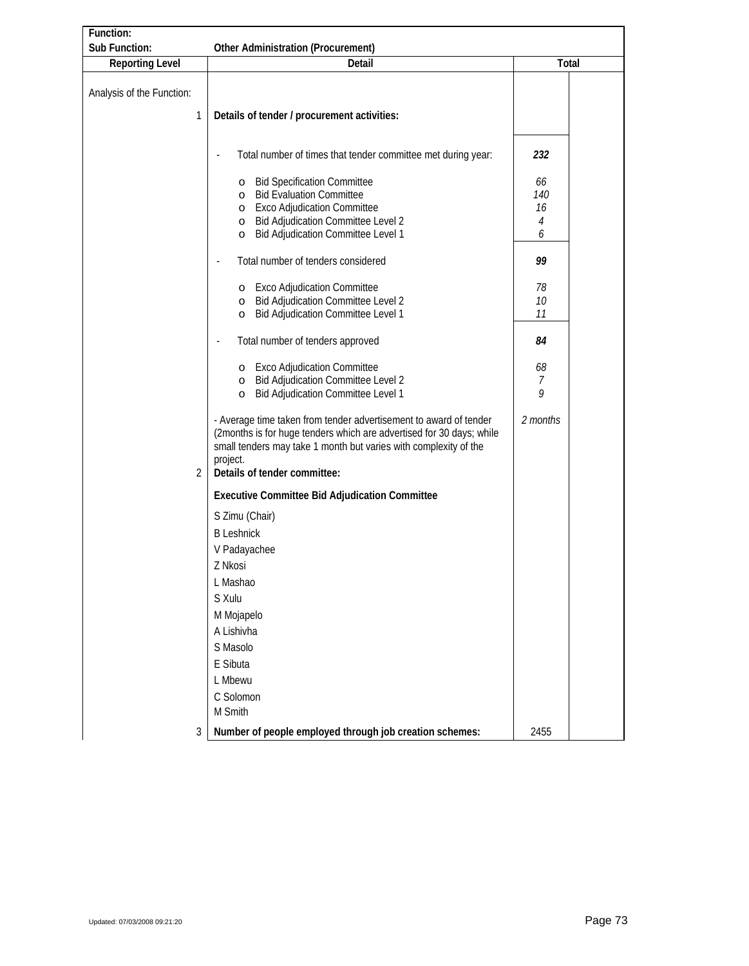| Function:                      |                                                                                                                                                                                                                                                           |                     |  |
|--------------------------------|-----------------------------------------------------------------------------------------------------------------------------------------------------------------------------------------------------------------------------------------------------------|---------------------|--|
| Sub Function:                  | Other Administration (Procurement)                                                                                                                                                                                                                        |                     |  |
| Reporting Level                | Detail                                                                                                                                                                                                                                                    | Total               |  |
| Analysis of the Function:<br>1 | Details of tender / procurement activities:                                                                                                                                                                                                               |                     |  |
|                                | Total number of times that tender committee met during year:<br>o Bid Specification Committee                                                                                                                                                             | 232<br>66           |  |
|                                | o Bid Evaluation Committee<br>o Exco Adjudication Committee<br>o Bid Adjudication Committee Level 2<br><b>Bid Adjudication Committee Level 1</b><br>$\circ$                                                                                               | 140<br>16<br>4<br>6 |  |
|                                | Total number of tenders considered                                                                                                                                                                                                                        | 99                  |  |
|                                | o Exco Adjudication Committee<br><b>Bid Adjudication Committee Level 2</b><br>$\circ$<br>Bid Adjudication Committee Level 1<br>$\circ$                                                                                                                    | 78<br>10<br>11      |  |
|                                | Total number of tenders approved                                                                                                                                                                                                                          | 84                  |  |
|                                | o Exco Adjudication Committee<br>o Bid Adjudication Committee Level 2<br>Bid Adjudication Committee Level 1<br>$\circ$                                                                                                                                    | 68<br>7<br>9        |  |
| $\overline{2}$                 | - Average time taken from tender advertisement to award of tender<br>(2months is for huge tenders which are advertised for 30 days; while<br>small tenders may take 1 month but varies with complexity of the<br>project.<br>Details of tender committee: | 2 months            |  |
|                                | Executive Committee Bid Adjudication Committee                                                                                                                                                                                                            |                     |  |
|                                | <b>B</b> Leshnick<br>V Padayachee<br>Z Nkosi<br>L Mashao<br>S Xulu<br>M Mojapelo<br>A Lishivha<br>S Masolo<br>E Sibuta<br>L Mbewu                                                                                                                         |                     |  |
|                                | C Solomon<br>M Smith                                                                                                                                                                                                                                      |                     |  |
| 3                              | Number of people employed through job creation schemes:                                                                                                                                                                                                   | 2455                |  |